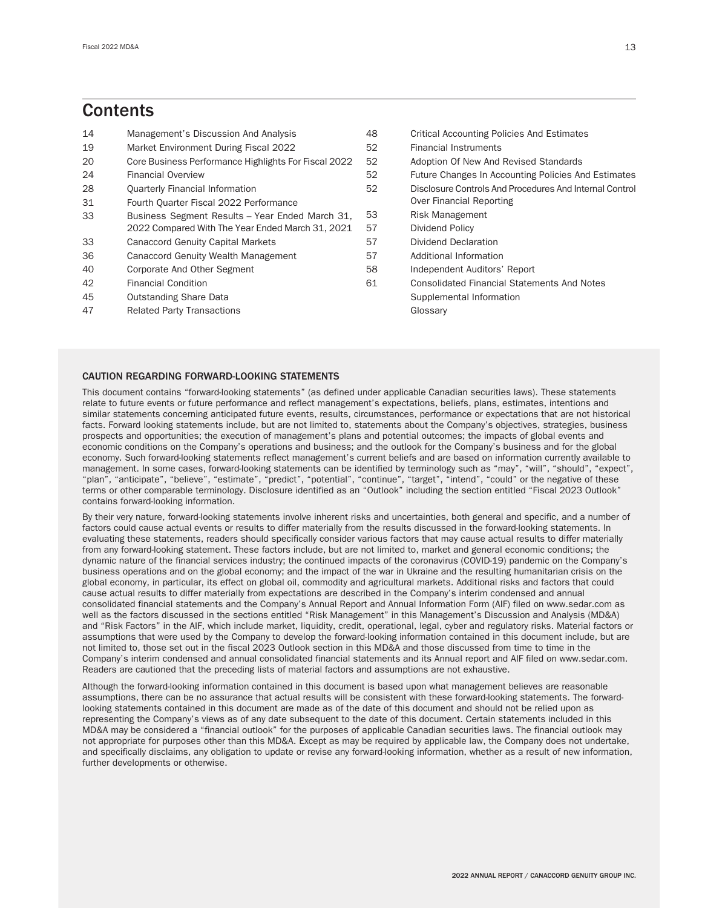# **Contents**

| 14 | Management's Discussion And Analysis                 | 48 | <b>Critical Accounting Policies And Estimates</b>       |
|----|------------------------------------------------------|----|---------------------------------------------------------|
| 19 | Market Environment During Fiscal 2022                | 52 | <b>Financial Instruments</b>                            |
| 20 | Core Business Performance Highlights For Fiscal 2022 | 52 | Adoption Of New And Revised Standards                   |
| 24 | <b>Financial Overview</b>                            | 52 | Future Changes In Accounting Policies And Estimates     |
| 28 | <b>Quarterly Financial Information</b>               | 52 | Disclosure Controls And Procedures And Internal Control |
| 31 | Fourth Quarter Fiscal 2022 Performance               |    | Over Financial Reporting                                |
| 33 | Business Segment Results - Year Ended March 31,      | 53 | Risk Management                                         |
|    | 2022 Compared With The Year Ended March 31, 2021     | 57 | Dividend Policy                                         |
| 33 | <b>Canaccord Genuity Capital Markets</b>             | 57 | Dividend Declaration                                    |
| 36 | Canaccord Genuity Wealth Management                  | 57 | Additional Information                                  |
| 40 | Corporate And Other Segment                          | 58 | Independent Auditors' Report                            |
| 42 | <b>Financial Condition</b>                           | 61 | <b>Consolidated Financial Statements And Notes</b>      |
| 45 | <b>Outstanding Share Data</b>                        |    | Supplemental Information                                |
| 47 | <b>Related Party Transactions</b>                    |    | Glossary                                                |

# CAUTION REGARDING FORWARD-LOOKING STATEMENTS

This document contains "forward-looking statements" (as defined under applicable Canadian securities laws). These statements relate to future events or future performance and reflect management's expectations, beliefs, plans, estimates, intentions and similar statements concerning anticipated future events, results, circumstances, performance or expectations that are not historical facts. Forward looking statements include, but are not limited to, statements about the Company's objectives, strategies, business prospects and opportunities; the execution of management's plans and potential outcomes; the impacts of global events and economic conditions on the Company's operations and business; and the outlook for the Company's business and for the global economy. Such forward-looking statements reflect management's current beliefs and are based on information currently available to management. In some cases, forward-looking statements can be identified by terminology such as "may", "will", "should", "expect", "plan", "anticipate", "believe", "estimate", "predict", "potential", "continue", "target", "intend", "could" or the negative of these terms or other comparable terminology. Disclosure identified as an "Outlook" including the section entitled "Fiscal 2023 Outlook" contains forward-looking information.

By their very nature, forward-looking statements involve inherent risks and uncertainties, both general and specific, and a number of factors could cause actual events or results to differ materially from the results discussed in the forward-looking statements. In evaluating these statements, readers should specifically consider various factors that may cause actual results to differ materially from any forward-looking statement. These factors include, but are not limited to, market and general economic conditions; the dynamic nature of the financial services industry; the continued impacts of the coronavirus (COVID-19) pandemic on the Company's business operations and on the global economy; and the impact of the war in Ukraine and the resulting humanitarian crisis on the global economy, in particular, its effect on global oil, commodity and agricultural markets. Additional risks and factors that could cause actual results to differ materially from expectations are described in the Company's interim condensed and annual consolidated financial statements and the Company's Annual Report and Annual Information Form (AIF) filed on www.sedar.com as well as the factors discussed in the sections entitled "Risk Management" in this Management's Discussion and Analysis (MD&A) and "Risk Factors" in the AIF, which include market, liquidity, credit, operational, legal, cyber and regulatory risks. Material factors or assumptions that were used by the Company to develop the forward-looking information contained in this document include, but are not limited to, those set out in the fiscal 2023 Outlook section in this MD&A and those discussed from time to time in the Company's interim condensed and annual consolidated financial statements and its Annual report and AIF filed on www.sedar.com. Readers are cautioned that the preceding lists of material factors and assumptions are not exhaustive.

Although the forward-looking information contained in this document is based upon what management believes are reasonable assumptions, there can be no assurance that actual results will be consistent with these forward-looking statements. The forwardlooking statements contained in this document are made as of the date of this document and should not be relied upon as representing the Company's views as of any date subsequent to the date of this document. Certain statements included in this MD&A may be considered a "financial outlook" for the purposes of applicable Canadian securities laws. The financial outlook may not appropriate for purposes other than this MD&A. Except as may be required by applicable law, the Company does not undertake, and specifically disclaims, any obligation to update or revise any forward-looking information, whether as a result of new information, further developments or otherwise.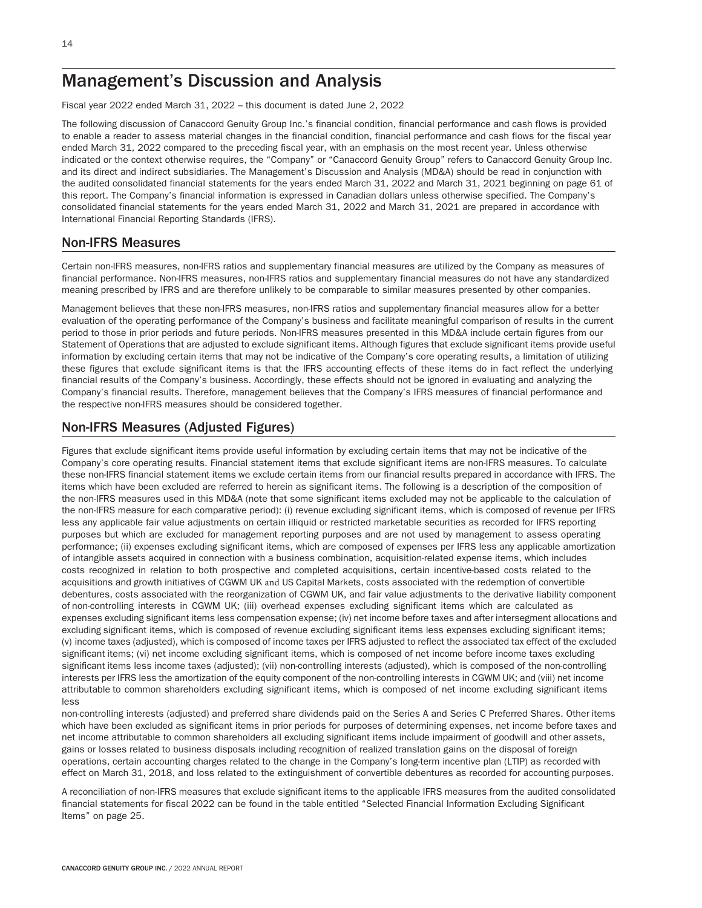# Management's Discussion and Analysis

Fiscal year 2022 ended March 31, 2022 – this document is dated June 2, 2022

The following discussion of Canaccord Genuity Group Inc.'s financial condition, financial performance and cash flows is provided to enable a reader to assess material changes in the financial condition, financial performance and cash flows for the fiscal year ended March 31, 2022 compared to the preceding fiscal year, with an emphasis on the most recent year. Unless otherwise indicated or the context otherwise requires, the "Company" or "Canaccord Genuity Group" refers to Canaccord Genuity Group Inc. and its direct and indirect subsidiaries. The Management's Discussion and Analysis (MD&A) should be read in conjunction with the audited consolidated financial statements for the years ended March 31, 2022 and March 31, 2021 beginning on page 61 of this report. The Company's financial information is expressed in Canadian dollars unless otherwise specified. The Company's consolidated financial statements for the years ended March 31, 2022 and March 31, 2021 are prepared in accordance with International Financial Reporting Standards (IFRS).

# Non-IFRS Measures

Certain non-IFRS measures, non-IFRS ratios and supplementary financial measures are utilized by the Company as measures of financial performance. Non-IFRS measures, non-IFRS ratios and supplementary financial measures do not have any standardized meaning prescribed by IFRS and are therefore unlikely to be comparable to similar measures presented by other companies.

Management believes that these non-IFRS measures, non-IFRS ratios and supplementary financial measures allow for a better evaluation of the operating performance of the Company's business and facilitate meaningful comparison of results in the current period to those in prior periods and future periods. Non-IFRS measures presented in this MD&A include certain figures from our Statement of Operations that are adjusted to exclude significant items. Although figures that exclude significant items provide useful information by excluding certain items that may not be indicative of the Company's core operating results, a limitation of utilizing these figures that exclude significant items is that the IFRS accounting effects of these items do in fact reflect the underlying financial results of the Company's business. Accordingly, these effects should not be ignored in evaluating and analyzing the Company's financial results. Therefore, management believes that the Company's IFRS measures of financial performance and the respective non-IFRS measures should be considered together.

# Non-IFRS Measures (Adjusted Figures)

Figures that exclude significant items provide useful information by excluding certain items that may not be indicative of the Company's core operating results. Financial statement items that exclude significant items are non-IFRS measures. To calculate these non-IFRS financial statement items we exclude certain items from our financial results prepared in accordance with IFRS. The items which have been excluded are referred to herein as significant items. The following is a description of the composition of the non-IFRS measures used in this MD&A (note that some significant items excluded may not be applicable to the calculation of the non-IFRS measure for each comparative period): (i) revenue excluding significant items, which is composed of revenue per IFRS less any applicable fair value adjustments on certain illiquid or restricted marketable securities as recorded for IFRS reporting purposes but which are excluded for management reporting purposes and are not used by management to assess operating performance; (ii) expenses excluding significant items, which are composed of expenses per IFRS less any applicable amortization of intangible assets acquired in connection with a business combination, acquisition-related expense items, which includes costs recognized in relation to both prospective and completed acquisitions, certain incentive-based costs related to the acquisitions and growth initiatives of CGWM UK and US Capital Markets, costs associated with the redemption of convertible debentures, costs associated with the reorganization of CGWM UK, and fair value adjustments to the derivative liability component of non-controlling interests in CGWM UK; (iii) overhead expenses excluding significant items which are calculated as expenses excluding significant items less compensation expense; (iv) net income before taxes and after intersegment allocations and excluding significant items, which is composed of revenue excluding significant items less expenses excluding significant items; (v) income taxes (adjusted), which is composed of income taxes per IFRS adjusted to reflect the associated tax effect of the excluded significant items; (vi) net income excluding significant items, which is composed of net income before income taxes excluding significant items less income taxes (adjusted); (vii) non-controlling interests (adjusted), which is composed of the non-controlling interests per IFRS less the amortization of the equity component of the non-controlling interests in CGWM UK; and (viii) net income attributable to common shareholders excluding significant items, which is composed of net income excluding significant items less

non-controlling interests (adjusted) and preferred share dividends paid on the Series A and Series C Preferred Shares. Other items which have been excluded as significant items in prior periods for purposes of determining expenses, net income before taxes and net income attributable to common shareholders all excluding significant items include impairment of goodwill and other assets, gains or losses related to business disposals including recognition of realized translation gains on the disposal of foreign operations, certain accounting charges related to the change in the Company's long-term incentive plan (LTIP) as recorded with effect on March 31, 2018, and loss related to the extinguishment of convertible debentures as recorded for accounting purposes.

A reconciliation of non-IFRS measures that exclude significant items to the applicable IFRS measures from the audited consolidated financial statements for fiscal 2022 can be found in the table entitled "Selected Financial Information Excluding Significant Items" on page 25.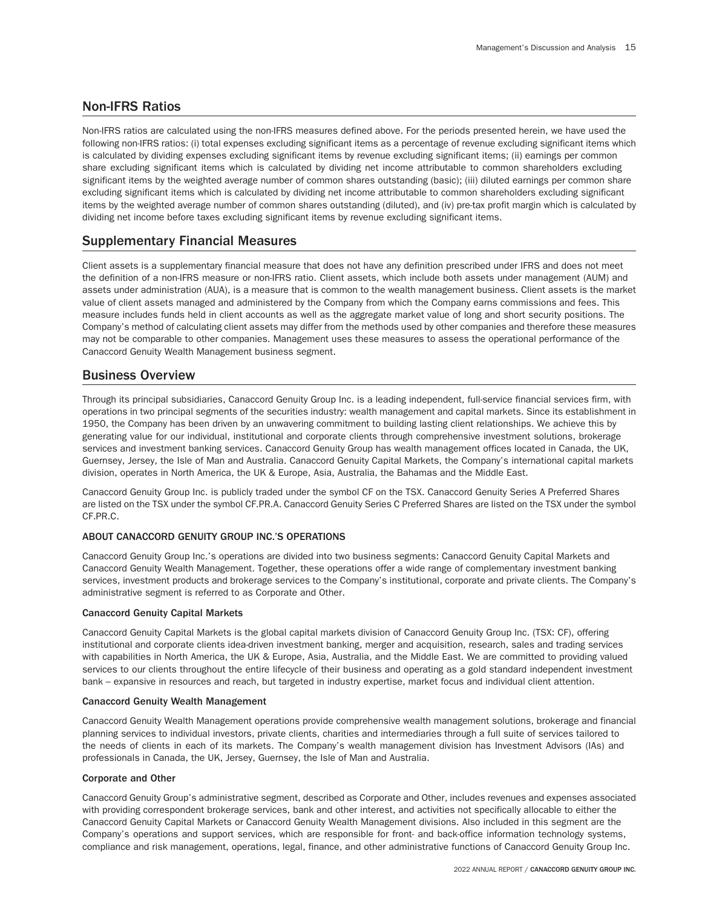# Non-IFRS Ratios

Non-IFRS ratios are calculated using the non-IFRS measures defined above. For the periods presented herein, we have used the following non-IFRS ratios: (i) total expenses excluding significant items as a percentage of revenue excluding significant items which is calculated by dividing expenses excluding significant items by revenue excluding significant items; (ii) earnings per common share excluding significant items which is calculated by dividing net income attributable to common shareholders excluding significant items by the weighted average number of common shares outstanding (basic); (iii) diluted earnings per common share excluding significant items which is calculated by dividing net income attributable to common shareholders excluding significant items by the weighted average number of common shares outstanding (diluted), and (iv) pre-tax profit margin which is calculated by dividing net income before taxes excluding significant items by revenue excluding significant items.

# Supplementary Financial Measures

Client assets is a supplementary financial measure that does not have any definition prescribed under IFRS and does not meet the definition of a non-IFRS measure or non-IFRS ratio. Client assets, which include both assets under management (AUM) and assets under administration (AUA), is a measure that is common to the wealth management business. Client assets is the market value of client assets managed and administered by the Company from which the Company earns commissions and fees. This measure includes funds held in client accounts as well as the aggregate market value of long and short security positions. The Company's method of calculating client assets may differ from the methods used by other companies and therefore these measures may not be comparable to other companies. Management uses these measures to assess the operational performance of the Canaccord Genuity Wealth Management business segment.

# Business Overview

Through its principal subsidiaries, Canaccord Genuity Group Inc. is a leading independent, full-service financial services firm, with operations in two principal segments of the securities industry: wealth management and capital markets. Since its establishment in 1950, the Company has been driven by an unwavering commitment to building lasting client relationships. We achieve this by generating value for our individual, institutional and corporate clients through comprehensive investment solutions, brokerage services and investment banking services. Canaccord Genuity Group has wealth management offices located in Canada, the UK, Guernsey, Jersey, the Isle of Man and Australia. Canaccord Genuity Capital Markets, the Company's international capital markets division, operates in North America, the UK & Europe, Asia, Australia, the Bahamas and the Middle East.

Canaccord Genuity Group Inc. is publicly traded under the symbol CF on the TSX. Canaccord Genuity Series A Preferred Shares are listed on the TSX under the symbol CF.PR.A. Canaccord Genuity Series C Preferred Shares are listed on the TSX under the symbol CF.PR.C.

# ABOUT CANACCORD GENUITY GROUP INC.'S OPERATIONS

Canaccord Genuity Group Inc.'s operations are divided into two business segments: Canaccord Genuity Capital Markets and Canaccord Genuity Wealth Management. Together, these operations offer a wide range of complementary investment banking services, investment products and brokerage services to the Company's institutional, corporate and private clients. The Company's administrative segment is referred to as Corporate and Other.

# Canaccord Genuity Capital Markets

Canaccord Genuity Capital Markets is the global capital markets division of Canaccord Genuity Group Inc. (TSX: CF), offering institutional and corporate clients idea-driven investment banking, merger and acquisition, research, sales and trading services with capabilities in North America, the UK & Europe, Asia, Australia, and the Middle East. We are committed to providing valued services to our clients throughout the entire lifecycle of their business and operating as a gold standard independent investment bank – expansive in resources and reach, but targeted in industry expertise, market focus and individual client attention.

## Canaccord Genuity Wealth Management

Canaccord Genuity Wealth Management operations provide comprehensive wealth management solutions, brokerage and financial planning services to individual investors, private clients, charities and intermediaries through a full suite of services tailored to the needs of clients in each of its markets. The Company's wealth management division has Investment Advisors (IAs) and professionals in Canada, the UK, Jersey, Guernsey, the Isle of Man and Australia.

# Corporate and Other

Canaccord Genuity Group's administrative segment, described as Corporate and Other, includes revenues and expenses associated with providing correspondent brokerage services, bank and other interest, and activities not specifically allocable to either the Canaccord Genuity Capital Markets or Canaccord Genuity Wealth Management divisions. Also included in this segment are the Company's operations and support services, which are responsible for front- and back-office information technology systems, compliance and risk management, operations, legal, finance, and other administrative functions of Canaccord Genuity Group Inc.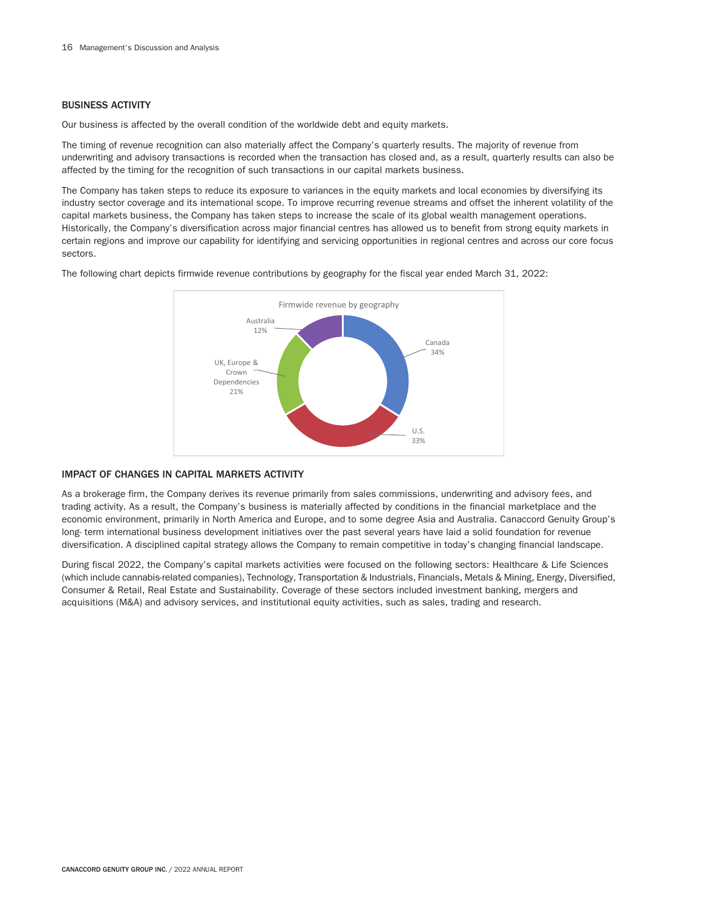## BUSINESS ACTIVITY

Our business is affected by the overall condition of the worldwide debt and equity markets.

The timing of revenue recognition can also materially affect the Company's quarterly results. The majority of revenue from underwriting and advisory transactions is recorded when the transaction has closed and, as a result, quarterly results can also be affected by the timing for the recognition of such transactions in our capital markets business.

The Company has taken steps to reduce its exposure to variances in the equity markets and local economies by diversifying its industry sector coverage and its international scope. To improve recurring revenue streams and offset the inherent volatility of the capital markets business, the Company has taken steps to increase the scale of its global wealth management operations. Historically, the Company's diversification across major financial centres has allowed us to benefit from strong equity markets in certain regions and improve our capability for identifying and servicing opportunities in regional centres and across our core focus sectors.

The following chart depicts firmwide revenue contributions by geography for the fiscal year ended March 31, 2022:



## IMPACT OF CHANGES IN CAPITAL MARKETS ACTIVITY

As a brokerage firm, the Company derives its revenue primarily from sales commissions, underwriting and advisory fees, and trading activity. As a result, the Company's business is materially affected by conditions in the financial marketplace and the economic environment, primarily in North America and Europe, and to some degree Asia and Australia. Canaccord Genuity Group's long- term international business development initiatives over the past several years have laid a solid foundation for revenue diversification. A disciplined capital strategy allows the Company to remain competitive in today's changing financial landscape.

During fiscal 2022, the Company's capital markets activities were focused on the following sectors: Healthcare & Life Sciences (which include cannabis-related companies), Technology, Transportation & Industrials, Financials, Metals & Mining, Energy, Diversified, Consumer & Retail, Real Estate and Sustainability. Coverage of these sectors included investment banking, mergers and acquisitions (M&A) and advisory services, and institutional equity activities, such as sales, trading and research.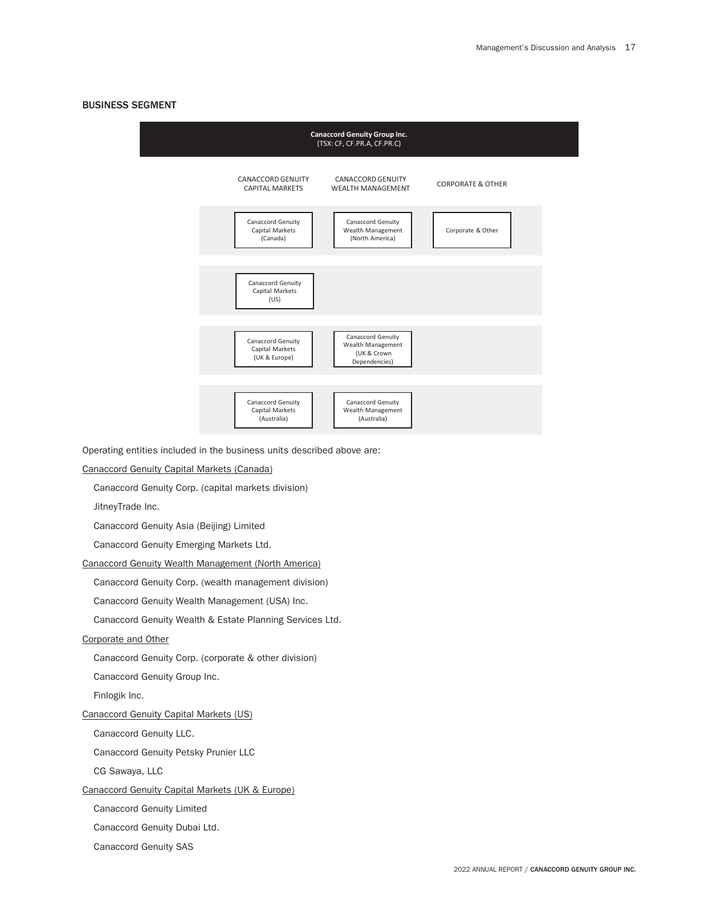## BUSINESS SEGMENT



Operating entities included in the business units described above are:

### Canaccord Genuity Capital Markets (Canada)

Canaccord Genuity Corp. (capital markets division)

JitneyTrade Inc.

Canaccord Genuity Asia (Beijing) Limited

Canaccord Genuity Emerging Markets Ltd.

Canaccord Genuity Wealth Management (North America)

Canaccord Genuity Corp. (wealth management division)

Canaccord Genuity Wealth Management (USA) Inc.

Canaccord Genuity Wealth & Estate Planning Services Ltd.

## Corporate and Other

Canaccord Genuity Corp. (corporate & other division)

Canaccord Genuity Group Inc.

Finlogik Inc.

## Canaccord Genuity Capital Markets (US)

Canaccord Genuity LLC.

Canaccord Genuity Petsky Prunier LLC

CG Sawaya, LLC

## Canaccord Genuity Capital Markets (UK & Europe)

Canaccord Genuity Limited

Canaccord Genuity Dubai Ltd.

Canaccord Genuity SAS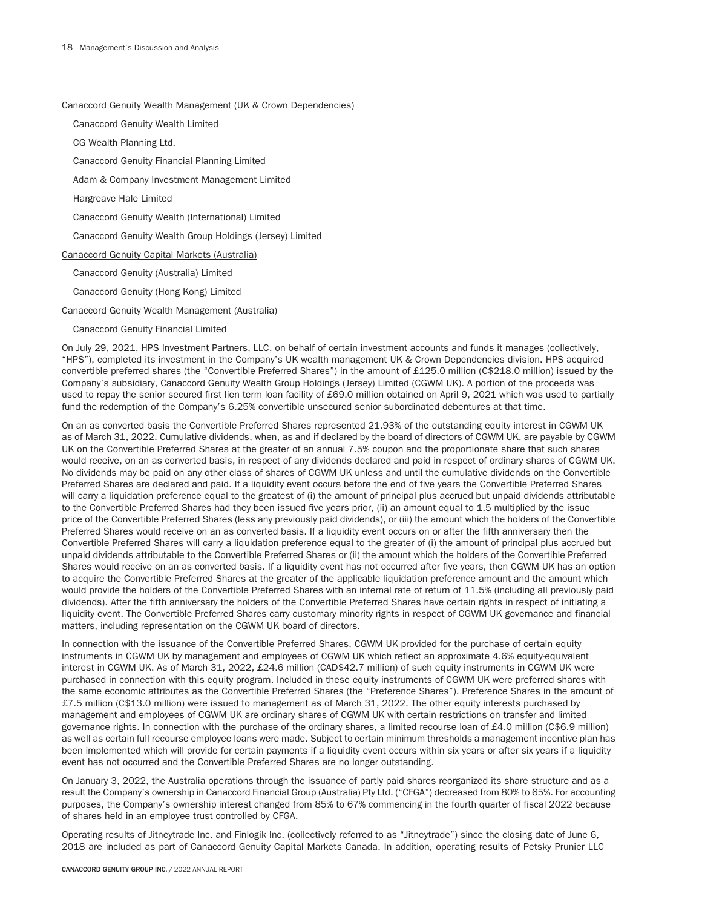### Canaccord Genuity Wealth Management (UK & Crown Dependencies)

Canaccord Genuity Wealth Limited

CG Wealth Planning Ltd.

Canaccord Genuity Financial Planning Limited

Adam & Company Investment Management Limited

Hargreave Hale Limited

Canaccord Genuity Wealth (International) Limited

Canaccord Genuity Wealth Group Holdings (Jersey) Limited

Canaccord Genuity Capital Markets (Australia)

Canaccord Genuity (Australia) Limited

Canaccord Genuity (Hong Kong) Limited

Canaccord Genuity Wealth Management (Australia)

#### Canaccord Genuity Financial Limited

On July 29, 2021, HPS Investment Partners, LLC, on behalf of certain investment accounts and funds it manages (collectively, "HPS"), completed its investment in the Company's UK wealth management UK & Crown Dependencies division. HPS acquired convertible preferred shares (the "Convertible Preferred Shares") in the amount of £125.0 million (C\$218.0 million) issued by the Company's subsidiary, Canaccord Genuity Wealth Group Holdings (Jersey) Limited (CGWM UK). A portion of the proceeds was used to repay the senior secured first lien term loan facility of £69.0 million obtained on April 9, 2021 which was used to partially fund the redemption of the Company's 6.25% convertible unsecured senior subordinated debentures at that time.

On an as converted basis the Convertible Preferred Shares represented 21.93% of the outstanding equity interest in CGWM UK as of March 31, 2022. Cumulative dividends, when, as and if declared by the board of directors of CGWM UK, are payable by CGWM UK on the Convertible Preferred Shares at the greater of an annual 7.5% coupon and the proportionate share that such shares would receive, on an as converted basis, in respect of any dividends declared and paid in respect of ordinary shares of CGWM UK. No dividends may be paid on any other class of shares of CGWM UK unless and until the cumulative dividends on the Convertible Preferred Shares are declared and paid. If a liquidity event occurs before the end of five years the Convertible Preferred Shares will carry a liquidation preference equal to the greatest of (i) the amount of principal plus accrued but unpaid dividends attributable to the Convertible Preferred Shares had they been issued five years prior, (ii) an amount equal to 1.5 multiplied by the issue price of the Convertible Preferred Shares (less any previously paid dividends), or (iii) the amount which the holders of the Convertible Preferred Shares would receive on an as converted basis. If a liquidity event occurs on or after the fifth anniversary then the Convertible Preferred Shares will carry a liquidation preference equal to the greater of (i) the amount of principal plus accrued but unpaid dividends attributable to the Convertible Preferred Shares or (ii) the amount which the holders of the Convertible Preferred Shares would receive on an as converted basis. If a liquidity event has not occurred after five years, then CGWM UK has an option to acquire the Convertible Preferred Shares at the greater of the applicable liquidation preference amount and the amount which would provide the holders of the Convertible Preferred Shares with an internal rate of return of 11.5% (including all previously paid dividends). After the fifth anniversary the holders of the Convertible Preferred Shares have certain rights in respect of initiating a liquidity event. The Convertible Preferred Shares carry customary minority rights in respect of CGWM UK governance and financial matters, including representation on the CGWM UK board of directors.

In connection with the issuance of the Convertible Preferred Shares, CGWM UK provided for the purchase of certain equity instruments in CGWM UK by management and employees of CGWM UK which reflect an approximate 4.6% equity-equivalent interest in CGWM UK. As of March 31, 2022, £24.6 million (CAD\$42.7 million) of such equity instruments in CGWM UK were purchased in connection with this equity program. Included in these equity instruments of CGWM UK were preferred shares with the same economic attributes as the Convertible Preferred Shares (the "Preference Shares"). Preference Shares in the amount of £7.5 million (C\$13.0 million) were issued to management as of March 31, 2022. The other equity interests purchased by management and employees of CGWM UK are ordinary shares of CGWM UK with certain restrictions on transfer and limited governance rights. In connection with the purchase of the ordinary shares, a limited recourse loan of £4.0 million (C\$6.9 million) as well as certain full recourse employee loans were made. Subject to certain minimum thresholds a management incentive plan has been implemented which will provide for certain payments if a liquidity event occurs within six years or after six years if a liquidity event has not occurred and the Convertible Preferred Shares are no longer outstanding.

On January 3, 2022, the Australia operations through the issuance of partly paid shares reorganized its share structure and as a result the Company's ownership in Canaccord Financial Group (Australia) Pty Ltd. ("CFGA") decreased from 80% to 65%. For accounting purposes, the Company's ownership interest changed from 85% to 67% commencing in the fourth quarter of fiscal 2022 because of shares held in an employee trust controlled by CFGA.

Operating results of Jitneytrade Inc. and Finlogik Inc. (collectively referred to as "Jitneytrade") since the closing date of June 6, 2018 are included as part of Canaccord Genuity Capital Markets Canada. In addition, operating results of Petsky Prunier LLC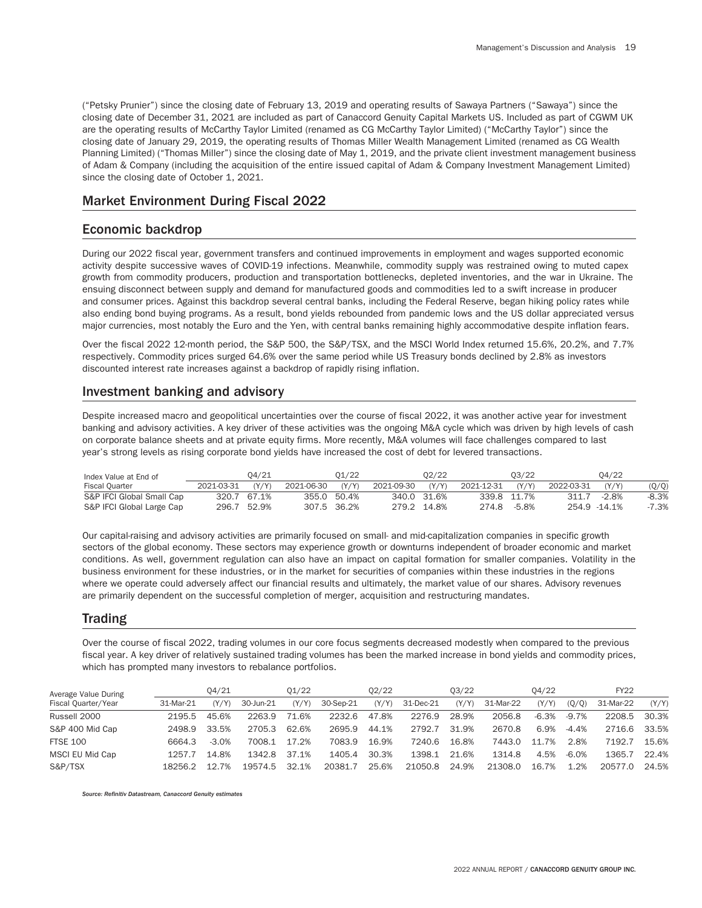("Petsky Prunier") since the closing date of February 13, 2019 and operating results of Sawaya Partners ("Sawaya") since the closing date of December 31, 2021 are included as part of Canaccord Genuity Capital Markets US. Included as part of CGWM UK are the operating results of McCarthy Taylor Limited (renamed as CG McCarthy Taylor Limited) ("McCarthy Taylor") since the closing date of January 29, 2019, the operating results of Thomas Miller Wealth Management Limited (renamed as CG Wealth Planning Limited) ("Thomas Miller") since the closing date of May 1, 2019, and the private client investment management business of Adam & Company (including the acquisition of the entire issued capital of Adam & Company Investment Management Limited) since the closing date of October 1, 2021.

# Market Environment During Fiscal 2022

# Economic backdrop

During our 2022 fiscal year, government transfers and continued improvements in employment and wages supported economic activity despite successive waves of COVID-19 infections. Meanwhile, commodity supply was restrained owing to muted capex growth from commodity producers, production and transportation bottlenecks, depleted inventories, and the war in Ukraine. The ensuing disconnect between supply and demand for manufactured goods and commodities led to a swift increase in producer and consumer prices. Against this backdrop several central banks, including the Federal Reserve, began hiking policy rates while also ending bond buying programs. As a result, bond yields rebounded from pandemic lows and the US dollar appreciated versus major currencies, most notably the Euro and the Yen, with central banks remaining highly accommodative despite inflation fears.

Over the fiscal 2022 12-month period, the S&P 500, the S&P/TSX, and the MSCI World Index returned 15.6%, 20.2%, and 7.7% respectively. Commodity prices surged 64.6% over the same period while US Treasury bonds declined by 2.8% as investors discounted interest rate increases against a backdrop of rapidly rising inflation.

# Investment banking and advisory

Despite increased macro and geopolitical uncertainties over the course of fiscal 2022, it was another active year for investment banking and advisory activities. A key driver of these activities was the ongoing M&A cycle which was driven by high levels of cash on corporate balance sheets and at private equity firms. More recently, M&A volumes will face challenges compared to last year's strong levels as rising corporate bond yields have increased the cost of debt for levered transactions.

| Index Value at End of     |            | 04/21       |            | 01/22       |            | 02/22       |            | 03/22       |              | 04/22   |         |
|---------------------------|------------|-------------|------------|-------------|------------|-------------|------------|-------------|--------------|---------|---------|
| <b>Fiscal Quarter</b>     | 2021-03-31 | (Y/Y)       | 2021-06-30 | (Y/Y)       | 2021-09-30 | (YYY)       | 2021-12-31 | (Y/Y)       | 2022-03-31   | (Y/Y)   | (Q/Q)   |
| S&P IFCI Global Small Cap |            | 320.7 67.1% |            | 355.0 50.4% |            | 340.0 31.6% |            | 339.8 11.7% | 311.7        | $-2.8%$ | $-8.3%$ |
| S&P IFCI Global Large Cap |            | 296.7 52.9% |            | 307.5 36.2% |            | 279.2 14.8% | 274.8      | -5.8%       | 254.9 -14.1% |         | -7.3%   |

Our capital-raising and advisory activities are primarily focused on small- and mid-capitalization companies in specific growth sectors of the global economy. These sectors may experience growth or downturns independent of broader economic and market conditions. As well, government regulation can also have an impact on capital formation for smaller companies. Volatility in the business environment for these industries, or in the market for securities of companies within these industries in the regions where we operate could adversely affect our financial results and ultimately, the market value of our shares. Advisory revenues are primarily dependent on the successful completion of merger, acquisition and restructuring mandates.

# Trading

Over the course of fiscal 2022, trading volumes in our core focus segments decreased modestly when compared to the previous fiscal year. A key driver of relatively sustained trading volumes has been the marked increase in bond yields and commodity prices, which has prompted many investors to rebalance portfolios.

| Average Value During |           | 04/21   |           | 01/22 |           | 02/22 |           | 03/22 |           | 04/22   |          | FY22      |       |
|----------------------|-----------|---------|-----------|-------|-----------|-------|-----------|-------|-----------|---------|----------|-----------|-------|
| Fiscal Quarter/Year  | 31-Mar-21 | (Y/Y)   | 30-Jun-21 | (Y/Y) | 30-Sep-21 | (Y/Y) | 31-Dec-21 | (Y/Y) | 31-Mar-22 | (Y/Y)   | (0/0)    | 31-Mar-22 | (Y/Y) |
| Russell 2000         | 2195.5    | 45.6%   | 2263.9    | 71.6% | 2232.6    | 47.8% | 2276.9    | 28.9% | 2056.8    | $-6.3%$ | $-9.7%$  | 2208.5    | 30.3% |
| S&P 400 Mid Cap      | 2498.9    | 33.5%   | 2705.3    | 62.6% | 2695.9    | 44.1% | 2792.7    | 31.9% | 2670.8    | 6.9%    | $-4.4\%$ | 2716.6    | 33.5% |
| <b>FTSE 100</b>      | 6664.3    | $-3.0%$ | 7008.1    | 17.2% | 7083.9    | 16.9% | 7240.6    | 16.8% | 7443.0    | 11.7%   | 2.8%     | 7192.7    | 15.6% |
| MSCI EU Mid Cap      | 1257.7    | 14.8%   | 1342.8    | 37.1% | 1405.4    | 30.3% | 1398.1    | 21.6% | 1314.8    | 4.5%    | $-6.0%$  | L365.7    | 22.4% |
| S&P/TSX              | 18256.2   | 12.7%   | 19574.5   | 32.1% | 20381.7   | 25.6% | 21050.8   | 24.9% | 21308.0   | 16.7%   | 1.2%     | 20577.0   | 24.5% |

*Source: Refinitiv Datastream, Canaccord Genuity estimates*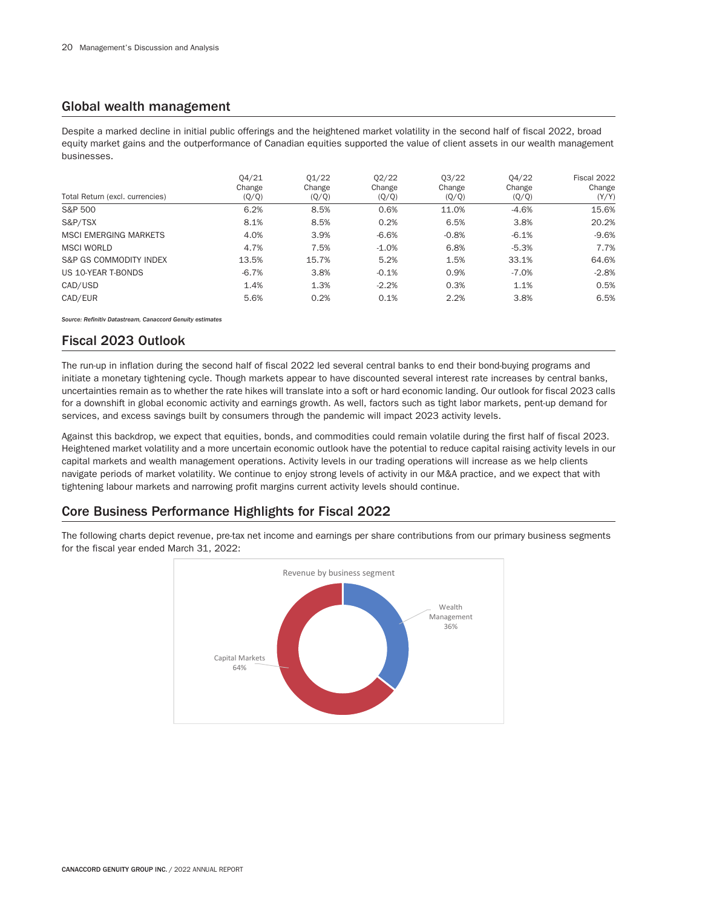# Global wealth management

Despite a marked decline in initial public offerings and the heightened market volatility in the second half of fiscal 2022, broad equity market gains and the outperformance of Canadian equities supported the value of client assets in our wealth management businesses.

| Total Return (excl. currencies) | 04/21<br>Change<br>(Q/Q) | 01/22<br>Change<br>(Q/Q) | 02/22<br>Change<br>(Q/Q) | 03/22<br>Change<br>(Q/Q) | 04/22<br>Change<br>(Q/Q) | Fiscal 2022<br>Change<br>(Y/Y) |
|---------------------------------|--------------------------|--------------------------|--------------------------|--------------------------|--------------------------|--------------------------------|
| S&P 500                         | 6.2%                     | 8.5%                     | 0.6%                     | 11.0%                    | $-4.6%$                  | 15.6%                          |
| S&P/TSX                         | 8.1%                     | 8.5%                     | 0.2%                     | 6.5%                     | 3.8%                     | 20.2%                          |
| <b>MSCI EMERGING MARKETS</b>    | 4.0%                     | 3.9%                     | $-6.6%$                  | $-0.8%$                  | $-6.1%$                  | $-9.6%$                        |
| <b>MSCI WORLD</b>               | 4.7%                     | 7.5%                     | $-1.0%$                  | 6.8%                     | $-5.3%$                  | 7.7%                           |
| S&P GS COMMODITY INDEX          | 13.5%                    | 15.7%                    | 5.2%                     | 1.5%                     | 33.1%                    | 64.6%                          |
| US 10-YEAR T-BONDS              | $-6.7%$                  | 3.8%                     | $-0.1%$                  | 0.9%                     | $-7.0%$                  | $-2.8%$                        |
| CAD/USD                         | 1.4%                     | 1.3%                     | $-2.2%$                  | 0.3%                     | 1.1%                     | 0.5%                           |
| CAD/EUR                         | 5.6%                     | 0.2%                     | 0.1%                     | 2.2%                     | 3.8%                     | 6.5%                           |

*Source: Refinitiv Datastream, Canaccord Genuity estimates*

# Fiscal 2023 Outlook

The run-up in inflation during the second half of fiscal 2022 led several central banks to end their bond-buying programs and initiate a monetary tightening cycle. Though markets appear to have discounted several interest rate increases by central banks, uncertainties remain as to whether the rate hikes will translate into a soft or hard economic landing. Our outlook for fiscal 2023 calls for a downshift in global economic activity and earnings growth. As well, factors such as tight labor markets, pent-up demand for services, and excess savings built by consumers through the pandemic will impact 2023 activity levels.

Against this backdrop, we expect that equities, bonds, and commodities could remain volatile during the first half of fiscal 2023. Heightened market volatility and a more uncertain economic outlook have the potential to reduce capital raising activity levels in our capital markets and wealth management operations. Activity levels in our trading operations will increase as we help clients navigate periods of market volatility. We continue to enjoy strong levels of activity in our M&A practice, and we expect that with tightening labour markets and narrowing profit margins current activity levels should continue.

# Core Business Performance Highlights for Fiscal 2022

The following charts depict revenue, pre-tax net income and earnings per share contributions from our primary business segments for the fiscal year ended March 31, 2022:

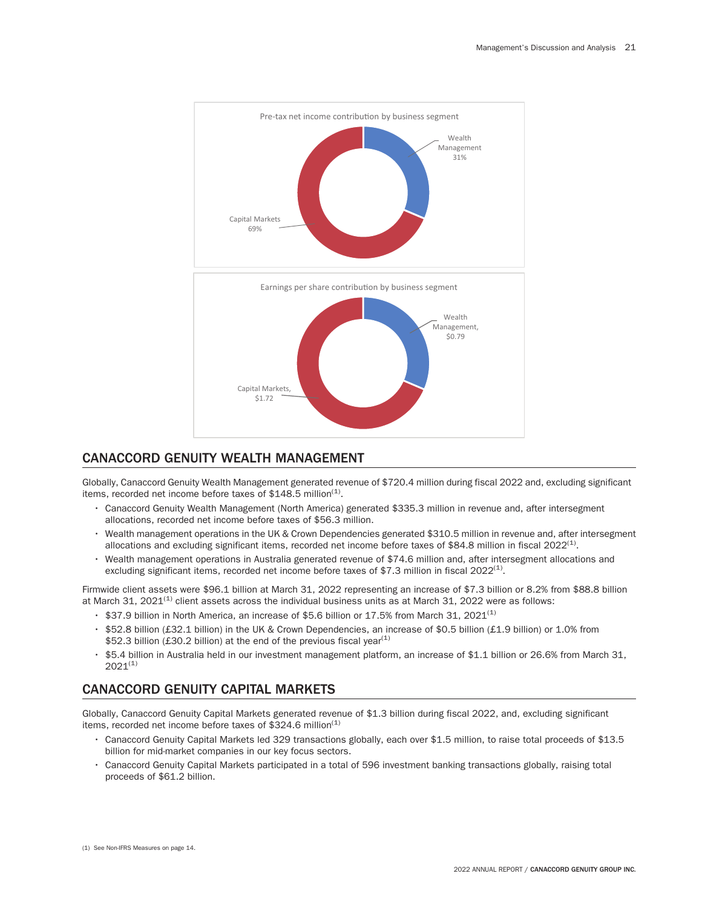

# CANACCORD GENUITY WEALTH MANAGEMENT

Globally, Canaccord Genuity Wealth Management generated revenue of \$720.4 million during fiscal 2022 and, excluding significant items, recorded net income before taxes of  $$148.5$  million<sup>(1)</sup>.

- Canaccord Genuity Wealth Management (North America) generated \$335.3 million in revenue and, after intersegment allocations, recorded net income before taxes of \$56.3 million.
- Wealth management operations in the UK & Crown Dependencies generated \$310.5 million in revenue and, after intersegment allocations and excluding significant items, recorded net income before taxes of \$84.8 million in fiscal  $2022^{(1)}$ .
- Wealth management operations in Australia generated revenue of \$74.6 million and, after intersegment allocations and excluding significant items, recorded net income before taxes of \$7.3 million in fiscal  $2022^{(1)}$ .

Firmwide client assets were \$96.1 billion at March 31, 2022 representing an increase of \$7.3 billion or 8.2% from \$88.8 billion at March 31,  $2021^{(1)}$  client assets across the individual business units as at March 31,  $2022$  were as follows:

- $\cdot$  \$37.9 billion in North America, an increase of \$5.6 billion or 17.5% from March 31, 2021<sup>(1)</sup>
- \$52.8 billion (£32.1 billion) in the UK & Crown Dependencies, an increase of \$0.5 billion (£1.9 billion) or 1.0% from \$52.3 billion (£30.2 billion) at the end of the previous fiscal year<sup>(1)</sup>
- \$5.4 billion in Australia held in our investment management platform, an increase of \$1.1 billion or 26.6% from March 31,  $2021^{(1)}$

# CANACCORD GENUITY CAPITAL MARKETS

Globally, Canaccord Genuity Capital Markets generated revenue of \$1.3 billion during fiscal 2022, and, excluding significant items, recorded net income before taxes of \$324.6 million $(1)$ 

- Canaccord Genuity Capital Markets led 329 transactions globally, each over \$1.5 million, to raise total proceeds of \$13.5 billion for mid-market companies in our key focus sectors.
- Canaccord Genuity Capital Markets participated in a total of 596 investment banking transactions globally, raising total proceeds of \$61.2 billion.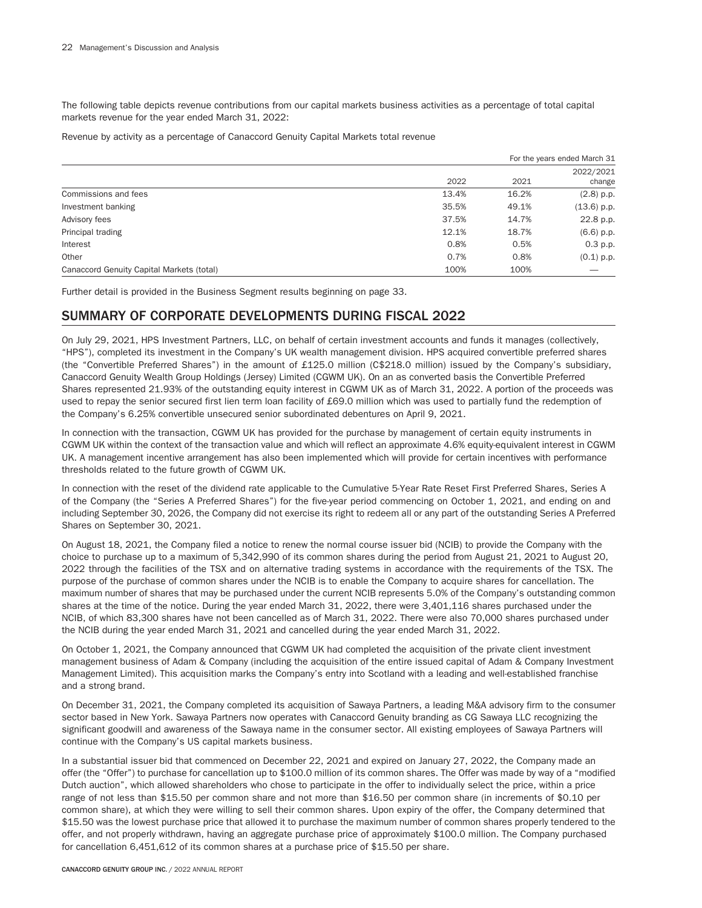The following table depicts revenue contributions from our capital markets business activities as a percentage of total capital markets revenue for the year ended March 31, 2022:

Revenue by activity as a percentage of Canaccord Genuity Capital Markets total revenue

|                                           |       |       | For the years ended March 31 |
|-------------------------------------------|-------|-------|------------------------------|
|                                           | 2022  | 2021  | 2022/2021<br>change          |
| Commissions and fees                      | 13.4% | 16.2% | $(2.8)$ p.p.                 |
| Investment banking                        | 35.5% | 49.1% | $(13.6)$ p.p.                |
| Advisory fees                             | 37.5% | 14.7% | 22.8 p.p.                    |
| Principal trading                         | 12.1% | 18.7% | $(6.6)$ p.p.                 |
| Interest                                  | 0.8%  | 0.5%  | $0.3$ p.p.                   |
| Other                                     | 0.7%  | 0.8%  | $(0.1)$ p.p.                 |
| Canaccord Genuity Capital Markets (total) | 100%  | 100%  |                              |

Further detail is provided in the Business Segment results beginning on page 33.

# SUMMARY OF CORPORATE DEVELOPMENTS DURING FISCAL 2022

On July 29, 2021, HPS Investment Partners, LLC, on behalf of certain investment accounts and funds it manages (collectively, "HPS"), completed its investment in the Company's UK wealth management division. HPS acquired convertible preferred shares (the "Convertible Preferred Shares") in the amount of £125.0 million (C\$218.0 million) issued by the Company's subsidiary, Canaccord Genuity Wealth Group Holdings (Jersey) Limited (CGWM UK). On an as converted basis the Convertible Preferred Shares represented 21.93% of the outstanding equity interest in CGWM UK as of March 31, 2022. A portion of the proceeds was used to repay the senior secured first lien term loan facility of £69.0 million which was used to partially fund the redemption of the Company's 6.25% convertible unsecured senior subordinated debentures on April 9, 2021.

In connection with the transaction, CGWM UK has provided for the purchase by management of certain equity instruments in CGWM UK within the context of the transaction value and which will reflect an approximate 4.6% equity-equivalent interest in CGWM UK. A management incentive arrangement has also been implemented which will provide for certain incentives with performance thresholds related to the future growth of CGWM UK.

In connection with the reset of the dividend rate applicable to the Cumulative 5-Year Rate Reset First Preferred Shares, Series A of the Company (the "Series A Preferred Shares") for the five-year period commencing on October 1, 2021, and ending on and including September 30, 2026, the Company did not exercise its right to redeem all or any part of the outstanding Series A Preferred Shares on September 30, 2021.

On August 18, 2021, the Company filed a notice to renew the normal course issuer bid (NCIB) to provide the Company with the choice to purchase up to a maximum of 5,342,990 of its common shares during the period from August 21, 2021 to August 20, 2022 through the facilities of the TSX and on alternative trading systems in accordance with the requirements of the TSX. The purpose of the purchase of common shares under the NCIB is to enable the Company to acquire shares for cancellation. The maximum number of shares that may be purchased under the current NCIB represents 5.0% of the Company's outstanding common shares at the time of the notice. During the year ended March 31, 2022, there were 3,401,116 shares purchased under the NCIB, of which 83,300 shares have not been cancelled as of March 31, 2022. There were also 70,000 shares purchased under the NCIB during the year ended March 31, 2021 and cancelled during the year ended March 31, 2022.

On October 1, 2021, the Company announced that CGWM UK had completed the acquisition of the private client investment management business of Adam & Company (including the acquisition of the entire issued capital of Adam & Company Investment Management Limited). This acquisition marks the Company's entry into Scotland with a leading and well-established franchise and a strong brand.

On December 31, 2021, the Company completed its acquisition of Sawaya Partners, a leading M&A advisory firm to the consumer sector based in New York. Sawaya Partners now operates with Canaccord Genuity branding as CG Sawaya LLC recognizing the significant goodwill and awareness of the Sawaya name in the consumer sector. All existing employees of Sawaya Partners will continue with the Company's US capital markets business.

In a substantial issuer bid that commenced on December 22, 2021 and expired on January 27, 2022, the Company made an offer (the "Offer") to purchase for cancellation up to \$100.0 million of its common shares. The Offer was made by way of a "modified Dutch auction", which allowed shareholders who chose to participate in the offer to individually select the price, within a price range of not less than \$15.50 per common share and not more than \$16.50 per common share (in increments of \$0.10 per common share), at which they were willing to sell their common shares. Upon expiry of the offer, the Company determined that \$15.50 was the lowest purchase price that allowed it to purchase the maximum number of common shares properly tendered to the offer, and not properly withdrawn, having an aggregate purchase price of approximately \$100.0 million. The Company purchased for cancellation 6,451,612 of its common shares at a purchase price of \$15.50 per share.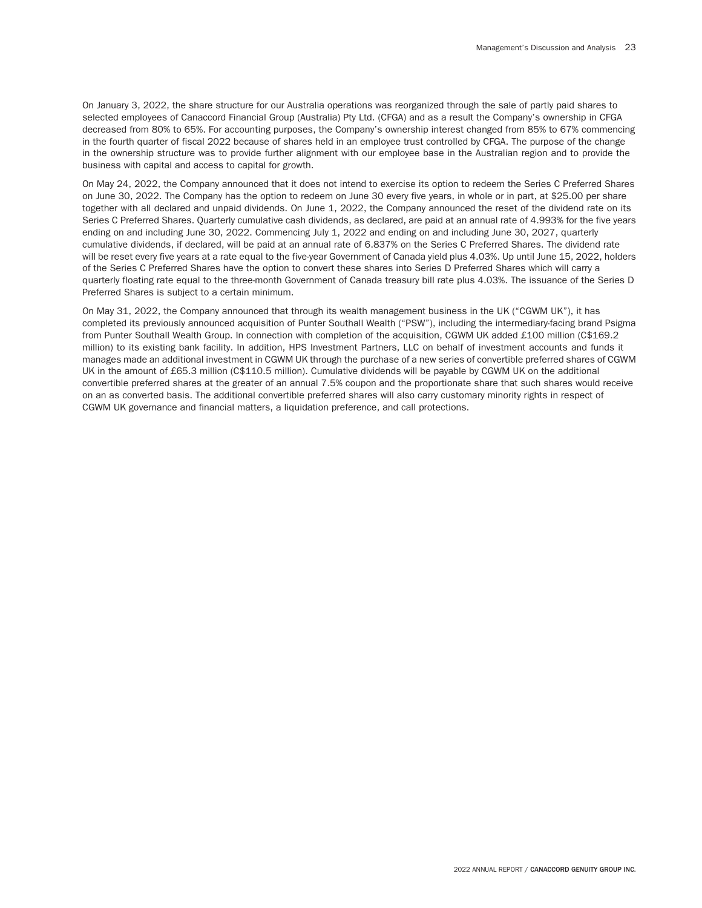On January 3, 2022, the share structure for our Australia operations was reorganized through the sale of partly paid shares to selected employees of Canaccord Financial Group (Australia) Pty Ltd. (CFGA) and as a result the Company's ownership in CFGA decreased from 80% to 65%. For accounting purposes, the Company's ownership interest changed from 85% to 67% commencing in the fourth quarter of fiscal 2022 because of shares held in an employee trust controlled by CFGA. The purpose of the change in the ownership structure was to provide further alignment with our employee base in the Australian region and to provide the business with capital and access to capital for growth.

On May 24, 2022, the Company announced that it does not intend to exercise its option to redeem the Series C Preferred Shares on June 30, 2022. The Company has the option to redeem on June 30 every five years, in whole or in part, at \$25.00 per share together with all declared and unpaid dividends. On June 1, 2022, the Company announced the reset of the dividend rate on its Series C Preferred Shares. Quarterly cumulative cash dividends, as declared, are paid at an annual rate of 4.993% for the five years ending on and including June 30, 2022. Commencing July 1, 2022 and ending on and including June 30, 2027, quarterly cumulative dividends, if declared, will be paid at an annual rate of 6.837% on the Series C Preferred Shares. The dividend rate will be reset every five years at a rate equal to the five-year Government of Canada yield plus 4.03%. Up until June 15, 2022, holders of the Series C Preferred Shares have the option to convert these shares into Series D Preferred Shares which will carry a quarterly floating rate equal to the three-month Government of Canada treasury bill rate plus 4.03%. The issuance of the Series D Preferred Shares is subject to a certain minimum.

On May 31, 2022, the Company announced that through its wealth management business in the UK ("CGWM UK"), it has completed its previously announced acquisition of Punter Southall Wealth ("PSW"), including the intermediary-facing brand Psigma from Punter Southall Wealth Group. In connection with completion of the acquisition, CGWM UK added £100 million (C\$169.2 million) to its existing bank facility. In addition, HPS Investment Partners, LLC on behalf of investment accounts and funds it manages made an additional investment in CGWM UK through the purchase of a new series of convertible preferred shares of CGWM UK in the amount of £65.3 million (C\$110.5 million). Cumulative dividends will be payable by CGWM UK on the additional convertible preferred shares at the greater of an annual 7.5% coupon and the proportionate share that such shares would receive on an as converted basis. The additional convertible preferred shares will also carry customary minority rights in respect of CGWM UK governance and financial matters, a liquidation preference, and call protections.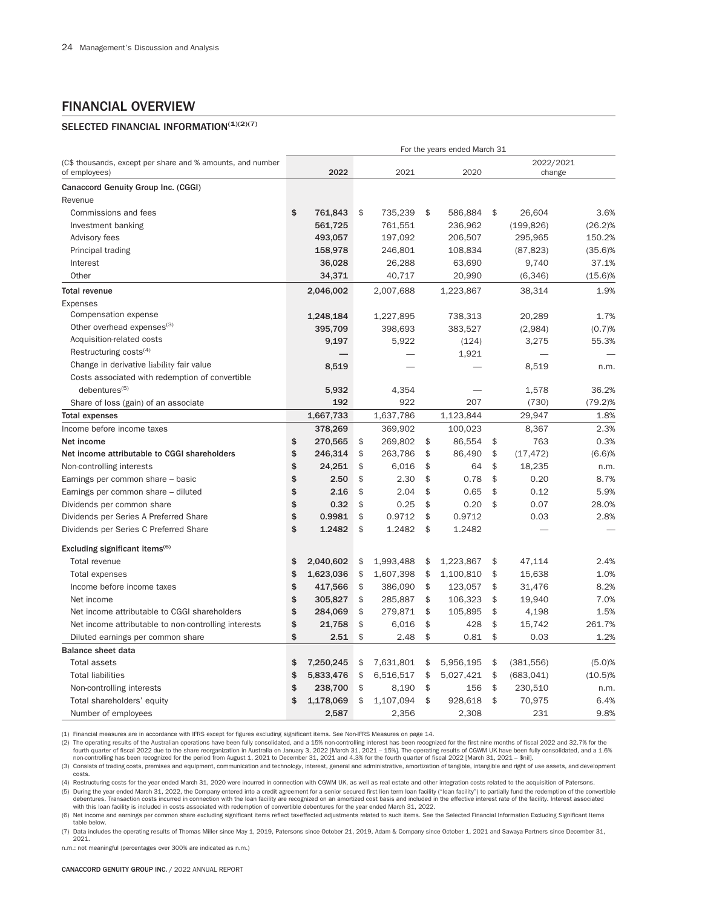# FINANCIAL OVERVIEW

# SELECTED FINANCIAL INFORMATION(1)(2)(7)

|                                                                             | For the years ended March 31 |           |    |           |    |           |    |                     |            |  |  |
|-----------------------------------------------------------------------------|------------------------------|-----------|----|-----------|----|-----------|----|---------------------|------------|--|--|
| (C\$ thousands, except per share and % amounts, and number<br>of employees) |                              | 2022      |    | 2021      |    | 2020      |    | 2022/2021<br>change |            |  |  |
| Canaccord Genuity Group Inc. (CGGI)                                         |                              |           |    |           |    |           |    |                     |            |  |  |
| Revenue                                                                     |                              |           |    |           |    |           |    |                     |            |  |  |
| Commissions and fees                                                        | \$                           | 761,843   | \$ | 735,239   | \$ | 586,884   | \$ | 26,604              | 3.6%       |  |  |
| Investment banking                                                          |                              | 561,725   |    | 761,551   |    | 236,962   |    | (199, 826)          | $(26.2)\%$ |  |  |
| Advisory fees                                                               |                              | 493,057   |    | 197,092   |    | 206,507   |    | 295,965             | 150.2%     |  |  |
| Principal trading                                                           |                              | 158,978   |    | 246,801   |    | 108,834   |    | (87, 823)           | $(35.6)\%$ |  |  |
| Interest                                                                    |                              | 36,028    |    | 26,288    |    | 63,690    |    | 9,740               | 37.1%      |  |  |
| Other                                                                       |                              | 34,371    |    | 40,717    |    | 20,990    |    | (6, 346)            | $(15.6)\%$ |  |  |
| <b>Total revenue</b>                                                        |                              | 2,046,002 |    | 2,007,688 |    | 1,223,867 |    | 38,314              | 1.9%       |  |  |
| Expenses                                                                    |                              |           |    |           |    |           |    |                     |            |  |  |
| Compensation expense                                                        |                              | 1,248,184 |    | 1,227,895 |    | 738,313   |    | 20,289              | 1.7%       |  |  |
| Other overhead expenses <sup>(3)</sup>                                      |                              | 395,709   |    | 398,693   |    | 383,527   |    | (2,984)             | (0.7)%     |  |  |
| Acquisition-related costs                                                   |                              | 9,197     |    | 5,922     |    | (124)     |    | 3,275               | 55.3%      |  |  |
| Restructuring costs $(4)$                                                   |                              |           |    |           |    | 1,921     |    |                     |            |  |  |
| Change in derivative liability fair value                                   |                              | 8,519     |    |           |    |           |    | 8,519               | n.m.       |  |  |
| Costs associated with redemption of convertible                             |                              |           |    |           |    |           |    |                     |            |  |  |
| debentures <sup>(5)</sup>                                                   |                              | 5,932     |    | 4,354     |    |           |    | 1,578               | 36.2%      |  |  |
| Share of loss (gain) of an associate                                        |                              | 192       |    | 922       |    | 207       |    | (730)               | $(79.2)\%$ |  |  |
| <b>Total expenses</b>                                                       |                              | 1,667,733 |    | 1,637,786 |    | 1,123,844 |    | 29,947              | 1.8%       |  |  |
| Income before income taxes                                                  |                              | 378,269   |    | 369,902   |    | 100,023   |    | 8,367               | 2.3%       |  |  |
| Net income                                                                  | \$                           | 270,565   | \$ | 269,802   | \$ | 86,554    | \$ | 763                 | 0.3%       |  |  |
| Net income attributable to CGGI shareholders                                | \$                           | 246,314   | \$ | 263,786   | \$ | 86,490    | \$ | (17, 472)           | (6.6)%     |  |  |
| Non-controlling interests                                                   | \$                           | 24,251    | \$ | 6,016     | \$ | 64        | \$ | 18,235              | n.m.       |  |  |
| Earnings per common share - basic                                           | \$                           | 2.50      | \$ | 2.30      | \$ | 0.78      | \$ | 0.20                | 8.7%       |  |  |
| Earnings per common share - diluted                                         | \$                           | 2.16      | \$ | 2.04      | \$ | 0.65      | \$ | 0.12                | 5.9%       |  |  |
| Dividends per common share                                                  | \$                           | 0.32      | \$ | 0.25      | \$ | 0.20      | \$ | 0.07                | 28.0%      |  |  |
| Dividends per Series A Preferred Share                                      | \$                           | 0.9981    | \$ | 0.9712    | \$ | 0.9712    |    | 0.03                | 2.8%       |  |  |
| Dividends per Series C Preferred Share                                      | \$                           | 1.2482    | \$ | 1.2482    | \$ | 1.2482    |    |                     |            |  |  |
| Excluding significant items <sup>(6)</sup>                                  |                              |           |    |           |    |           |    |                     |            |  |  |
| Total revenue                                                               | \$                           | 2,040,602 | \$ | 1,993,488 | \$ | 1,223,867 | \$ | 47,114              | 2.4%       |  |  |
| Total expenses                                                              | \$                           | 1,623,036 | \$ | 1,607,398 | \$ | 1,100,810 | \$ | 15,638              | 1.0%       |  |  |
| Income before income taxes                                                  | \$                           | 417,566   | \$ | 386,090   | \$ | 123,057   | \$ | 31,476              | 8.2%       |  |  |
| Net income                                                                  | \$                           | 305,827   | \$ | 285,887   | \$ | 106,323   | \$ | 19,940              | 7.0%       |  |  |
| Net income attributable to CGGI shareholders                                | \$                           | 284,069   | \$ | 279,871   | \$ | 105,895   | \$ | 4,198               | 1.5%       |  |  |
| Net income attributable to non-controlling interests                        | \$                           | 21,758    | \$ | 6,016     | \$ | 428       | \$ | 15,742              | 261.7%     |  |  |
| Diluted earnings per common share                                           | \$                           | 2.51      | \$ | 2.48      | \$ | 0.81      | \$ | 0.03                | 1.2%       |  |  |
| <b>Balance sheet data</b>                                                   |                              |           |    |           |    |           |    |                     |            |  |  |
| <b>Total assets</b>                                                         | \$                           | 7,250,245 | \$ | 7,631,801 | \$ | 5,956,195 | \$ | (381, 556)          | (5.0)%     |  |  |
| <b>Total liabilities</b>                                                    | \$                           | 5,833,476 | \$ | 6,516,517 | \$ | 5,027,421 | \$ | (683, 041)          | $(10.5)\%$ |  |  |
| Non-controlling interests                                                   | \$                           | 238,700   | \$ | 8,190     | \$ | 156       | \$ | 230,510             | n.m.       |  |  |
| Total shareholders' equity                                                  | \$                           | 1,178,069 | \$ | 1,107,094 | \$ | 928,618   | \$ | 70,975              | 6.4%       |  |  |
| Number of employees                                                         |                              | 2.587     |    | 2.356     |    | 2.308     |    | 231                 | 9.8%       |  |  |

(1) Financial measures are in accordance with IFRS except for figures excluding significant items. See Non-IFRS Measures on page 14.

(2) The operating results of the Australian operations have been fully consolidated, and a 15% non-controlling interest has been recognized for the first nine months of fiscal 2022 and 32.7% for the<br>6. fourth quarter of fi non-controlling has been recognized for the period from August 1, 2021 to December 31, 2021 and 4.3% for the fourth quarter of fiscal 2022 [March 31, 2021 – \$nil].

(3) Consists of trading costs, premises and equipment, communication and technology, interest, general and administrative, amortization of tangible, intangible and right of use assets, and development costs.

(4) Restructuring costs for the year ended March 31, 2020 were incurred in connection with CGWM UK, as well as real estate and other integration costs related to the acquisition of Patersons. (5) During the year ended March 31, 2022, the Company entered into a credit agreement for a senior secured first lien term loan facility ("loan facility") to partially fund the redemption of the convertible debentures. Transaction costs incurred in connection with the loan facility are recognized on an amortized cost basis and included in the effective interest rate of the facility. Interest associated<br>with this loan facility

(6) Net income and earnings per common share excluding significant items reflect taxeffected adjustments related to such items. See the Selected Financial Information Excluding Significant Items table below.

(7) Data includes the operating results of Thomas Miller since May 1, 2019, Patersons since October 21, 2019, Adam & Company since October 1, 2021 and Sawaya Partners since December 31, 2021.

n.m.: not meaningful (percentages over 300% are indicated as n.m.)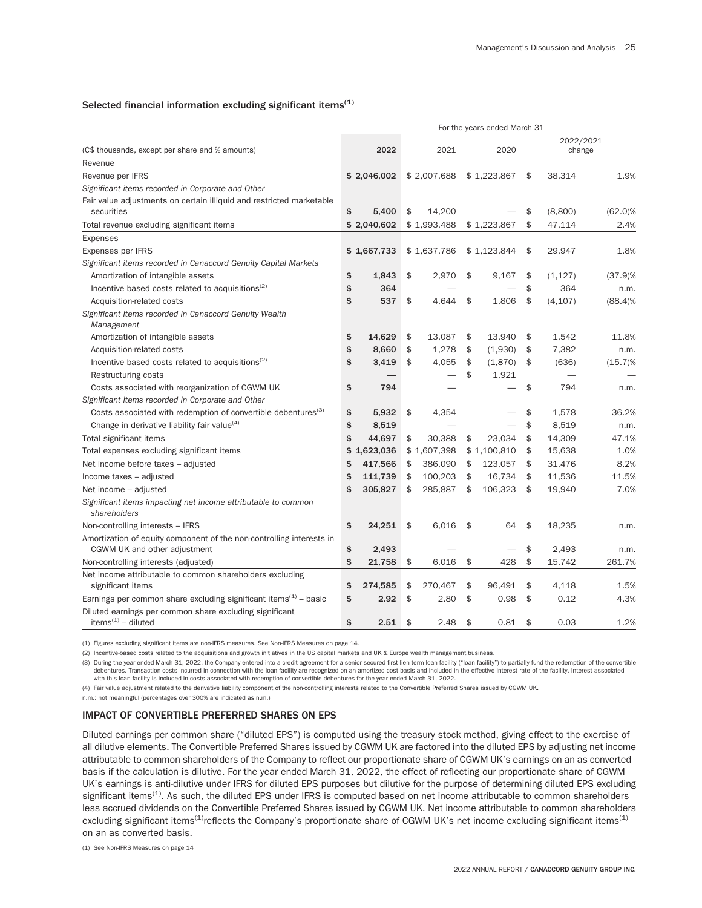#### Selected financial information excluding significant items $(1)$

|                                                                                  | For the years ended March 31 |             |    |             |    |             |    |           |            |  |  |  |  |
|----------------------------------------------------------------------------------|------------------------------|-------------|----|-------------|----|-------------|----|-----------|------------|--|--|--|--|
|                                                                                  |                              |             |    |             |    |             |    | 2022/2021 |            |  |  |  |  |
| (C\$ thousands, except per share and % amounts)                                  |                              | 2022        |    | 2021        |    | 2020        |    | change    |            |  |  |  |  |
| Revenue                                                                          |                              |             |    |             |    |             |    |           |            |  |  |  |  |
| Revenue per IFRS                                                                 |                              | \$2,046,002 |    | \$2,007,688 |    | \$1,223,867 | \$ | 38,314    | 1.9%       |  |  |  |  |
| Significant items recorded in Corporate and Other                                |                              |             |    |             |    |             |    |           |            |  |  |  |  |
| Fair value adjustments on certain illiquid and restricted marketable             |                              |             |    |             |    |             |    |           |            |  |  |  |  |
| securities                                                                       | \$                           | 5,400       | \$ | 14,200      |    |             | \$ | (8,800)   | $(62.0)\%$ |  |  |  |  |
| Total revenue excluding significant items                                        |                              | \$2,040,602 |    | \$1,993,488 |    | \$1,223,867 | \$ | 47,114    | 2.4%       |  |  |  |  |
| <b>Expenses</b>                                                                  |                              |             |    |             |    |             |    |           |            |  |  |  |  |
| Expenses per IFRS                                                                |                              | \$1,667,733 |    | \$1,637,786 |    | \$1,123,844 | \$ | 29,947    | 1.8%       |  |  |  |  |
| Significant items recorded in Canaccord Genuity Capital Markets                  |                              |             |    |             |    |             |    |           |            |  |  |  |  |
| Amortization of intangible assets                                                | \$                           | 1.843       | \$ | 2.970       | \$ | 9,167       | \$ | (1, 127)  | (37.9)%    |  |  |  |  |
| Incentive based costs related to acquisitions <sup>(2)</sup>                     | \$                           | 364         |    |             |    |             | \$ | 364       | n.m.       |  |  |  |  |
| Acquisition-related costs                                                        | \$                           | 537         | \$ | 4.644       | \$ | 1,806       | \$ | (4, 107)  | (88.4)%    |  |  |  |  |
| Significant items recorded in Canaccord Genuity Wealth<br>Management             |                              |             |    |             |    |             |    |           |            |  |  |  |  |
| Amortization of intangible assets                                                | \$                           | 14,629      | \$ | 13,087      | \$ | 13,940      | \$ | 1,542     | 11.8%      |  |  |  |  |
| Acquisition-related costs                                                        | \$                           | 8,660       | \$ | 1,278       | \$ | (1,930)     | \$ | 7,382     | n.m.       |  |  |  |  |
| Incentive based costs related to acquisitions <sup>(2)</sup>                     | \$                           | 3,419       | \$ | 4,055       | \$ | (1,870)     | \$ | (636)     | $(15.7)\%$ |  |  |  |  |
| Restructuring costs                                                              |                              |             |    |             | \$ | 1,921       |    |           |            |  |  |  |  |
| Costs associated with reorganization of CGWM UK                                  | \$                           | 794         |    |             |    |             | \$ | 794       | n.m.       |  |  |  |  |
| Significant items recorded in Corporate and Other                                |                              |             |    |             |    |             |    |           |            |  |  |  |  |
| Costs associated with redemption of convertible debentures <sup>(3)</sup>        | \$                           | 5,932       | \$ | 4,354       |    |             | \$ | 1,578     | 36.2%      |  |  |  |  |
| Change in derivative liability fair value <sup>(4)</sup>                         | \$                           | 8,519       |    |             |    |             | \$ | 8,519     | n.m.       |  |  |  |  |
| Total significant items                                                          | \$                           | 44,697      | \$ | 30,388      | \$ | 23,034      | \$ | 14,309    | 47.1%      |  |  |  |  |
| Total expenses excluding significant items                                       |                              | \$1,623,036 |    | \$1,607,398 |    | \$1,100,810 | \$ | 15,638    | 1.0%       |  |  |  |  |
| Net income before taxes - adjusted                                               | \$                           | 417,566     | \$ | 386,090     | \$ | 123,057     | \$ | 31,476    | 8.2%       |  |  |  |  |
| Income taxes - adjusted                                                          | \$                           | 111,739     | \$ | 100,203     | \$ | 16,734      | \$ | 11,536    | 11.5%      |  |  |  |  |
| Net income - adjusted                                                            | \$                           | 305,827     | \$ | 285,887     | \$ | 106,323     | \$ | 19,940    | 7.0%       |  |  |  |  |
| Significant items impacting net income attributable to common<br>shareholders    |                              |             |    |             |    |             |    |           |            |  |  |  |  |
| Non-controlling interests - IFRS                                                 | \$                           | 24,251      | \$ | 6,016       | \$ | 64          | \$ | 18,235    | n.m.       |  |  |  |  |
| Amortization of equity component of the non-controlling interests in             |                              |             |    |             |    |             |    |           |            |  |  |  |  |
| CGWM UK and other adjustment                                                     | \$                           | 2,493       |    |             |    |             | \$ | 2,493     | n.m.       |  |  |  |  |
| Non-controlling interests (adjusted)                                             | \$                           | 21,758      | \$ | 6,016       | \$ | 428         | \$ | 15,742    | 261.7%     |  |  |  |  |
| Net income attributable to common shareholders excluding                         |                              |             |    |             |    |             |    |           |            |  |  |  |  |
| significant items                                                                | \$                           | 274,585     | \$ | 270,467     | \$ | 96,491      | \$ | 4,118     | 1.5%       |  |  |  |  |
| Earnings per common share excluding significant items $(1)$ – basic              | \$                           | 2.92        | \$ | 2.80        | \$ | 0.98        | \$ | 0.12      | 4.3%       |  |  |  |  |
| Diluted earnings per common share excluding significant<br>items $(1)$ – diluted | \$                           | 2.51        | \$ | 2.48        | \$ | 0.81        | \$ | 0.03      | 1.2%       |  |  |  |  |

(1) Figures excluding significant items are non-IFRS measures. See Non-IFRS Measures on page 14.

(2) Incentive-based costs related to the acquisitions and growth initiatives in the US capital markets and UK & Europe wealth management business.

(3) During the year ended March 31, 2022, the Company entered into a credit agreement for a senior secured first lien term loan facility ("loan facility") to partially fund the redemption of the convertible debentures. Transaction costs incurred in connection with the loan facility are recognized on an amortized cost basis and included in the effective interest rate of the facility. Interest associated with this loan facility is included in costs associated with redemption of convertible debentures for the year ended March 31, 2022.

(4) Fair value adjustment related to the derivative liability component of the non-controlling interests related to the Convertible Preferred Shares issued by CGWM UK.

n.m.: not meaningful (percentages over 300% are indicated as n.m.)

### IMPACT OF CONVERTIBLE PREFERRED SHARES ON EPS

Diluted earnings per common share ("diluted EPS") is computed using the treasury stock method, giving effect to the exercise of all dilutive elements. The Convertible Preferred Shares issued by CGWM UK are factored into the diluted EPS by adjusting net income attributable to common shareholders of the Company to reflect our proportionate share of CGWM UK's earnings on an as converted basis if the calculation is dilutive. For the year ended March 31, 2022, the effect of reflecting our proportionate share of CGWM UK's earnings is anti-dilutive under IFRS for diluted EPS purposes but dilutive for the purpose of determining diluted EPS excluding significant items<sup>(1)</sup>. As such, the diluted EPS under IFRS is computed based on net income attributable to common shareholders less accrued dividends on the Convertible Preferred Shares issued by CGWM UK. Net income attributable to common shareholders excluding significant items<sup>(1)</sup>reflects the Company's proportionate share of CGWM UK's net income excluding significant items<sup>(1)</sup> on an as converted basis.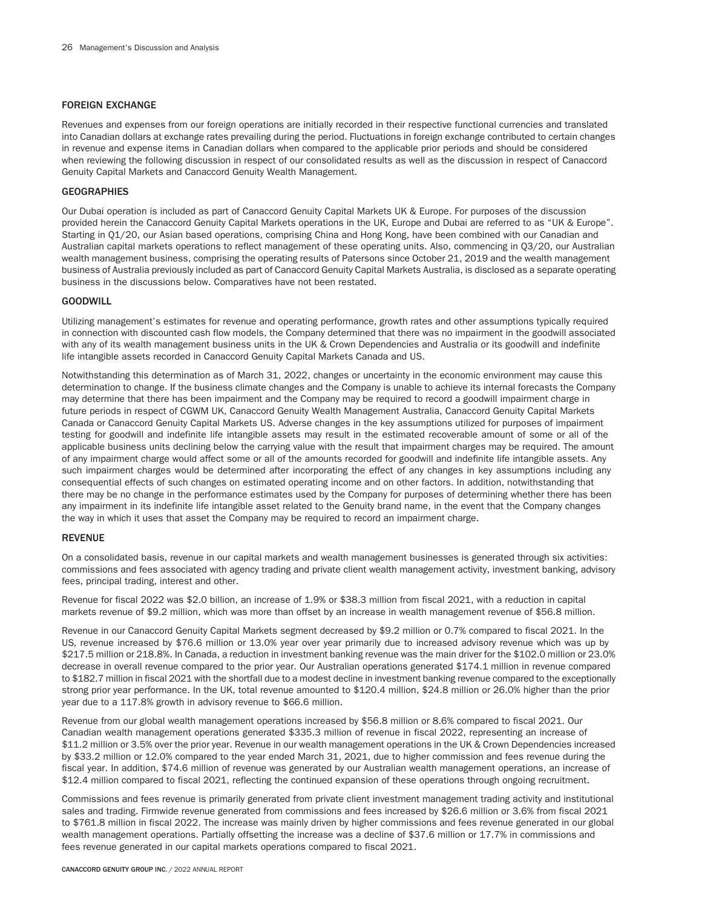## FOREIGN EXCHANGE

Revenues and expenses from our foreign operations are initially recorded in their respective functional currencies and translated into Canadian dollars at exchange rates prevailing during the period. Fluctuations in foreign exchange contributed to certain changes in revenue and expense items in Canadian dollars when compared to the applicable prior periods and should be considered when reviewing the following discussion in respect of our consolidated results as well as the discussion in respect of Canaccord Genuity Capital Markets and Canaccord Genuity Wealth Management.

## **GEOGRAPHIES**

Our Dubai operation is included as part of Canaccord Genuity Capital Markets UK & Europe. For purposes of the discussion provided herein the Canaccord Genuity Capital Markets operations in the UK, Europe and Dubai are referred to as "UK & Europe". Starting in Q1/20, our Asian based operations, comprising China and Hong Kong, have been combined with our Canadian and Australian capital markets operations to reflect management of these operating units. Also, commencing in Q3/20, our Australian wealth management business, comprising the operating results of Patersons since October 21, 2019 and the wealth management business of Australia previously included as part of Canaccord Genuity Capital Markets Australia, is disclosed as a separate operating business in the discussions below. Comparatives have not been restated.

# GOODWILL

Utilizing management's estimates for revenue and operating performance, growth rates and other assumptions typically required in connection with discounted cash flow models, the Company determined that there was no impairment in the goodwill associated with any of its wealth management business units in the UK & Crown Dependencies and Australia or its goodwill and indefinite life intangible assets recorded in Canaccord Genuity Capital Markets Canada and US.

Notwithstanding this determination as of March 31, 2022, changes or uncertainty in the economic environment may cause this determination to change. If the business climate changes and the Company is unable to achieve its internal forecasts the Company may determine that there has been impairment and the Company may be required to record a goodwill impairment charge in future periods in respect of CGWM UK, Canaccord Genuity Wealth Management Australia, Canaccord Genuity Capital Markets Canada or Canaccord Genuity Capital Markets US. Adverse changes in the key assumptions utilized for purposes of impairment testing for goodwill and indefinite life intangible assets may result in the estimated recoverable amount of some or all of the applicable business units declining below the carrying value with the result that impairment charges may be required. The amount of any impairment charge would affect some or all of the amounts recorded for goodwill and indefinite life intangible assets. Any such impairment charges would be determined after incorporating the effect of any changes in key assumptions including any consequential effects of such changes on estimated operating income and on other factors. In addition, notwithstanding that there may be no change in the performance estimates used by the Company for purposes of determining whether there has been any impairment in its indefinite life intangible asset related to the Genuity brand name, in the event that the Company changes the way in which it uses that asset the Company may be required to record an impairment charge.

## REVENUE

On a consolidated basis, revenue in our capital markets and wealth management businesses is generated through six activities: commissions and fees associated with agency trading and private client wealth management activity, investment banking, advisory fees, principal trading, interest and other.

Revenue for fiscal 2022 was \$2.0 billion, an increase of 1.9% or \$38.3 million from fiscal 2021, with a reduction in capital markets revenue of \$9.2 million, which was more than offset by an increase in wealth management revenue of \$56.8 million.

Revenue in our Canaccord Genuity Capital Markets segment decreased by \$9.2 million or 0.7% compared to fiscal 2021. In the US, revenue increased by \$76.6 million or 13.0% year over year primarily due to increased advisory revenue which was up by \$217.5 million or 218.8%. In Canada, a reduction in investment banking revenue was the main driver for the \$102.0 million or 23.0% decrease in overall revenue compared to the prior year. Our Australian operations generated \$174.1 million in revenue compared to \$182.7 million in fiscal 2021 with the shortfall due to a modest decline in investment banking revenue compared to the exceptionally strong prior year performance. In the UK, total revenue amounted to \$120.4 million, \$24.8 million or 26.0% higher than the prior year due to a 117.8% growth in advisory revenue to \$66.6 million.

Revenue from our global wealth management operations increased by \$56.8 million or 8.6% compared to fiscal 2021. Our Canadian wealth management operations generated \$335.3 million of revenue in fiscal 2022, representing an increase of \$11.2 million or 3.5% over the prior year. Revenue in our wealth management operations in the UK & Crown Dependencies increased by \$33.2 million or 12.0% compared to the year ended March 31, 2021, due to higher commission and fees revenue during the fiscal year. In addition, \$74.6 million of revenue was generated by our Australian wealth management operations, an increase of \$12.4 million compared to fiscal 2021, reflecting the continued expansion of these operations through ongoing recruitment.

Commissions and fees revenue is primarily generated from private client investment management trading activity and institutional sales and trading. Firmwide revenue generated from commissions and fees increased by \$26.6 million or 3.6% from fiscal 2021 to \$761.8 million in fiscal 2022. The increase was mainly driven by higher commissions and fees revenue generated in our global wealth management operations. Partially offsetting the increase was a decline of \$37.6 million or 17.7% in commissions and fees revenue generated in our capital markets operations compared to fiscal 2021.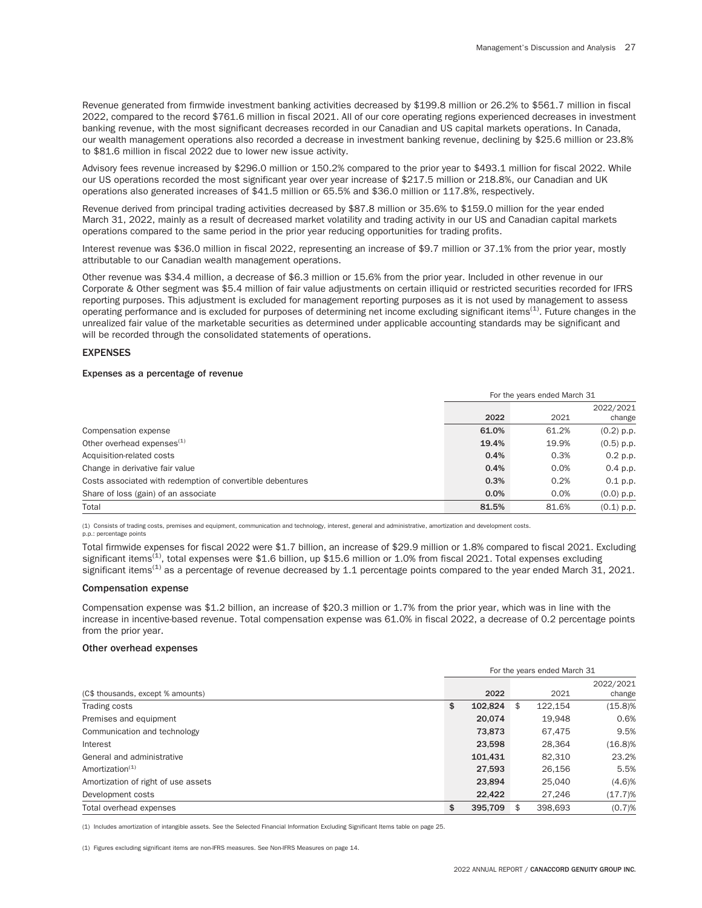Revenue generated from firmwide investment banking activities decreased by \$199.8 million or 26.2% to \$561.7 million in fiscal 2022, compared to the record \$761.6 million in fiscal 2021. All of our core operating regions experienced decreases in investment banking revenue, with the most significant decreases recorded in our Canadian and US capital markets operations. In Canada, our wealth management operations also recorded a decrease in investment banking revenue, declining by \$25.6 million or 23.8% to \$81.6 million in fiscal 2022 due to lower new issue activity.

Advisory fees revenue increased by \$296.0 million or 150.2% compared to the prior year to \$493.1 million for fiscal 2022. While our US operations recorded the most significant year over year increase of \$217.5 million or 218.8%, our Canadian and UK operations also generated increases of \$41.5 million or 65.5% and \$36.0 million or 117.8%, respectively.

Revenue derived from principal trading activities decreased by \$87.8 million or 35.6% to \$159.0 million for the year ended March 31, 2022, mainly as a result of decreased market volatility and trading activity in our US and Canadian capital markets operations compared to the same period in the prior year reducing opportunities for trading profits.

Interest revenue was \$36.0 million in fiscal 2022, representing an increase of \$9.7 million or 37.1% from the prior year, mostly attributable to our Canadian wealth management operations.

Other revenue was \$34.4 million, a decrease of \$6.3 million or 15.6% from the prior year. Included in other revenue in our Corporate & Other segment was \$5.4 million of fair value adjustments on certain illiquid or restricted securities recorded for IFRS reporting purposes. This adjustment is excluded for management reporting purposes as it is not used by management to assess operating performance and is excluded for purposes of determining net income excluding significant items<sup>(1)</sup>. Future changes in the unrealized fair value of the marketable securities as determined under applicable accounting standards may be significant and will be recorded through the consolidated statements of operations.

## EXPENSES

#### Expenses as a percentage of revenue

|                                                            |       | For the years ended March 31 |              |
|------------------------------------------------------------|-------|------------------------------|--------------|
|                                                            |       |                              | 2022/2021    |
|                                                            | 2022  | 2021                         | change       |
| Compensation expense                                       | 61.0% | 61.2%                        | $(0.2)$ p.p. |
| Other overhead expenses $(1)$                              | 19.4% | 19.9%                        | $(0.5)$ p.p. |
| Acquisition-related costs                                  | 0.4%  | 0.3%                         | 0.2 p.p.     |
| Change in derivative fair value                            | 0.4%  | 0.0%                         | $0.4$ p.p.   |
| Costs associated with redemption of convertible debentures | 0.3%  | 0.2%                         | $0.1$ p.p.   |
| Share of loss (gain) of an associate                       | 0.0%  | 0.0%                         | $(0.0)$ p.p. |
| Total                                                      | 81.5% | 81.6%                        | $(0.1)$ p.p. |

(1) Consists of trading costs, premises and equipment, communication and technology, interest, general and administrative, amortization and development costs.

#### p.p.: percentage points

Total firmwide expenses for fiscal 2022 were \$1.7 billion, an increase of \$29.9 million or 1.8% compared to fiscal 2021. Excluding significant items<sup>(1)</sup>, total expenses were \$1.6 billion, up \$15.6 million or 1.0% from fiscal 2021. Total expenses excluding significant items<sup>(1)</sup> as a percentage of revenue decreased by 1.1 percentage points compared to the year ended March 31, 2021.

## Compensation expense

Compensation expense was \$1.2 billion, an increase of \$20.3 million or 1.7% from the prior year, which was in line with the increase in incentive-based revenue. Total compensation expense was 61.0% in fiscal 2022, a decrease of 0.2 percentage points from the prior year.

### Other overhead expenses

|                                     |               |      | For the years ended March 31 |            |
|-------------------------------------|---------------|------|------------------------------|------------|
|                                     |               |      |                              | 2022/2021  |
| (C\$ thousands, except % amounts)   |               | 2022 | 2021                         | change     |
| Trading costs                       | \$<br>102.824 |      | 122.154<br>\$                | $(15.8)\%$ |
| Premises and equipment              | 20.074        |      | 19.948                       | 0.6%       |
| Communication and technology        | 73.873        |      | 67,475                       | 9.5%       |
| Interest                            | 23,598        |      | 28.364                       | $(16.8)\%$ |
| General and administrative          | 101.431       |      | 82,310                       | 23.2%      |
| Amortization $(1)$                  | 27,593        |      | 26.156                       | 5.5%       |
| Amortization of right of use assets | 23,894        |      | 25.040                       | (4.6)%     |
| Development costs                   | 22.422        |      | 27.246                       | (17.7)%    |
| Total overhead expenses             | \$<br>395.709 |      | 398.693                      | (0.7)%     |

(1) Includes amortization of intangible assets. See the Selected Financial Information Excluding Significant Items table on page 25.

(1) Figures excluding significant items are non-IFRS measures. See Non-IFRS Measures on page 14.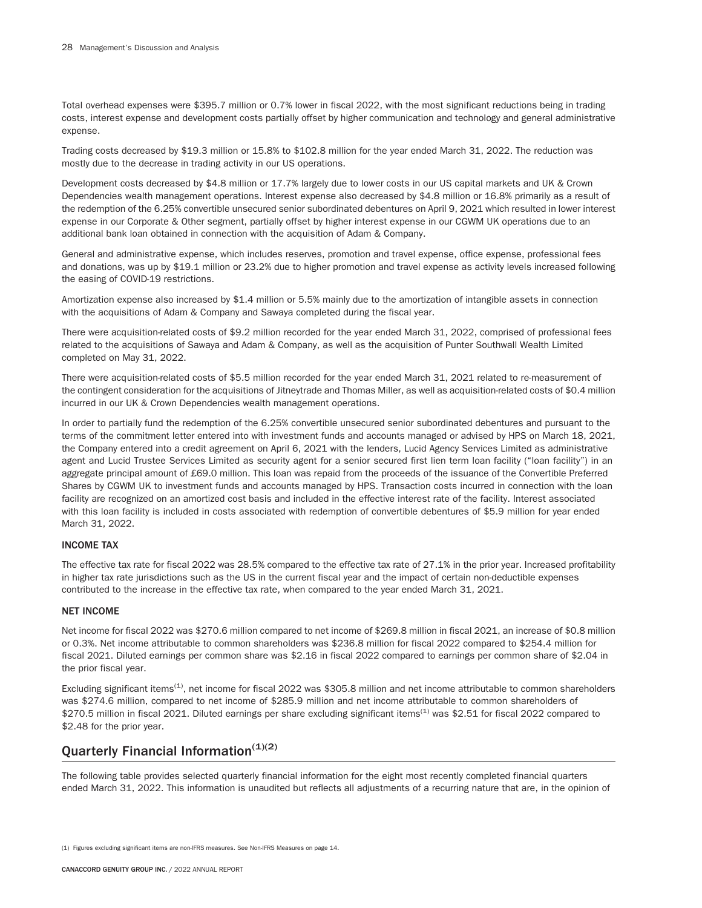Total overhead expenses were \$395.7 million or 0.7% lower in fiscal 2022, with the most significant reductions being in trading costs, interest expense and development costs partially offset by higher communication and technology and general administrative expense.

Trading costs decreased by \$19.3 million or 15.8% to \$102.8 million for the year ended March 31, 2022. The reduction was mostly due to the decrease in trading activity in our US operations.

Development costs decreased by \$4.8 million or 17.7% largely due to lower costs in our US capital markets and UK & Crown Dependencies wealth management operations. Interest expense also decreased by \$4.8 million or 16.8% primarily as a result of the redemption of the 6.25% convertible unsecured senior subordinated debentures on April 9, 2021 which resulted in lower interest expense in our Corporate & Other segment, partially offset by higher interest expense in our CGWM UK operations due to an additional bank loan obtained in connection with the acquisition of Adam & Company.

General and administrative expense, which includes reserves, promotion and travel expense, office expense, professional fees and donations, was up by \$19.1 million or 23.2% due to higher promotion and travel expense as activity levels increased following the easing of COVID-19 restrictions.

Amortization expense also increased by \$1.4 million or 5.5% mainly due to the amortization of intangible assets in connection with the acquisitions of Adam & Company and Sawaya completed during the fiscal year.

There were acquisition-related costs of \$9.2 million recorded for the year ended March 31, 2022, comprised of professional fees related to the acquisitions of Sawaya and Adam & Company, as well as the acquisition of Punter Southwall Wealth Limited completed on May 31, 2022.

There were acquisition-related costs of \$5.5 million recorded for the year ended March 31, 2021 related to re-measurement of the contingent consideration for the acquisitions of Jitneytrade and Thomas Miller, as well as acquisition-related costs of \$0.4 million incurred in our UK & Crown Dependencies wealth management operations.

In order to partially fund the redemption of the 6.25% convertible unsecured senior subordinated debentures and pursuant to the terms of the commitment letter entered into with investment funds and accounts managed or advised by HPS on March 18, 2021, the Company entered into a credit agreement on April 6, 2021 with the lenders, Lucid Agency Services Limited as administrative agent and Lucid Trustee Services Limited as security agent for a senior secured first lien term loan facility ("loan facility") in an aggregate principal amount of £69.0 million. This loan was repaid from the proceeds of the issuance of the Convertible Preferred Shares by CGWM UK to investment funds and accounts managed by HPS. Transaction costs incurred in connection with the loan facility are recognized on an amortized cost basis and included in the effective interest rate of the facility. Interest associated with this loan facility is included in costs associated with redemption of convertible debentures of \$5.9 million for year ended March 31, 2022.

# INCOME TAX

The effective tax rate for fiscal 2022 was 28.5% compared to the effective tax rate of 27.1% in the prior year. Increased profitability in higher tax rate jurisdictions such as the US in the current fiscal year and the impact of certain non-deductible expenses contributed to the increase in the effective tax rate, when compared to the year ended March 31, 2021.

# NET INCOME

Net income for fiscal 2022 was \$270.6 million compared to net income of \$269.8 million in fiscal 2021, an increase of \$0.8 million or 0.3%. Net income attributable to common shareholders was \$236.8 million for fiscal 2022 compared to \$254.4 million for fiscal 2021. Diluted earnings per common share was \$2.16 in fiscal 2022 compared to earnings per common share of \$2.04 in the prior fiscal year.

Excluding significant items<sup>(1)</sup>, net income for fiscal 2022 was \$305.8 million and net income attributable to common shareholders was \$274.6 million, compared to net income of \$285.9 million and net income attributable to common shareholders of \$270.5 million in fiscal 2021. Diluted earnings per share excluding significant items<sup>(1)</sup> was \$2.51 for fiscal 2022 compared to \$2.48 for the prior year.

# Quarterly Financial Information $(1)(2)$

The following table provides selected quarterly financial information for the eight most recently completed financial quarters ended March 31, 2022. This information is unaudited but reflects all adjustments of a recurring nature that are, in the opinion of

<sup>(1)</sup> Figures excluding significant items are non-IFRS measures. See Non-IFRS Measures on page 14.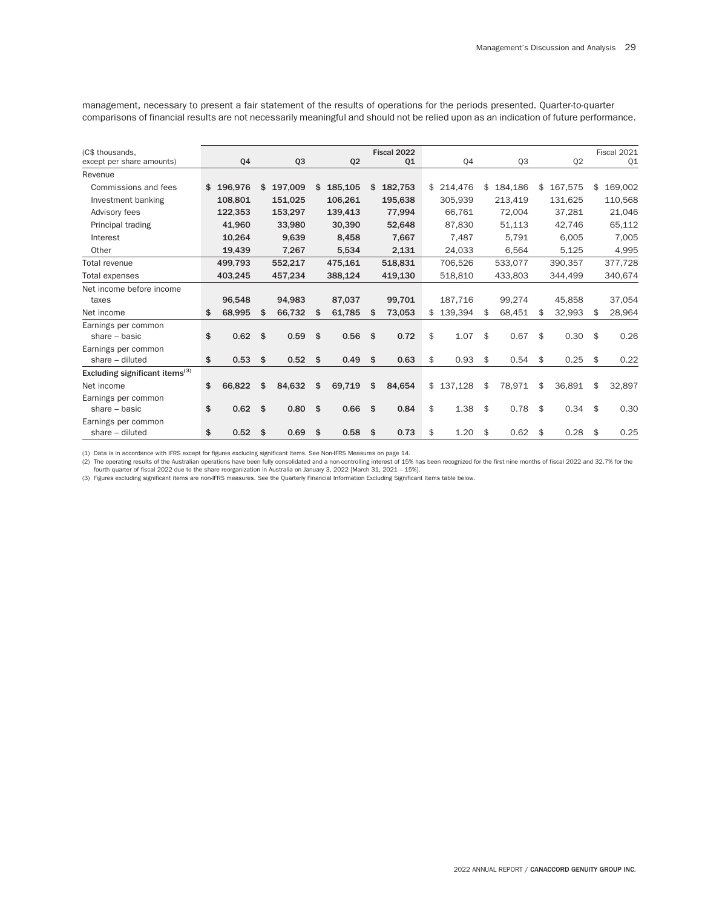management, necessary to present a fair statement of the results of operations for the periods presented. Quarter-to-quarter comparisons of financial results are not necessarily meaningful and should not be relied upon as an indication of future performance.

| (C\$ thousands,                            |                 |     |         |                |    | Fiscal 2022 |            |                |               | Fiscal 2021   |
|--------------------------------------------|-----------------|-----|---------|----------------|----|-------------|------------|----------------|---------------|---------------|
| except per share amounts)                  | Q4              |     | Q3      | Q <sub>2</sub> |    | Q1          | Q4         | Q <sub>3</sub> | Q2            | Q1            |
| Revenue                                    |                 |     |         |                |    |             |            |                |               |               |
| Commissions and fees                       | \$196,976       | \$  | 197,009 | \$<br>185,105  | \$ | 182,753     | \$214,476  | \$<br>184,186  | \$<br>167,575 | \$<br>169,002 |
| Investment banking                         | 108,801         |     | 151,025 | 106,261        |    | 195,638     | 305,939    | 213,419        | 131,625       | 110,568       |
| Advisory fees                              | 122,353         |     | 153,297 | 139,413        |    | 77,994      | 66,761     | 72,004         | 37,281        | 21,046        |
| Principal trading                          | 41.960          |     | 33,980  | 30,390         |    | 52,648      | 87.830     | 51,113         | 42,746        | 65,112        |
| Interest                                   | 10,264          |     | 9.639   | 8,458          |    | 7,667       | 7,487      | 5.791          | 6.005         | 7,005         |
| Other                                      | 19,439          |     | 7,267   | 5,534          |    | 2,131       | 24,033     | 6,564          | 5,125         | 4,995         |
| Total revenue                              | 499,793         |     | 552,217 | 475,161        |    | 518,831     | 706.526    | 533,077        | 390.357       | 377,728       |
| Total expenses                             | 403,245         |     | 457,234 | 388,124        |    | 419,130     | 518,810    | 433.803        | 344,499       | 340,674       |
| Net income before income                   |                 |     |         |                |    |             |            |                |               |               |
| taxes                                      | 96,548          |     | 94.983  | 87,037         |    | 99,701      | 187,716    | 99,274         | 45,858        | 37,054        |
| Net income                                 | \$<br>68,995    | \$. | 66,732  | 61,785         | S  | 73,053      | 139,394    | \$<br>68,451   | \$<br>32,993  | \$<br>28,964  |
| Earnings per common                        |                 |     |         |                |    |             |            |                |               |               |
| share $-$ basic                            | \$<br>0.62      | \$  | 0.59    | \$<br>0.56     | \$ | 0.72        | \$<br>1.07 | \$<br>0.67     | \$<br>0.30    | \$<br>0.26    |
| Earnings per common                        |                 |     |         |                |    |             |            |                |               |               |
| share $-$ diluted                          | \$<br>$0.53$ \$ |     | 0.52    | \$<br>0.49     | \$ | 0.63        | \$<br>0.93 | \$<br>0.54     | \$<br>0.25    | \$<br>0.22    |
| Excluding significant items <sup>(3)</sup> |                 |     |         |                |    |             |            |                |               |               |
| Net income                                 | \$<br>66.822    | \$  | 84,632  | \$<br>69,719   | \$ | 84,654      | \$137,128  | \$<br>78,971   | \$<br>36,891  | \$<br>32,897  |
| Earnings per common                        |                 |     |         |                |    |             |            |                |               |               |
| share $-$ basic                            | \$<br>0.62      | \$  | 0.80    | \$<br>0.66     | \$ | 0.84        | \$<br>1.38 | \$<br>0.78     | \$<br>0.34    | \$<br>0.30    |
| Earnings per common                        |                 |     |         |                |    |             |            |                |               |               |
| share - diluted                            | \$<br>0.52      | \$  | 0.69    | \$<br>0.58     | \$ | 0.73        | \$<br>1.20 | \$<br>0.62     | \$<br>0.28    | \$<br>0.25    |

(1) Data is in accordance with IFRS except for figures excluding significant items. See Non-IFRS Measures on page 14.

(2) The operating results of the Australian operations have been fully consolidated and a non-controlling interest of 15% has been recognized for the first nine months of fiscal 2022 and 32.7% for the<br>fourth quarter of fis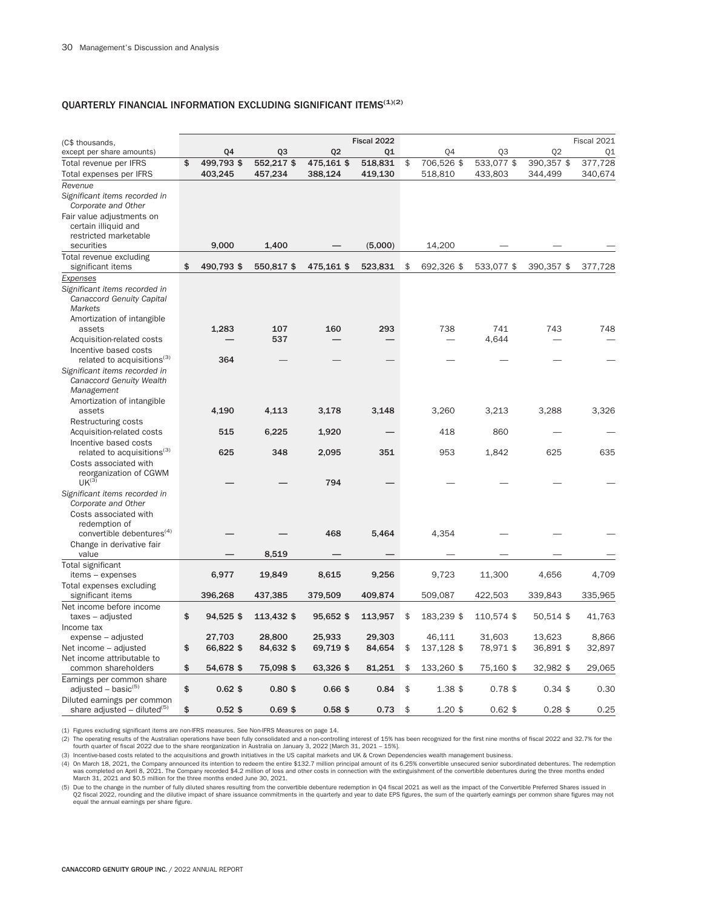# QUARTERLY FINANCIAL INFORMATION EXCLUDING SIGNIFICANT ITEMS $^{(1)(2)}$

| 02<br>Q <sub>2</sub><br>except per share amounts)<br>Q4<br>Q <sub>3</sub><br>01<br>04<br>Q <sub>3</sub><br>Q1<br>499,793 \$<br>552,217\$<br>475,161 \$<br>533,077 \$<br>377,728<br>Total revenue per IFRS<br>\$<br>518,831<br>\$<br>706,526 \$<br>390,357 \$<br>403,245<br>457,234<br>419,130<br>518,810<br>433,803<br>340,674<br>Total expenses per IFRS<br>388,124<br>344,499<br>Revenue<br>Significant items recorded in<br>Corporate and Other<br>Fair value adjustments on<br>certain illiquid and<br>restricted marketable<br>9,000<br>securities<br>1,400<br>(5,000)<br>14,200<br>Total revenue excluding<br>\$<br>significant items<br>490,793 \$<br>550,817 \$<br>475,161 \$<br>523,831<br>\$<br>692,326 \$<br>533,077 \$<br>390,357 \$<br>377,728<br>Expenses<br>Significant items recorded in<br>Canaccord Genuity Capital<br>Markets<br>Amortization of intangible<br>107<br>293<br>738<br>743<br>748<br>1.283<br>160<br>741<br>assets<br>537<br>4,644<br>Acquisition-related costs<br>Incentive based costs<br>related to acquisitions <sup>(3)</sup><br>364<br>Significant items recorded in<br>Canaccord Genuity Wealth<br>Management<br>Amortization of intangible<br>4,190<br>4,113<br>3,178<br>3,148<br>3,260<br>3,213<br>3,288<br>3,326<br>assets<br>Restructuring costs<br>Acquisition-related costs<br>515<br>6,225<br>1,920<br>418<br>860<br>Incentive based costs<br>related to acquisitions <sup>(3)</sup><br>625<br>625<br>635<br>348<br>2,095<br>351<br>953<br>1,842<br>Costs associated with<br>reorganization of CGWM<br>$UK^{(3)}$<br>794<br>Significant items recorded in<br>Corporate and Other<br>Costs associated with<br>redemption of<br>convertible debentures <sup>(4)</sup><br>468<br>5,464<br>4,354<br>Change in derivative fair<br>8,519<br>value<br>Total significant<br>6,977<br>items - expenses<br>19,849<br>8,615<br>9,256<br>9.723<br>11,300<br>4,656<br>4,709<br>Total expenses excluding<br>396,268<br>437,385<br>379,509<br>409,874<br>509,087<br>422,503<br>339,843<br>335,965<br>significant items<br>Net income before income<br>\$<br>94,525 \$<br>113,432 \$<br>95,652 \$<br>183,239 \$<br>110,574 \$<br>50,514 \$<br>taxes - adjusted<br>113,957<br>\$<br>41,763<br>Income tax<br>27,703<br>28,800<br>25,933<br>13,623<br>expense - adjusted<br>29,303<br>46,111<br>31,603<br>8,866<br>\$<br>66,822 \$<br>84,632 \$<br>69,719 \$<br>84,654<br>137,128 \$<br>78,971 \$<br>36,891 \$<br>32,897<br>Net income - adjusted<br>\$<br>Net income attributable to<br>\$<br>75,098 \$<br>63,326 \$<br>81,251<br>133,260 \$<br>32,982 \$<br>29,065<br>common shareholders<br>54,678 \$<br>\$<br>75,160 \$<br>Earnings per common share<br>\$<br>adjusted – basic $(5)$<br>$0.62$ \$<br>$0.80$ \$<br>$0.66$ \$<br>0.84<br>\$<br>1.38 \$<br>$0.78$ \$<br>$0.34$ \$<br>0.30 | (C\$ thousands, |  |  | Fiscal 2022 |  |  | Fiscal 2021 |
|-----------------------------------------------------------------------------------------------------------------------------------------------------------------------------------------------------------------------------------------------------------------------------------------------------------------------------------------------------------------------------------------------------------------------------------------------------------------------------------------------------------------------------------------------------------------------------------------------------------------------------------------------------------------------------------------------------------------------------------------------------------------------------------------------------------------------------------------------------------------------------------------------------------------------------------------------------------------------------------------------------------------------------------------------------------------------------------------------------------------------------------------------------------------------------------------------------------------------------------------------------------------------------------------------------------------------------------------------------------------------------------------------------------------------------------------------------------------------------------------------------------------------------------------------------------------------------------------------------------------------------------------------------------------------------------------------------------------------------------------------------------------------------------------------------------------------------------------------------------------------------------------------------------------------------------------------------------------------------------------------------------------------------------------------------------------------------------------------------------------------------------------------------------------------------------------------------------------------------------------------------------------------------------------------------------------------------------------------------------------------------------------------------------------------------------------------------------------------------------------------------------------------------------------------------------------------------------------------------------------------------------------------------------------------------------------------------------------------------------------------------------------------------------------------------------------------|-----------------|--|--|-------------|--|--|-------------|
|                                                                                                                                                                                                                                                                                                                                                                                                                                                                                                                                                                                                                                                                                                                                                                                                                                                                                                                                                                                                                                                                                                                                                                                                                                                                                                                                                                                                                                                                                                                                                                                                                                                                                                                                                                                                                                                                                                                                                                                                                                                                                                                                                                                                                                                                                                                                                                                                                                                                                                                                                                                                                                                                                                                                                                                                                       |                 |  |  |             |  |  |             |
|                                                                                                                                                                                                                                                                                                                                                                                                                                                                                                                                                                                                                                                                                                                                                                                                                                                                                                                                                                                                                                                                                                                                                                                                                                                                                                                                                                                                                                                                                                                                                                                                                                                                                                                                                                                                                                                                                                                                                                                                                                                                                                                                                                                                                                                                                                                                                                                                                                                                                                                                                                                                                                                                                                                                                                                                                       |                 |  |  |             |  |  |             |
|                                                                                                                                                                                                                                                                                                                                                                                                                                                                                                                                                                                                                                                                                                                                                                                                                                                                                                                                                                                                                                                                                                                                                                                                                                                                                                                                                                                                                                                                                                                                                                                                                                                                                                                                                                                                                                                                                                                                                                                                                                                                                                                                                                                                                                                                                                                                                                                                                                                                                                                                                                                                                                                                                                                                                                                                                       |                 |  |  |             |  |  |             |
|                                                                                                                                                                                                                                                                                                                                                                                                                                                                                                                                                                                                                                                                                                                                                                                                                                                                                                                                                                                                                                                                                                                                                                                                                                                                                                                                                                                                                                                                                                                                                                                                                                                                                                                                                                                                                                                                                                                                                                                                                                                                                                                                                                                                                                                                                                                                                                                                                                                                                                                                                                                                                                                                                                                                                                                                                       |                 |  |  |             |  |  |             |
|                                                                                                                                                                                                                                                                                                                                                                                                                                                                                                                                                                                                                                                                                                                                                                                                                                                                                                                                                                                                                                                                                                                                                                                                                                                                                                                                                                                                                                                                                                                                                                                                                                                                                                                                                                                                                                                                                                                                                                                                                                                                                                                                                                                                                                                                                                                                                                                                                                                                                                                                                                                                                                                                                                                                                                                                                       |                 |  |  |             |  |  |             |
|                                                                                                                                                                                                                                                                                                                                                                                                                                                                                                                                                                                                                                                                                                                                                                                                                                                                                                                                                                                                                                                                                                                                                                                                                                                                                                                                                                                                                                                                                                                                                                                                                                                                                                                                                                                                                                                                                                                                                                                                                                                                                                                                                                                                                                                                                                                                                                                                                                                                                                                                                                                                                                                                                                                                                                                                                       |                 |  |  |             |  |  |             |
|                                                                                                                                                                                                                                                                                                                                                                                                                                                                                                                                                                                                                                                                                                                                                                                                                                                                                                                                                                                                                                                                                                                                                                                                                                                                                                                                                                                                                                                                                                                                                                                                                                                                                                                                                                                                                                                                                                                                                                                                                                                                                                                                                                                                                                                                                                                                                                                                                                                                                                                                                                                                                                                                                                                                                                                                                       |                 |  |  |             |  |  |             |
|                                                                                                                                                                                                                                                                                                                                                                                                                                                                                                                                                                                                                                                                                                                                                                                                                                                                                                                                                                                                                                                                                                                                                                                                                                                                                                                                                                                                                                                                                                                                                                                                                                                                                                                                                                                                                                                                                                                                                                                                                                                                                                                                                                                                                                                                                                                                                                                                                                                                                                                                                                                                                                                                                                                                                                                                                       |                 |  |  |             |  |  |             |
|                                                                                                                                                                                                                                                                                                                                                                                                                                                                                                                                                                                                                                                                                                                                                                                                                                                                                                                                                                                                                                                                                                                                                                                                                                                                                                                                                                                                                                                                                                                                                                                                                                                                                                                                                                                                                                                                                                                                                                                                                                                                                                                                                                                                                                                                                                                                                                                                                                                                                                                                                                                                                                                                                                                                                                                                                       |                 |  |  |             |  |  |             |
|                                                                                                                                                                                                                                                                                                                                                                                                                                                                                                                                                                                                                                                                                                                                                                                                                                                                                                                                                                                                                                                                                                                                                                                                                                                                                                                                                                                                                                                                                                                                                                                                                                                                                                                                                                                                                                                                                                                                                                                                                                                                                                                                                                                                                                                                                                                                                                                                                                                                                                                                                                                                                                                                                                                                                                                                                       |                 |  |  |             |  |  |             |
|                                                                                                                                                                                                                                                                                                                                                                                                                                                                                                                                                                                                                                                                                                                                                                                                                                                                                                                                                                                                                                                                                                                                                                                                                                                                                                                                                                                                                                                                                                                                                                                                                                                                                                                                                                                                                                                                                                                                                                                                                                                                                                                                                                                                                                                                                                                                                                                                                                                                                                                                                                                                                                                                                                                                                                                                                       |                 |  |  |             |  |  |             |
|                                                                                                                                                                                                                                                                                                                                                                                                                                                                                                                                                                                                                                                                                                                                                                                                                                                                                                                                                                                                                                                                                                                                                                                                                                                                                                                                                                                                                                                                                                                                                                                                                                                                                                                                                                                                                                                                                                                                                                                                                                                                                                                                                                                                                                                                                                                                                                                                                                                                                                                                                                                                                                                                                                                                                                                                                       |                 |  |  |             |  |  |             |
|                                                                                                                                                                                                                                                                                                                                                                                                                                                                                                                                                                                                                                                                                                                                                                                                                                                                                                                                                                                                                                                                                                                                                                                                                                                                                                                                                                                                                                                                                                                                                                                                                                                                                                                                                                                                                                                                                                                                                                                                                                                                                                                                                                                                                                                                                                                                                                                                                                                                                                                                                                                                                                                                                                                                                                                                                       |                 |  |  |             |  |  |             |
|                                                                                                                                                                                                                                                                                                                                                                                                                                                                                                                                                                                                                                                                                                                                                                                                                                                                                                                                                                                                                                                                                                                                                                                                                                                                                                                                                                                                                                                                                                                                                                                                                                                                                                                                                                                                                                                                                                                                                                                                                                                                                                                                                                                                                                                                                                                                                                                                                                                                                                                                                                                                                                                                                                                                                                                                                       |                 |  |  |             |  |  |             |
|                                                                                                                                                                                                                                                                                                                                                                                                                                                                                                                                                                                                                                                                                                                                                                                                                                                                                                                                                                                                                                                                                                                                                                                                                                                                                                                                                                                                                                                                                                                                                                                                                                                                                                                                                                                                                                                                                                                                                                                                                                                                                                                                                                                                                                                                                                                                                                                                                                                                                                                                                                                                                                                                                                                                                                                                                       |                 |  |  |             |  |  |             |
|                                                                                                                                                                                                                                                                                                                                                                                                                                                                                                                                                                                                                                                                                                                                                                                                                                                                                                                                                                                                                                                                                                                                                                                                                                                                                                                                                                                                                                                                                                                                                                                                                                                                                                                                                                                                                                                                                                                                                                                                                                                                                                                                                                                                                                                                                                                                                                                                                                                                                                                                                                                                                                                                                                                                                                                                                       |                 |  |  |             |  |  |             |
|                                                                                                                                                                                                                                                                                                                                                                                                                                                                                                                                                                                                                                                                                                                                                                                                                                                                                                                                                                                                                                                                                                                                                                                                                                                                                                                                                                                                                                                                                                                                                                                                                                                                                                                                                                                                                                                                                                                                                                                                                                                                                                                                                                                                                                                                                                                                                                                                                                                                                                                                                                                                                                                                                                                                                                                                                       |                 |  |  |             |  |  |             |
|                                                                                                                                                                                                                                                                                                                                                                                                                                                                                                                                                                                                                                                                                                                                                                                                                                                                                                                                                                                                                                                                                                                                                                                                                                                                                                                                                                                                                                                                                                                                                                                                                                                                                                                                                                                                                                                                                                                                                                                                                                                                                                                                                                                                                                                                                                                                                                                                                                                                                                                                                                                                                                                                                                                                                                                                                       |                 |  |  |             |  |  |             |
|                                                                                                                                                                                                                                                                                                                                                                                                                                                                                                                                                                                                                                                                                                                                                                                                                                                                                                                                                                                                                                                                                                                                                                                                                                                                                                                                                                                                                                                                                                                                                                                                                                                                                                                                                                                                                                                                                                                                                                                                                                                                                                                                                                                                                                                                                                                                                                                                                                                                                                                                                                                                                                                                                                                                                                                                                       |                 |  |  |             |  |  |             |
|                                                                                                                                                                                                                                                                                                                                                                                                                                                                                                                                                                                                                                                                                                                                                                                                                                                                                                                                                                                                                                                                                                                                                                                                                                                                                                                                                                                                                                                                                                                                                                                                                                                                                                                                                                                                                                                                                                                                                                                                                                                                                                                                                                                                                                                                                                                                                                                                                                                                                                                                                                                                                                                                                                                                                                                                                       |                 |  |  |             |  |  |             |
|                                                                                                                                                                                                                                                                                                                                                                                                                                                                                                                                                                                                                                                                                                                                                                                                                                                                                                                                                                                                                                                                                                                                                                                                                                                                                                                                                                                                                                                                                                                                                                                                                                                                                                                                                                                                                                                                                                                                                                                                                                                                                                                                                                                                                                                                                                                                                                                                                                                                                                                                                                                                                                                                                                                                                                                                                       |                 |  |  |             |  |  |             |
|                                                                                                                                                                                                                                                                                                                                                                                                                                                                                                                                                                                                                                                                                                                                                                                                                                                                                                                                                                                                                                                                                                                                                                                                                                                                                                                                                                                                                                                                                                                                                                                                                                                                                                                                                                                                                                                                                                                                                                                                                                                                                                                                                                                                                                                                                                                                                                                                                                                                                                                                                                                                                                                                                                                                                                                                                       |                 |  |  |             |  |  |             |
|                                                                                                                                                                                                                                                                                                                                                                                                                                                                                                                                                                                                                                                                                                                                                                                                                                                                                                                                                                                                                                                                                                                                                                                                                                                                                                                                                                                                                                                                                                                                                                                                                                                                                                                                                                                                                                                                                                                                                                                                                                                                                                                                                                                                                                                                                                                                                                                                                                                                                                                                                                                                                                                                                                                                                                                                                       |                 |  |  |             |  |  |             |
|                                                                                                                                                                                                                                                                                                                                                                                                                                                                                                                                                                                                                                                                                                                                                                                                                                                                                                                                                                                                                                                                                                                                                                                                                                                                                                                                                                                                                                                                                                                                                                                                                                                                                                                                                                                                                                                                                                                                                                                                                                                                                                                                                                                                                                                                                                                                                                                                                                                                                                                                                                                                                                                                                                                                                                                                                       |                 |  |  |             |  |  |             |
|                                                                                                                                                                                                                                                                                                                                                                                                                                                                                                                                                                                                                                                                                                                                                                                                                                                                                                                                                                                                                                                                                                                                                                                                                                                                                                                                                                                                                                                                                                                                                                                                                                                                                                                                                                                                                                                                                                                                                                                                                                                                                                                                                                                                                                                                                                                                                                                                                                                                                                                                                                                                                                                                                                                                                                                                                       |                 |  |  |             |  |  |             |
|                                                                                                                                                                                                                                                                                                                                                                                                                                                                                                                                                                                                                                                                                                                                                                                                                                                                                                                                                                                                                                                                                                                                                                                                                                                                                                                                                                                                                                                                                                                                                                                                                                                                                                                                                                                                                                                                                                                                                                                                                                                                                                                                                                                                                                                                                                                                                                                                                                                                                                                                                                                                                                                                                                                                                                                                                       |                 |  |  |             |  |  |             |
|                                                                                                                                                                                                                                                                                                                                                                                                                                                                                                                                                                                                                                                                                                                                                                                                                                                                                                                                                                                                                                                                                                                                                                                                                                                                                                                                                                                                                                                                                                                                                                                                                                                                                                                                                                                                                                                                                                                                                                                                                                                                                                                                                                                                                                                                                                                                                                                                                                                                                                                                                                                                                                                                                                                                                                                                                       |                 |  |  |             |  |  |             |
|                                                                                                                                                                                                                                                                                                                                                                                                                                                                                                                                                                                                                                                                                                                                                                                                                                                                                                                                                                                                                                                                                                                                                                                                                                                                                                                                                                                                                                                                                                                                                                                                                                                                                                                                                                                                                                                                                                                                                                                                                                                                                                                                                                                                                                                                                                                                                                                                                                                                                                                                                                                                                                                                                                                                                                                                                       |                 |  |  |             |  |  |             |
|                                                                                                                                                                                                                                                                                                                                                                                                                                                                                                                                                                                                                                                                                                                                                                                                                                                                                                                                                                                                                                                                                                                                                                                                                                                                                                                                                                                                                                                                                                                                                                                                                                                                                                                                                                                                                                                                                                                                                                                                                                                                                                                                                                                                                                                                                                                                                                                                                                                                                                                                                                                                                                                                                                                                                                                                                       |                 |  |  |             |  |  |             |
|                                                                                                                                                                                                                                                                                                                                                                                                                                                                                                                                                                                                                                                                                                                                                                                                                                                                                                                                                                                                                                                                                                                                                                                                                                                                                                                                                                                                                                                                                                                                                                                                                                                                                                                                                                                                                                                                                                                                                                                                                                                                                                                                                                                                                                                                                                                                                                                                                                                                                                                                                                                                                                                                                                                                                                                                                       |                 |  |  |             |  |  |             |
|                                                                                                                                                                                                                                                                                                                                                                                                                                                                                                                                                                                                                                                                                                                                                                                                                                                                                                                                                                                                                                                                                                                                                                                                                                                                                                                                                                                                                                                                                                                                                                                                                                                                                                                                                                                                                                                                                                                                                                                                                                                                                                                                                                                                                                                                                                                                                                                                                                                                                                                                                                                                                                                                                                                                                                                                                       |                 |  |  |             |  |  |             |
|                                                                                                                                                                                                                                                                                                                                                                                                                                                                                                                                                                                                                                                                                                                                                                                                                                                                                                                                                                                                                                                                                                                                                                                                                                                                                                                                                                                                                                                                                                                                                                                                                                                                                                                                                                                                                                                                                                                                                                                                                                                                                                                                                                                                                                                                                                                                                                                                                                                                                                                                                                                                                                                                                                                                                                                                                       |                 |  |  |             |  |  |             |
|                                                                                                                                                                                                                                                                                                                                                                                                                                                                                                                                                                                                                                                                                                                                                                                                                                                                                                                                                                                                                                                                                                                                                                                                                                                                                                                                                                                                                                                                                                                                                                                                                                                                                                                                                                                                                                                                                                                                                                                                                                                                                                                                                                                                                                                                                                                                                                                                                                                                                                                                                                                                                                                                                                                                                                                                                       |                 |  |  |             |  |  |             |
|                                                                                                                                                                                                                                                                                                                                                                                                                                                                                                                                                                                                                                                                                                                                                                                                                                                                                                                                                                                                                                                                                                                                                                                                                                                                                                                                                                                                                                                                                                                                                                                                                                                                                                                                                                                                                                                                                                                                                                                                                                                                                                                                                                                                                                                                                                                                                                                                                                                                                                                                                                                                                                                                                                                                                                                                                       |                 |  |  |             |  |  |             |
|                                                                                                                                                                                                                                                                                                                                                                                                                                                                                                                                                                                                                                                                                                                                                                                                                                                                                                                                                                                                                                                                                                                                                                                                                                                                                                                                                                                                                                                                                                                                                                                                                                                                                                                                                                                                                                                                                                                                                                                                                                                                                                                                                                                                                                                                                                                                                                                                                                                                                                                                                                                                                                                                                                                                                                                                                       |                 |  |  |             |  |  |             |
|                                                                                                                                                                                                                                                                                                                                                                                                                                                                                                                                                                                                                                                                                                                                                                                                                                                                                                                                                                                                                                                                                                                                                                                                                                                                                                                                                                                                                                                                                                                                                                                                                                                                                                                                                                                                                                                                                                                                                                                                                                                                                                                                                                                                                                                                                                                                                                                                                                                                                                                                                                                                                                                                                                                                                                                                                       |                 |  |  |             |  |  |             |
|                                                                                                                                                                                                                                                                                                                                                                                                                                                                                                                                                                                                                                                                                                                                                                                                                                                                                                                                                                                                                                                                                                                                                                                                                                                                                                                                                                                                                                                                                                                                                                                                                                                                                                                                                                                                                                                                                                                                                                                                                                                                                                                                                                                                                                                                                                                                                                                                                                                                                                                                                                                                                                                                                                                                                                                                                       |                 |  |  |             |  |  |             |
|                                                                                                                                                                                                                                                                                                                                                                                                                                                                                                                                                                                                                                                                                                                                                                                                                                                                                                                                                                                                                                                                                                                                                                                                                                                                                                                                                                                                                                                                                                                                                                                                                                                                                                                                                                                                                                                                                                                                                                                                                                                                                                                                                                                                                                                                                                                                                                                                                                                                                                                                                                                                                                                                                                                                                                                                                       |                 |  |  |             |  |  |             |
|                                                                                                                                                                                                                                                                                                                                                                                                                                                                                                                                                                                                                                                                                                                                                                                                                                                                                                                                                                                                                                                                                                                                                                                                                                                                                                                                                                                                                                                                                                                                                                                                                                                                                                                                                                                                                                                                                                                                                                                                                                                                                                                                                                                                                                                                                                                                                                                                                                                                                                                                                                                                                                                                                                                                                                                                                       |                 |  |  |             |  |  |             |
|                                                                                                                                                                                                                                                                                                                                                                                                                                                                                                                                                                                                                                                                                                                                                                                                                                                                                                                                                                                                                                                                                                                                                                                                                                                                                                                                                                                                                                                                                                                                                                                                                                                                                                                                                                                                                                                                                                                                                                                                                                                                                                                                                                                                                                                                                                                                                                                                                                                                                                                                                                                                                                                                                                                                                                                                                       |                 |  |  |             |  |  |             |
|                                                                                                                                                                                                                                                                                                                                                                                                                                                                                                                                                                                                                                                                                                                                                                                                                                                                                                                                                                                                                                                                                                                                                                                                                                                                                                                                                                                                                                                                                                                                                                                                                                                                                                                                                                                                                                                                                                                                                                                                                                                                                                                                                                                                                                                                                                                                                                                                                                                                                                                                                                                                                                                                                                                                                                                                                       |                 |  |  |             |  |  |             |
|                                                                                                                                                                                                                                                                                                                                                                                                                                                                                                                                                                                                                                                                                                                                                                                                                                                                                                                                                                                                                                                                                                                                                                                                                                                                                                                                                                                                                                                                                                                                                                                                                                                                                                                                                                                                                                                                                                                                                                                                                                                                                                                                                                                                                                                                                                                                                                                                                                                                                                                                                                                                                                                                                                                                                                                                                       |                 |  |  |             |  |  |             |
|                                                                                                                                                                                                                                                                                                                                                                                                                                                                                                                                                                                                                                                                                                                                                                                                                                                                                                                                                                                                                                                                                                                                                                                                                                                                                                                                                                                                                                                                                                                                                                                                                                                                                                                                                                                                                                                                                                                                                                                                                                                                                                                                                                                                                                                                                                                                                                                                                                                                                                                                                                                                                                                                                                                                                                                                                       |                 |  |  |             |  |  |             |
|                                                                                                                                                                                                                                                                                                                                                                                                                                                                                                                                                                                                                                                                                                                                                                                                                                                                                                                                                                                                                                                                                                                                                                                                                                                                                                                                                                                                                                                                                                                                                                                                                                                                                                                                                                                                                                                                                                                                                                                                                                                                                                                                                                                                                                                                                                                                                                                                                                                                                                                                                                                                                                                                                                                                                                                                                       |                 |  |  |             |  |  |             |
|                                                                                                                                                                                                                                                                                                                                                                                                                                                                                                                                                                                                                                                                                                                                                                                                                                                                                                                                                                                                                                                                                                                                                                                                                                                                                                                                                                                                                                                                                                                                                                                                                                                                                                                                                                                                                                                                                                                                                                                                                                                                                                                                                                                                                                                                                                                                                                                                                                                                                                                                                                                                                                                                                                                                                                                                                       |                 |  |  |             |  |  |             |
|                                                                                                                                                                                                                                                                                                                                                                                                                                                                                                                                                                                                                                                                                                                                                                                                                                                                                                                                                                                                                                                                                                                                                                                                                                                                                                                                                                                                                                                                                                                                                                                                                                                                                                                                                                                                                                                                                                                                                                                                                                                                                                                                                                                                                                                                                                                                                                                                                                                                                                                                                                                                                                                                                                                                                                                                                       |                 |  |  |             |  |  |             |
|                                                                                                                                                                                                                                                                                                                                                                                                                                                                                                                                                                                                                                                                                                                                                                                                                                                                                                                                                                                                                                                                                                                                                                                                                                                                                                                                                                                                                                                                                                                                                                                                                                                                                                                                                                                                                                                                                                                                                                                                                                                                                                                                                                                                                                                                                                                                                                                                                                                                                                                                                                                                                                                                                                                                                                                                                       |                 |  |  |             |  |  |             |
|                                                                                                                                                                                                                                                                                                                                                                                                                                                                                                                                                                                                                                                                                                                                                                                                                                                                                                                                                                                                                                                                                                                                                                                                                                                                                                                                                                                                                                                                                                                                                                                                                                                                                                                                                                                                                                                                                                                                                                                                                                                                                                                                                                                                                                                                                                                                                                                                                                                                                                                                                                                                                                                                                                                                                                                                                       |                 |  |  |             |  |  |             |
|                                                                                                                                                                                                                                                                                                                                                                                                                                                                                                                                                                                                                                                                                                                                                                                                                                                                                                                                                                                                                                                                                                                                                                                                                                                                                                                                                                                                                                                                                                                                                                                                                                                                                                                                                                                                                                                                                                                                                                                                                                                                                                                                                                                                                                                                                                                                                                                                                                                                                                                                                                                                                                                                                                                                                                                                                       |                 |  |  |             |  |  |             |
| Diluted earnings per common<br>share adjusted - diluted <sup>(5)</sup><br>\$<br>\$<br>$0.52$ \$<br>$0.69$ \$<br>$0.58$ \$<br>0.73<br>$1.20$ \$<br>$0.62$ \$<br>$0.28$ \$<br>0.25                                                                                                                                                                                                                                                                                                                                                                                                                                                                                                                                                                                                                                                                                                                                                                                                                                                                                                                                                                                                                                                                                                                                                                                                                                                                                                                                                                                                                                                                                                                                                                                                                                                                                                                                                                                                                                                                                                                                                                                                                                                                                                                                                                                                                                                                                                                                                                                                                                                                                                                                                                                                                                      |                 |  |  |             |  |  |             |

(1) Figures excluding significant items are non-IFRS measures. See Non-IFRS Measures on page 14.

(2) The operating results of the Australian operations have been fully consolidated and a non-controlling interest of 15% has been recognized for the first nine months of fiscal 2022 and 32.7% for the fourth quarter of fiscal 2022 due to the share reorganization in Australia on January 3, 2022 [March 31, 2021 – 15%].

(3) Incentive-based costs related to the acquisitions and growth initiatives in the US capital markets and UK & Crown Dependencies wealth management business.

(4) On March 18, 2021, the Company announced its intention to redeem the entire \$132.7 million principal amount of its 6.25% convertible unsecured senior subordinated debentures. The redemption<br>was completed on April 8, 20 March 31, 2021 and \$0.5 million for the three months ended June 30, 2021.

5) Due to the change in the number of fully diluted shares resulting from the convertible debenture redemption in Q4 fiscal 2021 as well as the impact of the Convertible Preferred Shares issued in<br>Q2 fiscal 2022, rounding equal the annual earnings per share figure.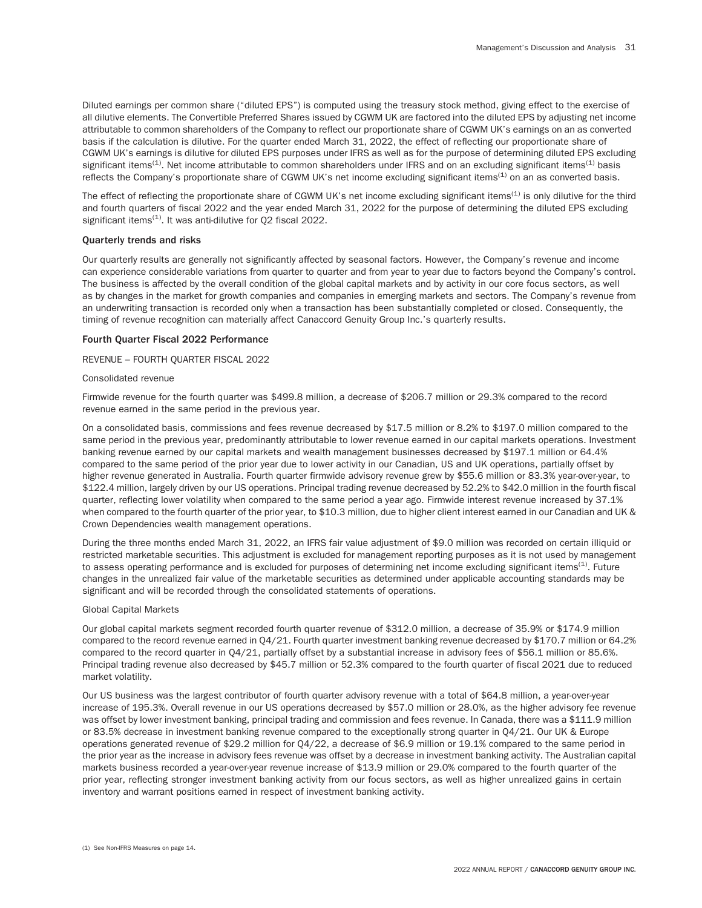Diluted earnings per common share ("diluted EPS") is computed using the treasury stock method, giving effect to the exercise of all dilutive elements. The Convertible Preferred Shares issued by CGWM UK are factored into the diluted EPS by adjusting net income attributable to common shareholders of the Company to reflect our proportionate share of CGWM UK's earnings on an as converted basis if the calculation is dilutive. For the quarter ended March 31, 2022, the effect of reflecting our proportionate share of CGWM UK's earnings is dilutive for diluted EPS purposes under IFRS as well as for the purpose of determining diluted EPS excluding significant items<sup>(1)</sup>. Net income attributable to common shareholders under IFRS and on an excluding significant items<sup>(1)</sup> basis reflects the Company's proportionate share of CGWM UK's net income excluding significant items<sup>(1)</sup> on an as converted basis.

The effect of reflecting the proportionate share of CGWM UK's net income excluding significant items<sup>(1)</sup> is only dilutive for the third and fourth quarters of fiscal 2022 and the year ended March 31, 2022 for the purpose of determining the diluted EPS excluding significant items $(1)$ . It was anti-dilutive for Q2 fiscal 2022.

## Quarterly trends and risks

Our quarterly results are generally not significantly affected by seasonal factors. However, the Company's revenue and income can experience considerable variations from quarter to quarter and from year to year due to factors beyond the Company's control. The business is affected by the overall condition of the global capital markets and by activity in our core focus sectors, as well as by changes in the market for growth companies and companies in emerging markets and sectors. The Company's revenue from an underwriting transaction is recorded only when a transaction has been substantially completed or closed. Consequently, the timing of revenue recognition can materially affect Canaccord Genuity Group Inc.'s quarterly results.

### Fourth Quarter Fiscal 2022 Performance

### REVENUE – FOURTH QUARTER FISCAL 2022

#### Consolidated revenue

Firmwide revenue for the fourth quarter was \$499.8 million, a decrease of \$206.7 million or 29.3% compared to the record revenue earned in the same period in the previous year.

On a consolidated basis, commissions and fees revenue decreased by \$17.5 million or 8.2% to \$197.0 million compared to the same period in the previous year, predominantly attributable to lower revenue earned in our capital markets operations. Investment banking revenue earned by our capital markets and wealth management businesses decreased by \$197.1 million or 64.4% compared to the same period of the prior year due to lower activity in our Canadian, US and UK operations, partially offset by higher revenue generated in Australia. Fourth quarter firmwide advisory revenue grew by \$55.6 million or 83.3% year-over-year, to \$122.4 million, largely driven by our US operations. Principal trading revenue decreased by 52.2% to \$42.0 million in the fourth fiscal quarter, reflecting lower volatility when compared to the same period a year ago. Firmwide interest revenue increased by 37.1% when compared to the fourth quarter of the prior year, to \$10.3 million, due to higher client interest earned in our Canadian and UK & Crown Dependencies wealth management operations.

During the three months ended March 31, 2022, an IFRS fair value adjustment of \$9.0 million was recorded on certain illiquid or restricted marketable securities. This adjustment is excluded for management reporting purposes as it is not used by management to assess operating performance and is excluded for purposes of determining net income excluding significant items<sup>(1)</sup>. Future changes in the unrealized fair value of the marketable securities as determined under applicable accounting standards may be significant and will be recorded through the consolidated statements of operations.

#### Global Capital Markets

Our global capital markets segment recorded fourth quarter revenue of \$312.0 million, a decrease of 35.9% or \$174.9 million compared to the record revenue earned in Q4/21. Fourth quarter investment banking revenue decreased by \$170.7 million or 64.2% compared to the record quarter in Q4/21, partially offset by a substantial increase in advisory fees of \$56.1 million or 85.6%. Principal trading revenue also decreased by \$45.7 million or 52.3% compared to the fourth quarter of fiscal 2021 due to reduced market volatility.

Our US business was the largest contributor of fourth quarter advisory revenue with a total of \$64.8 million, a year-over-year increase of 195.3%. Overall revenue in our US operations decreased by \$57.0 million or 28.0%, as the higher advisory fee revenue was offset by lower investment banking, principal trading and commission and fees revenue. In Canada, there was a \$111.9 million or 83.5% decrease in investment banking revenue compared to the exceptionally strong quarter in Q4/21. Our UK & Europe operations generated revenue of \$29.2 million for Q4/22, a decrease of \$6.9 million or 19.1% compared to the same period in the prior year as the increase in advisory fees revenue was offset by a decrease in investment banking activity. The Australian capital markets business recorded a year-over-year revenue increase of \$13.9 million or 29.0% compared to the fourth quarter of the prior year, reflecting stronger investment banking activity from our focus sectors, as well as higher unrealized gains in certain inventory and warrant positions earned in respect of investment banking activity.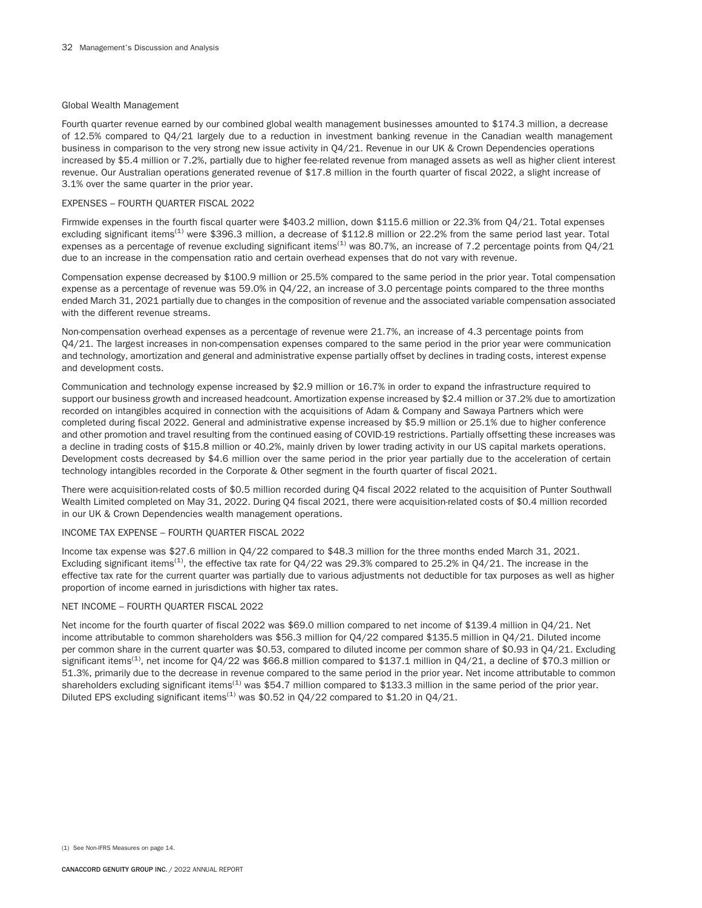## Global Wealth Management

Fourth quarter revenue earned by our combined global wealth management businesses amounted to \$174.3 million, a decrease of 12.5% compared to Q4/21 largely due to a reduction in investment banking revenue in the Canadian wealth management business in comparison to the very strong new issue activity in Q4/21. Revenue in our UK & Crown Dependencies operations increased by \$5.4 million or 7.2%, partially due to higher fee-related revenue from managed assets as well as higher client interest revenue. Our Australian operations generated revenue of \$17.8 million in the fourth quarter of fiscal 2022, a slight increase of 3.1% over the same quarter in the prior year.

## EXPENSES – FOURTH QUARTER FISCAL 2022

Firmwide expenses in the fourth fiscal quarter were \$403.2 million, down \$115.6 million or 22.3% from Q4/21. Total expenses excluding significant items<sup>(1)</sup> were \$396.3 million, a decrease of \$112.8 million or 22.2% from the same period last year. Total expenses as a percentage of revenue excluding significant items<sup>(1)</sup> was 80.7%, an increase of 7.2 percentage points from  $Q4/21$ due to an increase in the compensation ratio and certain overhead expenses that do not vary with revenue.

Compensation expense decreased by \$100.9 million or 25.5% compared to the same period in the prior year. Total compensation expense as a percentage of revenue was 59.0% in Q4/22, an increase of 3.0 percentage points compared to the three months ended March 31, 2021 partially due to changes in the composition of revenue and the associated variable compensation associated with the different revenue streams.

Non-compensation overhead expenses as a percentage of revenue were 21.7%, an increase of 4.3 percentage points from Q4/21. The largest increases in non-compensation expenses compared to the same period in the prior year were communication and technology, amortization and general and administrative expense partially offset by declines in trading costs, interest expense and development costs.

Communication and technology expense increased by \$2.9 million or 16.7% in order to expand the infrastructure required to support our business growth and increased headcount. Amortization expense increased by \$2.4 million or 37.2% due to amortization recorded on intangibles acquired in connection with the acquisitions of Adam & Company and Sawaya Partners which were completed during fiscal 2022. General and administrative expense increased by \$5.9 million or 25.1% due to higher conference and other promotion and travel resulting from the continued easing of COVID-19 restrictions. Partially offsetting these increases was a decline in trading costs of \$15.8 million or 40.2%, mainly driven by lower trading activity in our US capital markets operations. Development costs decreased by \$4.6 million over the same period in the prior year partially due to the acceleration of certain technology intangibles recorded in the Corporate & Other segment in the fourth quarter of fiscal 2021.

There were acquisition-related costs of \$0.5 million recorded during Q4 fiscal 2022 related to the acquisition of Punter Southwall Wealth Limited completed on May 31, 2022. During Q4 fiscal 2021, there were acquisition-related costs of \$0.4 million recorded in our UK & Crown Dependencies wealth management operations.

## INCOME TAX EXPENSE – FOURTH QUARTER FISCAL 2022

Income tax expense was \$27.6 million in Q4/22 compared to \$48.3 million for the three months ended March 31, 2021. Excluding significant items<sup>(1)</sup>, the effective tax rate for  $04/22$  was 29.3% compared to 25.2% in  $04/21$ . The increase in the effective tax rate for the current quarter was partially due to various adjustments not deductible for tax purposes as well as higher proportion of income earned in jurisdictions with higher tax rates.

## NET INCOME – FOURTH QUARTER FISCAL 2022

Net income for the fourth quarter of fiscal 2022 was \$69.0 million compared to net income of \$139.4 million in Q4/21. Net income attributable to common shareholders was \$56.3 million for Q4/22 compared \$135.5 million in Q4/21. Diluted income per common share in the current quarter was \$0.53, compared to diluted income per common share of \$0.93 in Q4/21. Excluding significant items<sup>(1)</sup>, net income for  $Q4/22$  was \$66.8 million compared to \$137.1 million in  $Q4/21$ , a decline of \$70.3 million or 51.3%, primarily due to the decrease in revenue compared to the same period in the prior year. Net income attributable to common shareholders excluding significant items<sup>(1)</sup> was \$54.7 million compared to \$133.3 million in the same period of the prior year. Diluted EPS excluding significant items<sup>(1)</sup> was \$0.52 in Q4/22 compared to \$1.20 in Q4/21.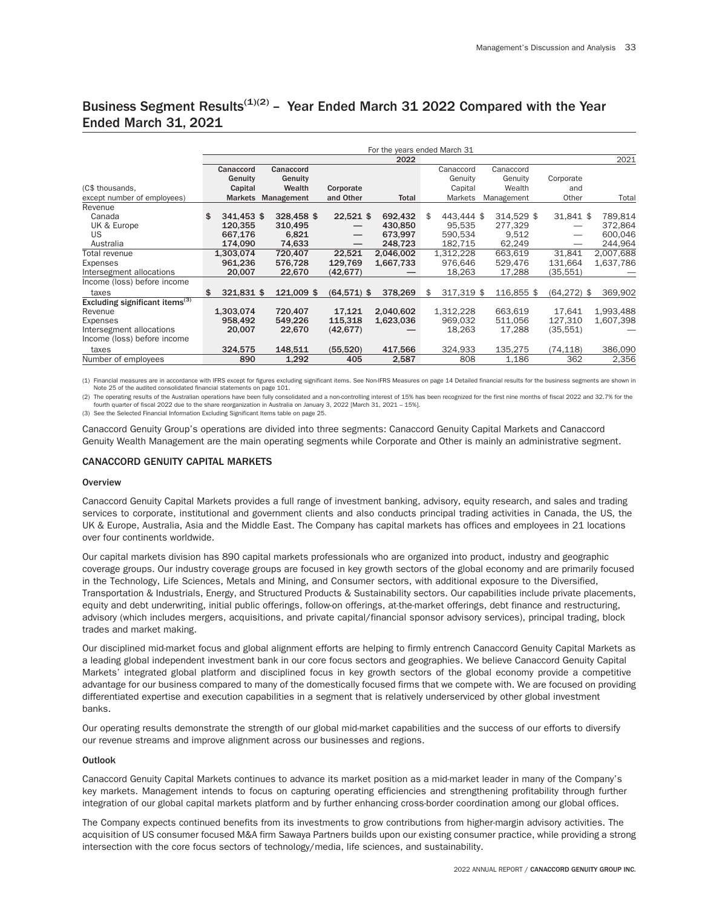# Business Segment Results<sup>(1)(2)</sup> – Year Ended March 31 2022 Compared with the Year Ended March 31, 2021

|                                            |                  |            |                                  |           | For the years ended March 31 |            |           |               |
|--------------------------------------------|------------------|------------|----------------------------------|-----------|------------------------------|------------|-----------|---------------|
|                                            |                  |            |                                  | 2022      |                              |            |           | 2021          |
|                                            | Canaccord        | Canaccord  |                                  |           | Canaccord                    | Canaccord  |           |               |
|                                            | Genuity          | Genuity    |                                  |           | Genuity                      | Genuity    | Corporate |               |
| (C\$ thousands,                            | Capital          | Wealth     | Corporate                        |           | Capital                      | Wealth     | and       |               |
| except number of employees)                | <b>Markets</b>   | Management | and Other                        | Total     | Markets                      | Management | Other     | Total         |
| Revenue                                    |                  |            |                                  |           |                              |            |           |               |
| Canada                                     | 341.453 \$<br>\$ | 328,458 \$ | $22,521$ \$                      | 692.432   | 443.444 \$<br>\$             | 314.529 \$ | 31,841 \$ | 789.814       |
| UK & Europe                                | 120.355          | 310,495    |                                  | 430.850   | 95.535                       | 277.329    |           | 372,864       |
| US                                         | 667,176          | 6,821      | $\overbrace{\phantom{12322111}}$ | 673,997   | 590.534                      | 9.512      |           | 600,046       |
| Australia                                  | 174,090          | 74,633     |                                  | 248,723   | 182,715                      | 62,249     |           | 244,964       |
| Total revenue                              | 1,303,074        | 720.407    | 22,521                           | 2,046,002 | 1,312,228                    | 663,619    | 31,841    | 2,007,688     |
| Expenses                                   | 961,236          | 576,728    | 129,769                          | 1,667,733 | 976,646                      | 529,476    | 131,664   | 1,637,786     |
| Intersegment allocations                   | 20.007           | 22,670     | (42, 677)                        |           | 18,263                       | 17,288     | (35,551)  |               |
| Income (loss) before income                |                  |            |                                  |           |                              |            |           |               |
| taxes                                      | \$<br>321,831 \$ | 121,009 \$ | $(64,571)$ \$                    | 378,269   | 317.319 \$<br>\$             | 116,855 \$ | (64, 272) | 369,902<br>\$ |
| Excluding significant items <sup>(3)</sup> |                  |            |                                  |           |                              |            |           |               |
| Revenue                                    | 1,303,074        | 720,407    | 17,121                           | 2,040,602 | 1,312,228                    | 663,619    | 17.641    | 1,993,488     |
| Expenses                                   | 958,492          | 549,226    | 115,318                          | 1,623,036 | 969,032                      | 511,056    | 127.310   | 1,607,398     |
| Intersegment allocations                   | 20,007           | 22,670     | (42, 677)                        |           | 18,263                       | 17,288     | (35,551)  |               |
| Income (loss) before income                |                  |            |                                  |           |                              |            |           |               |
| taxes                                      | 324,575          | 148,511    | (55, 520)                        | 417,566   | 324,933                      | 135,275    | (74, 118) | 386,090       |
| Number of employees                        | 890              | 1,292      | 405                              | 2,587     | 808                          | 1,186      | 362       | 2,356         |

(1) Financial measures are in accordance with IFRS except for figures excluding significant items. See Non-IFRS Measures on page 14 Detailed financial results for the business segments are shown in Note 25 of the audited consolidated financial statements on page 101.

(2) The operating results of the Australian operations have been fully consolidated and a non-controlling interest of 15% has been recognized for the first nine months of fiscal 2022 and 32.7% for the fourth quarter of fiscal 2022 due to the share reorganization in Australia on January 3, 2022 [March 31, 2021 – 15%].

(3) See the Selected Financial Information Excluding Significant Items table on page 25.

Canaccord Genuity Group's operations are divided into three segments: Canaccord Genuity Capital Markets and Canaccord Genuity Wealth Management are the main operating segments while Corporate and Other is mainly an administrative segment.

# CANACCORD GENUITY CAPITAL MARKETS

#### **Overview**

Canaccord Genuity Capital Markets provides a full range of investment banking, advisory, equity research, and sales and trading services to corporate, institutional and government clients and also conducts principal trading activities in Canada, the US, the UK & Europe, Australia, Asia and the Middle East. The Company has capital markets has offices and employees in 21 locations over four continents worldwide.

Our capital markets division has 890 capital markets professionals who are organized into product, industry and geographic coverage groups. Our industry coverage groups are focused in key growth sectors of the global economy and are primarily focused in the Technology, Life Sciences, Metals and Mining, and Consumer sectors, with additional exposure to the Diversified, Transportation & Industrials, Energy, and Structured Products & Sustainability sectors. Our capabilities include private placements, equity and debt underwriting, initial public offerings, follow-on offerings, at-the-market offerings, debt finance and restructuring, advisory (which includes mergers, acquisitions, and private capital/financial sponsor advisory services), principal trading, block trades and market making.

Our disciplined mid-market focus and global alignment efforts are helping to firmly entrench Canaccord Genuity Capital Markets as a leading global independent investment bank in our core focus sectors and geographies. We believe Canaccord Genuity Capital Markets' integrated global platform and disciplined focus in key growth sectors of the global economy provide a competitive advantage for our business compared to many of the domestically focused firms that we compete with. We are focused on providing differentiated expertise and execution capabilities in a segment that is relatively underserviced by other global investment banks.

Our operating results demonstrate the strength of our global mid-market capabilities and the success of our efforts to diversify our revenue streams and improve alignment across our businesses and regions.

## Outlook

Canaccord Genuity Capital Markets continues to advance its market position as a mid-market leader in many of the Company's key markets. Management intends to focus on capturing operating efficiencies and strengthening profitability through further integration of our global capital markets platform and by further enhancing cross-border coordination among our global offices.

The Company expects continued benefits from its investments to grow contributions from higher-margin advisory activities. The acquisition of US consumer focused M&A firm Sawaya Partners builds upon our existing consumer practice, while providing a strong intersection with the core focus sectors of technology/media, life sciences, and sustainability.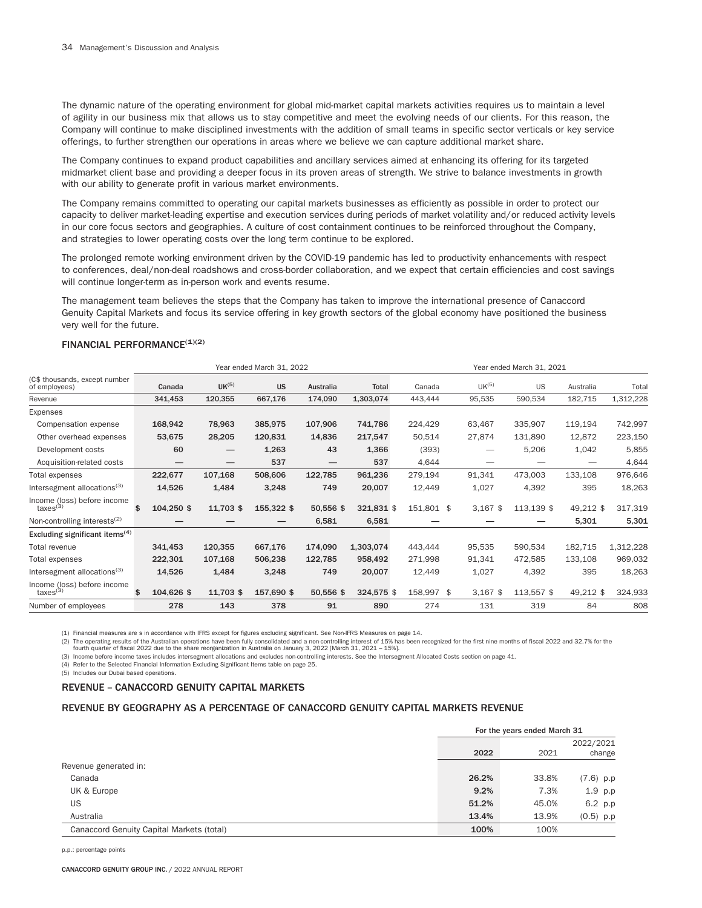The dynamic nature of the operating environment for global mid-market capital markets activities requires us to maintain a level of agility in our business mix that allows us to stay competitive and meet the evolving needs of our clients. For this reason, the Company will continue to make disciplined investments with the addition of small teams in specific sector verticals or key service offerings, to further strengthen our operations in areas where we believe we can capture additional market share.

The Company continues to expand product capabilities and ancillary services aimed at enhancing its offering for its targeted midmarket client base and providing a deeper focus in its proven areas of strength. We strive to balance investments in growth with our ability to generate profit in various market environments.

The Company remains committed to operating our capital markets businesses as efficiently as possible in order to protect our capacity to deliver market-leading expertise and execution services during periods of market volatility and/or reduced activity levels in our core focus sectors and geographies. A culture of cost containment continues to be reinforced throughout the Company, and strategies to lower operating costs over the long term continue to be explored.

The prolonged remote working environment driven by the COVID-19 pandemic has led to productivity enhancements with respect to conferences, deal/non-deal roadshows and cross-border collaboration, and we expect that certain efficiencies and cost savings will continue longer-term as in-person work and events resume.

The management team believes the steps that the Company has taken to improve the international presence of Canaccord Genuity Capital Markets and focus its service offering in key growth sectors of the global economy have positioned the business very well for the future.

# FINANCIAL PERFORMANCE<sup>(1)(2)</sup>

|                                                     |                          | Year ended March 31, 2022 |            |                  |            | Year ended March 31, 2021 |  |                          |            |           |           |  |
|-----------------------------------------------------|--------------------------|---------------------------|------------|------------------|------------|---------------------------|--|--------------------------|------------|-----------|-----------|--|
| (C\$ thousands, except number<br>of employees)      | Canada                   | UK <sup>(5)</sup>         | <b>US</b>  | <b>Australia</b> | Total      | Canada                    |  | UK <sup>(5)</sup>        | <b>US</b>  | Australia | Total     |  |
| Revenue                                             | 341,453                  | 120,355                   | 667,176    | 174,090          | 1,303,074  | 443,444                   |  | 95,535                   | 590,534    | 182,715   | 1,312,228 |  |
| Expenses                                            |                          |                           |            |                  |            |                           |  |                          |            |           |           |  |
| Compensation expense                                | 168,942                  | 78,963                    | 385,975    | 107,906          | 741,786    | 224,429                   |  | 63,467                   | 335,907    | 119,194   | 742,997   |  |
| Other overhead expenses                             | 53,675                   | 28,205                    | 120,831    | 14,836           | 217,547    | 50,514                    |  | 27,874                   | 131,890    | 12,872    | 223,150   |  |
| Development costs                                   | 60                       | —                         | 1,263      | 43               | 1,366      | (393)                     |  |                          | 5,206      | 1,042     | 5,855     |  |
| Acquisition-related costs                           | $\overline{\phantom{0}}$ | —                         | 537        | —                | 537        | 4,644                     |  | $\overline{\phantom{0}}$ |            |           | 4,644     |  |
| Total expenses                                      | 222,677                  | 107,168                   | 508,606    | 122,785          | 961,236    | 279,194                   |  | 91,341                   | 473,003    | 133,108   | 976,646   |  |
| Intersegment allocations <sup>(3)</sup>             | 14,526                   | 1,484                     | 3,248      | 749              | 20,007     | 12,449                    |  | 1,027                    | 4,392      | 395       | 18,263    |  |
| Income (loss) before income<br>$\text{taxes}^{(3)}$ | \$<br>104,250 \$         | 11,703 \$                 | 155,322 \$ | 50,556 \$        | 321,831 \$ | 151,801 \$                |  | $3,167$ \$               | 113,139 \$ | 49,212 \$ | 317,319   |  |
| Non-controlling interests <sup>(2)</sup>            |                          |                           |            | 6,581            | 6,581      |                           |  |                          |            | 5,301     | 5,301     |  |
| Excluding significant items <sup>(4)</sup>          |                          |                           |            |                  |            |                           |  |                          |            |           |           |  |
| Total revenue                                       | 341,453                  | 120,355                   | 667,176    | 174,090          | 1,303,074  | 443,444                   |  | 95,535                   | 590,534    | 182,715   | 1,312,228 |  |
| Total expenses                                      | 222,301                  | 107,168                   | 506,238    | 122,785          | 958,492    | 271,998                   |  | 91,341                   | 472,585    | 133,108   | 969,032   |  |
| Intersegment allocations <sup>(3)</sup>             | 14,526                   | 1,484                     | 3,248      | 749              | 20,007     | 12,449                    |  | 1,027                    | 4,392      | 395       | 18,263    |  |
| Income (loss) before income<br>$\text{taxes}^{(3)}$ | \$<br>104,626 \$         | 11,703 \$                 | 157,690 \$ | 50,556 \$        | 324,575 \$ | 158,997 \$                |  | $3,167$ \$               | 113,557 \$ | 49,212 \$ | 324,933   |  |
| Number of employees                                 | 278                      | 143                       | 378        | 91               | 890        | 274                       |  | 131                      | 319        | 84        | 808       |  |

(1) Financial measures are s in accordance with IFRS except for figures excluding significant. See Non-IFRS Measures on page 14.

(2) The operating results of the Australian operations have been fully consolidated and a non-controlling interest of 15% has been recognized for the first nine months of fiscal 2022 and 32.7% for the

fourth quarter of fiscal 2022 due to the share reorganization in Australia on January 3, 2022 [March 31, 2021 – 15%].

(3) Income before income taxes includes intersegment allocations and excludes non-controlling interests. See the Intersegment Allocated Costs section on page 41.

(4) Refer to the Selected Financial Information Excluding Significant Items table on page 25.

(5) Includes our Dubai based operations.

# REVENUE – CANACCORD GENUITY CAPITAL MARKETS

# REVENUE BY GEOGRAPHY AS A PERCENTAGE OF CANACCORD GENUITY CAPITAL MARKETS REVENUE

|                                           | For the years ended March 31 |       |                     |
|-------------------------------------------|------------------------------|-------|---------------------|
|                                           | 2022                         | 2021  | 2022/2021<br>change |
| Revenue generated in:                     |                              |       |                     |
| Canada                                    | 26.2%                        | 33.8% | $(7.6)$ p.p         |
| UK & Europe                               | 9.2%                         | 7.3%  | $1.9$ p.p           |
| US                                        | 51.2%                        | 45.0% | 6.2 p.p             |
| Australia                                 | 13.4%                        | 13.9% | $(0.5)$ p.p         |
| Canaccord Genuity Capital Markets (total) | 100%                         | 100%  |                     |

p.p.: percentage points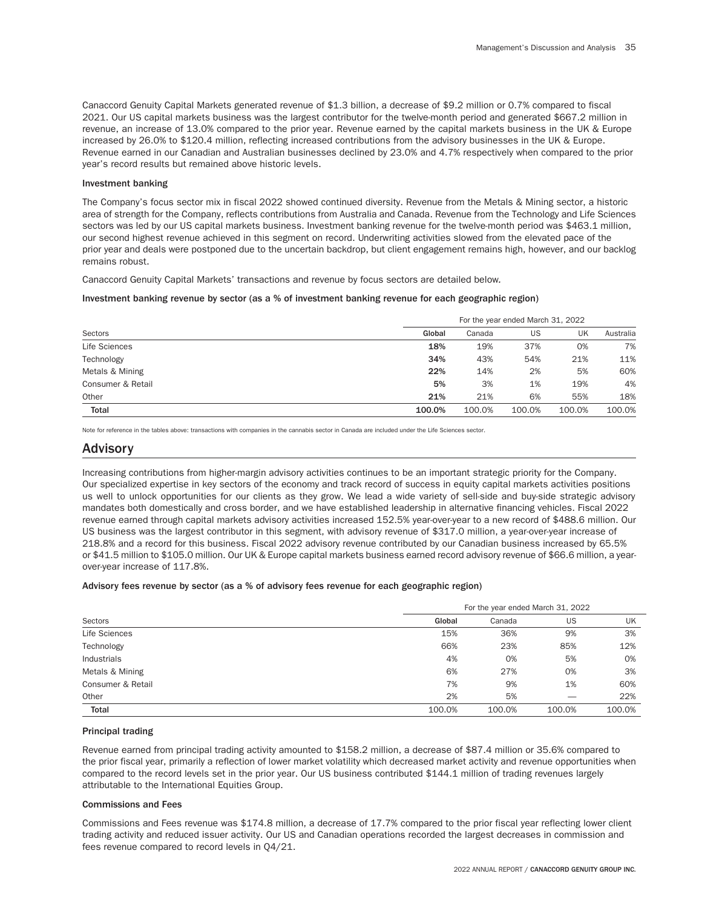Canaccord Genuity Capital Markets generated revenue of \$1.3 billion, a decrease of \$9.2 million or 0.7% compared to fiscal 2021. Our US capital markets business was the largest contributor for the twelve-month period and generated \$667.2 million in revenue, an increase of 13.0% compared to the prior year. Revenue earned by the capital markets business in the UK & Europe increased by 26.0% to \$120.4 million, reflecting increased contributions from the advisory businesses in the UK & Europe. Revenue earned in our Canadian and Australian businesses declined by 23.0% and 4.7% respectively when compared to the prior year's record results but remained above historic levels.

### Investment banking

The Company's focus sector mix in fiscal 2022 showed continued diversity. Revenue from the Metals & Mining sector, a historic area of strength for the Company, reflects contributions from Australia and Canada. Revenue from the Technology and Life Sciences sectors was led by our US capital markets business. Investment banking revenue for the twelve-month period was \$463.1 million, our second highest revenue achieved in this segment on record. Underwriting activities slowed from the elevated pace of the prior year and deals were postponed due to the uncertain backdrop, but client engagement remains high, however, and our backlog remains robust.

Canaccord Genuity Capital Markets' transactions and revenue by focus sectors are detailed below*.*

#### Investment banking revenue by sector (as a % of investment banking revenue for each geographic region)

|                   |        | For the year ended March 31, 2022 |        |        |           |  |  |  |  |  |
|-------------------|--------|-----------------------------------|--------|--------|-----------|--|--|--|--|--|
| Sectors           | Global | Canada                            | US     | UK     | Australia |  |  |  |  |  |
| Life Sciences     | 18%    | 19%                               | 37%    | 0%     | 7%        |  |  |  |  |  |
| Technology        | 34%    | 43%                               | 54%    | 21%    | 11%       |  |  |  |  |  |
| Metals & Mining   | 22%    | 14%                               | 2%     | 5%     | 60%       |  |  |  |  |  |
| Consumer & Retail | 5%     | 3%                                | 1%     | 19%    | 4%        |  |  |  |  |  |
| Other             | 21%    | 21%                               | 6%     | 55%    | 18%       |  |  |  |  |  |
| <b>Total</b>      | 100.0% | 100.0%                            | 100.0% | 100.0% | 100.0%    |  |  |  |  |  |

Note for reference in the tables above: transactions with companies in the cannabis sector in Canada are included under the Life Sciences sector.

# Advisory

Increasing contributions from higher-margin advisory activities continues to be an important strategic priority for the Company. Our specialized expertise in key sectors of the economy and track record of success in equity capital markets activities positions us well to unlock opportunities for our clients as they grow. We lead a wide variety of sell-side and buy-side strategic advisory mandates both domestically and cross border, and we have established leadership in alternative financing vehicles. Fiscal 2022 revenue earned through capital markets advisory activities increased 152.5% year-over-year to a new record of \$488.6 million. Our US business was the largest contributor in this segment, with advisory revenue of \$317.0 million, a year-over-year increase of 218.8% and a record for this business. Fiscal 2022 advisory revenue contributed by our Canadian business increased by 65.5% or \$41.5 million to \$105.0 million. Our UK & Europe capital markets business earned record advisory revenue of \$66.6 million, a yearover-year increase of 117.8%.

#### Advisory fees revenue by sector (as a % of advisory fees revenue for each geographic region)

|                    |        | For the year ended March 31, 2022 |        |        |  |  |  |  |  |
|--------------------|--------|-----------------------------------|--------|--------|--|--|--|--|--|
| Sectors            | Global | Canada                            | US     | UK     |  |  |  |  |  |
| Life Sciences      | 15%    | 36%                               | 9%     | 3%     |  |  |  |  |  |
| Technology         | 66%    | 23%                               | 85%    | 12%    |  |  |  |  |  |
| <b>Industrials</b> | 4%     | 0%                                | 5%     | 0%     |  |  |  |  |  |
| Metals & Mining    | 6%     | 27%                               | 0%     | 3%     |  |  |  |  |  |
| Consumer & Retail  | 7%     | 9%                                | 1%     | 60%    |  |  |  |  |  |
| Other              | 2%     | 5%                                |        | 22%    |  |  |  |  |  |
| <b>Total</b>       | 100.0% | 100.0%                            | 100.0% | 100.0% |  |  |  |  |  |

#### Principal trading

Revenue earned from principal trading activity amounted to \$158.2 million, a decrease of \$87.4 million or 35.6% compared to the prior fiscal year, primarily a reflection of lower market volatility which decreased market activity and revenue opportunities when compared to the record levels set in the prior year. Our US business contributed \$144.1 million of trading revenues largely attributable to the International Equities Group.

# Commissions and Fees

Commissions and Fees revenue was \$174.8 million, a decrease of 17.7% compared to the prior fiscal year reflecting lower client trading activity and reduced issuer activity. Our US and Canadian operations recorded the largest decreases in commission and fees revenue compared to record levels in Q4/21.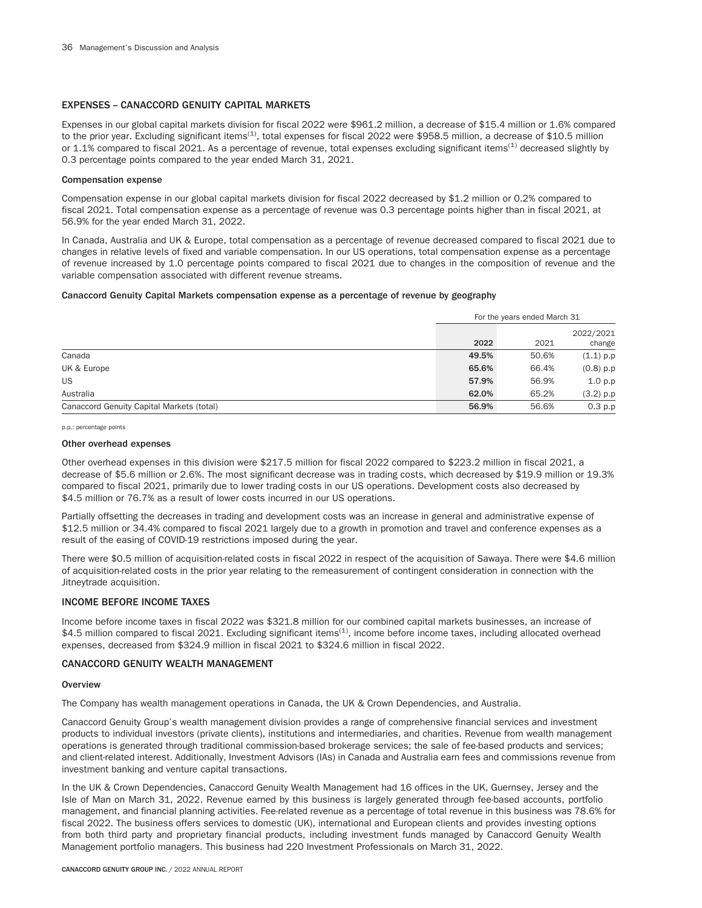## EXPENSES – CANACCORD GENUITY CAPITAL MARKETS

Expenses in our global capital markets division for fiscal 2022 were \$961.2 million, a decrease of \$15.4 million or 1.6% compared to the prior year. Excluding significant items<sup>(1)</sup>, total expenses for fiscal 2022 were \$958.5 million, a decrease of \$10.5 million or 1.1% compared to fiscal 2021. As a percentage of revenue, total expenses excluding significant items<sup>(1)</sup> decreased slightly by 0.3 percentage points compared to the year ended March 31, 2021.

### Compensation expense

Compensation expense in our global capital markets division for fiscal 2022 decreased by \$1.2 million or 0.2% compared to fiscal 2021. Total compensation expense as a percentage of revenue was 0.3 percentage points higher than in fiscal 2021, at 56.9% for the year ended March 31, 2022.

In Canada, Australia and UK & Europe, total compensation as a percentage of revenue decreased compared to fiscal 2021 due to changes in relative levels of fixed and variable compensation. In our US operations, total compensation expense as a percentage of revenue increased by 1.0 percentage points compared to fiscal 2021 due to changes in the composition of revenue and the variable compensation associated with different revenue streams.

## Canaccord Genuity Capital Markets compensation expense as a percentage of revenue by geography

|                                           |       | For the years ended March 31 |                     |  |  |
|-------------------------------------------|-------|------------------------------|---------------------|--|--|
|                                           | 2022  | 2021                         | 2022/2021<br>change |  |  |
| Canada                                    | 49.5% | 50.6%                        | $(1.1)$ p.p         |  |  |
| UK & Europe                               | 65.6% | 66.4%                        | $(0.8)$ p.p         |  |  |
| <b>US</b>                                 | 57.9% | 56.9%                        | 1.0 p.p             |  |  |
| Australia                                 | 62.0% | 65.2%                        | $(3.2)$ p.p         |  |  |
| Canaccord Genuity Capital Markets (total) | 56.9% | 56.6%                        | 0.3 p.p             |  |  |

p.p.: percentage points

#### Other overhead expenses

Other overhead expenses in this division were \$217.5 million for fiscal 2022 compared to \$223.2 million in fiscal 2021, a decrease of \$5.6 million or 2.6%. The most significant decrease was in trading costs, which decreased by \$19.9 million or 19.3% compared to fiscal 2021, primarily due to lower trading costs in our US operations. Development costs also decreased by \$4.5 million or 76.7% as a result of lower costs incurred in our US operations.

Partially offsetting the decreases in trading and development costs was an increase in general and administrative expense of \$12.5 million or 34.4% compared to fiscal 2021 largely due to a growth in promotion and travel and conference expenses as a result of the easing of COVID-19 restrictions imposed during the year.

There were \$0.5 million of acquisition-related costs in fiscal 2022 in respect of the acquisition of Sawaya. There were \$4.6 million of acquisition-related costs in the prior year relating to the remeasurement of contingent consideration in connection with the Jitneytrade acquisition.

## INCOME BEFORE INCOME TAXES

Income before income taxes in fiscal 2022 was \$321.8 million for our combined capital markets businesses, an increase of \$4.5 million compared to fiscal 2021. Excluding significant items<sup>(1)</sup>, income before income taxes, including allocated overhead expenses, decreased from \$324.9 million in fiscal 2021 to \$324.6 million in fiscal 2022.

## CANACCORD GENUITY WEALTH MANAGEMENT

#### **Overview**

The Company has wealth management operations in Canada, the UK & Crown Dependencies, and Australia.

Canaccord Genuity Group's wealth management division provides a range of comprehensive financial services and investment products to individual investors (private clients), institutions and intermediaries, and charities. Revenue from wealth management operations is generated through traditional commission-based brokerage services; the sale of fee-based products and services; and client-related interest. Additionally, Investment Advisors (IAs) in Canada and Australia earn fees and commissions revenue from investment banking and venture capital transactions.

In the UK & Crown Dependencies, Canaccord Genuity Wealth Management had 16 offices in the UK, Guernsey, Jersey and the Isle of Man on March 31, 2022. Revenue earned by this business is largely generated through fee-based accounts, portfolio management, and financial planning activities. Fee-related revenue as a percentage of total revenue in this business was 78.6% for fiscal 2022. The business offers services to domestic (UK), international and European clients and provides investing options from both third party and proprietary financial products, including investment funds managed by Canaccord Genuity Wealth Management portfolio managers. This business had 220 Investment Professionals on March 31, 2022.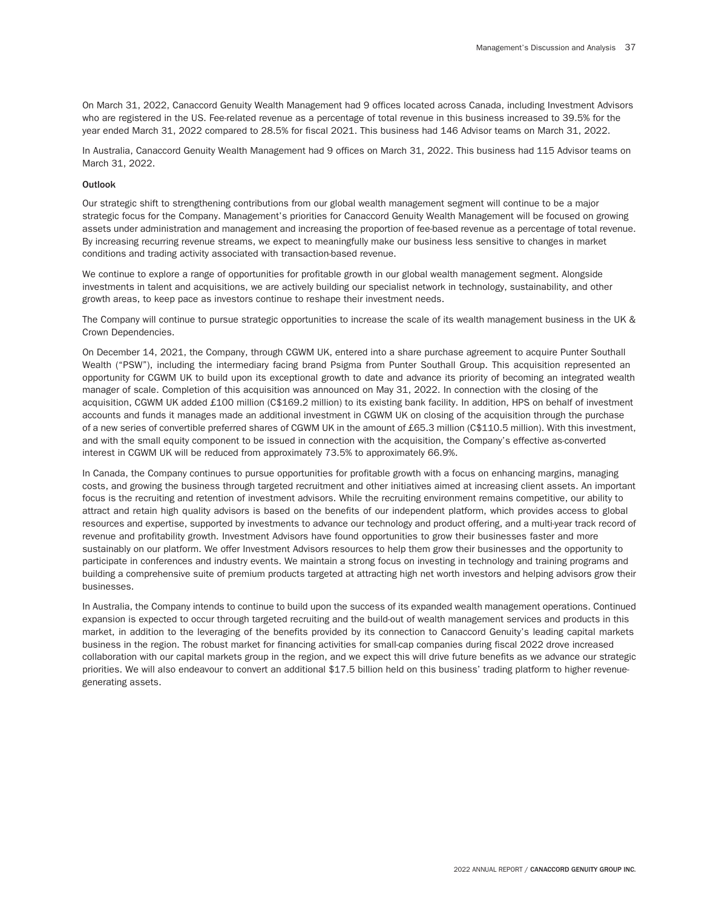On March 31, 2022, Canaccord Genuity Wealth Management had 9 offices located across Canada, including Investment Advisors who are registered in the US. Fee-related revenue as a percentage of total revenue in this business increased to 39.5% for the year ended March 31, 2022 compared to 28.5% for fiscal 2021. This business had 146 Advisor teams on March 31, 2022.

In Australia, Canaccord Genuity Wealth Management had 9 offices on March 31, 2022. This business had 115 Advisor teams on March 31, 2022.

## Outlook

Our strategic shift to strengthening contributions from our global wealth management segment will continue to be a major strategic focus for the Company. Management's priorities for Canaccord Genuity Wealth Management will be focused on growing assets under administration and management and increasing the proportion of fee-based revenue as a percentage of total revenue. By increasing recurring revenue streams, we expect to meaningfully make our business less sensitive to changes in market conditions and trading activity associated with transaction-based revenue.

We continue to explore a range of opportunities for profitable growth in our global wealth management segment. Alongside investments in talent and acquisitions, we are actively building our specialist network in technology, sustainability, and other growth areas, to keep pace as investors continue to reshape their investment needs.

The Company will continue to pursue strategic opportunities to increase the scale of its wealth management business in the UK & Crown Dependencies.

On December 14, 2021, the Company, through CGWM UK, entered into a share purchase agreement to acquire Punter Southall Wealth ("PSW"), including the intermediary facing brand Psigma from Punter Southall Group. This acquisition represented an opportunity for CGWM UK to build upon its exceptional growth to date and advance its priority of becoming an integrated wealth manager of scale. Completion of this acquisition was announced on May 31, 2022. In connection with the closing of the acquisition, CGWM UK added £100 million (C\$169.2 million) to its existing bank facility. In addition, HPS on behalf of investment accounts and funds it manages made an additional investment in CGWM UK on closing of the acquisition through the purchase of a new series of convertible preferred shares of CGWM UK in the amount of £65.3 million (C\$110.5 million). With this investment, and with the small equity component to be issued in connection with the acquisition, the Company's effective as-converted interest in CGWM UK will be reduced from approximately 73.5% to approximately 66.9%.

In Canada, the Company continues to pursue opportunities for profitable growth with a focus on enhancing margins, managing costs, and growing the business through targeted recruitment and other initiatives aimed at increasing client assets. An important focus is the recruiting and retention of investment advisors. While the recruiting environment remains competitive, our ability to attract and retain high quality advisors is based on the benefits of our independent platform, which provides access to global resources and expertise, supported by investments to advance our technology and product offering, and a multi-year track record of revenue and profitability growth. Investment Advisors have found opportunities to grow their businesses faster and more sustainably on our platform. We offer Investment Advisors resources to help them grow their businesses and the opportunity to participate in conferences and industry events. We maintain a strong focus on investing in technology and training programs and building a comprehensive suite of premium products targeted at attracting high net worth investors and helping advisors grow their businesses.

In Australia, the Company intends to continue to build upon the success of its expanded wealth management operations. Continued expansion is expected to occur through targeted recruiting and the build-out of wealth management services and products in this market, in addition to the leveraging of the benefits provided by its connection to Canaccord Genuity's leading capital markets business in the region. The robust market for financing activities for small-cap companies during fiscal 2022 drove increased collaboration with our capital markets group in the region, and we expect this will drive future benefits as we advance our strategic priorities. We will also endeavour to convert an additional \$17.5 billion held on this business' trading platform to higher revenuegenerating assets.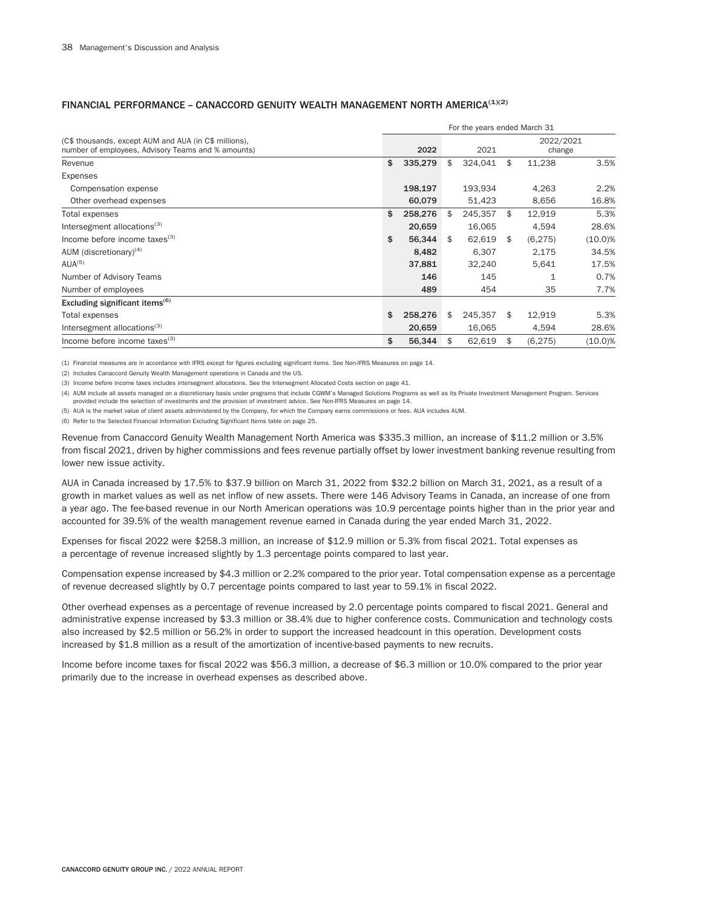|                                                                                                             | For the years ended March 31 |         |    |         |    |                     |            |  |
|-------------------------------------------------------------------------------------------------------------|------------------------------|---------|----|---------|----|---------------------|------------|--|
| (C\$ thousands, except AUM and AUA (in C\$ millions),<br>number of employees, Advisory Teams and % amounts) |                              | 2022    |    | 2021    |    | 2022/2021<br>change |            |  |
| Revenue                                                                                                     | \$                           | 335,279 | \$ | 324,041 | \$ | 11,238              | 3.5%       |  |
| Expenses                                                                                                    |                              |         |    |         |    |                     |            |  |
| Compensation expense                                                                                        |                              | 198,197 |    | 193,934 |    | 4,263               | 2.2%       |  |
| Other overhead expenses                                                                                     |                              | 60,079  |    | 51,423  |    | 8,656               | 16.8%      |  |
| Total expenses                                                                                              | \$                           | 258,276 | \$ | 245,357 | \$ | 12,919              | 5.3%       |  |
| Intersegment allocations <sup>(3)</sup>                                                                     |                              | 20,659  |    | 16,065  |    | 4,594               | 28.6%      |  |
| Income before income taxes $(3)$                                                                            | \$                           | 56,344  | \$ | 62,619  | \$ | (6, 275)            | $(10.0)\%$ |  |
| AUM (discretionary) <sup>(4)</sup>                                                                          |                              | 8,482   |    | 6,307   |    | 2,175               | 34.5%      |  |
| AIJA <sup>(5)</sup>                                                                                         |                              | 37,881  |    | 32,240  |    | 5,641               | 17.5%      |  |
| Number of Advisory Teams                                                                                    |                              | 146     |    | 145     |    | 1                   | 0.7%       |  |
| Number of employees                                                                                         |                              | 489     |    | 454     |    | 35                  | 7.7%       |  |
| Excluding significant items <sup>(6)</sup>                                                                  |                              |         |    |         |    |                     |            |  |
| Total expenses                                                                                              | \$                           | 258,276 | \$ | 245,357 | \$ | 12,919              | 5.3%       |  |
| Intersegment allocations <sup>(3)</sup>                                                                     |                              | 20,659  |    | 16,065  |    | 4,594               | 28.6%      |  |
| Income before income taxes $(3)$                                                                            | \$                           | 56,344  | \$ | 62,619  | \$ | (6, 275)            | $(10.0)\%$ |  |

# FINANCIAL PERFORMANCE - CANACCORD GENUITY WEALTH MANAGEMENT NORTH AMERICA $(1)(2)$

(1) Financial measures are in accordance with IFRS except for figures excluding significant items. See Non-IFRS Measures on page 14.

(2) Includes Canaccord Genuity Wealth Management operations in Canada and the US.

(3) Income before income taxes includes intersegment allocations. See the Intersegment Allocated Costs section on page 41.

(4) AUM include all assets managed on a discretionary basis under programs that include CGWM's Managed Solutions Programs as well as its Private Investment Management Program. Services provided include the selection of investments and the provision of investment advice. See Non-IFRS Measures on page 14.

(5) AUA is the market value of client assets administered by the Company, for which the Company earns commissions or fees. AUA includes AUM.

(6) Refer to the Selected Financial Information Excluding Significant Items table on page 25.

Revenue from Canaccord Genuity Wealth Management North America was \$335.3 million, an increase of \$11.2 million or 3.5% from fiscal 2021, driven by higher commissions and fees revenue partially offset by lower investment banking revenue resulting from lower new issue activity.

AUA in Canada increased by 17.5% to \$37.9 billion on March 31, 2022 from \$32.2 billion on March 31, 2021, as a result of a growth in market values as well as net inflow of new assets. There were 146 Advisory Teams in Canada, an increase of one from a year ago. The fee-based revenue in our North American operations was 10.9 percentage points higher than in the prior year and accounted for 39.5% of the wealth management revenue earned in Canada during the year ended March 31, 2022.

Expenses for fiscal 2022 were \$258.3 million, an increase of \$12.9 million or 5.3% from fiscal 2021. Total expenses as a percentage of revenue increased slightly by 1.3 percentage points compared to last year.

Compensation expense increased by \$4.3 million or 2.2% compared to the prior year. Total compensation expense as a percentage of revenue decreased slightly by 0.7 percentage points compared to last year to 59.1% in fiscal 2022.

Other overhead expenses as a percentage of revenue increased by 2.0 percentage points compared to fiscal 2021. General and administrative expense increased by \$3.3 million or 38.4% due to higher conference costs. Communication and technology costs also increased by \$2.5 million or 56.2% in order to support the increased headcount in this operation. Development costs increased by \$1.8 million as a result of the amortization of incentive-based payments to new recruits.

Income before income taxes for fiscal 2022 was \$56.3 million, a decrease of \$6.3 million or 10.0% compared to the prior year primarily due to the increase in overhead expenses as described above.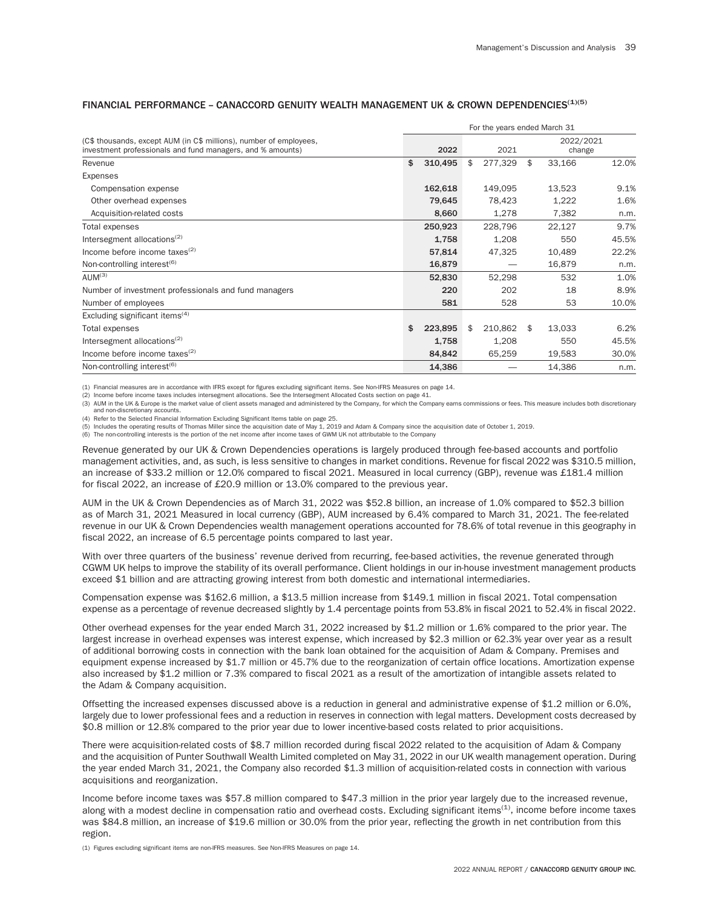|                                                                                                                                  |    |         | For the years ended March 31 |                     |       |
|----------------------------------------------------------------------------------------------------------------------------------|----|---------|------------------------------|---------------------|-------|
| (C\$ thousands, except AUM (in C\$ millions), number of employees,<br>investment professionals and fund managers, and % amounts) |    | 2022    | 2021                         | 2022/2021<br>change |       |
| Revenue                                                                                                                          | \$ | 310,495 | \$<br>277,329                | \$<br>33,166        | 12.0% |
| <b>Expenses</b>                                                                                                                  |    |         |                              |                     |       |
| Compensation expense                                                                                                             |    | 162,618 | 149,095                      | 13,523              | 9.1%  |
| Other overhead expenses                                                                                                          |    | 79,645  | 78,423                       | 1,222               | 1.6%  |
| Acquisition-related costs                                                                                                        |    | 8,660   | 1,278                        | 7,382               | n.m.  |
| Total expenses                                                                                                                   |    | 250,923 | 228,796                      | 22,127              | 9.7%  |
| Intersegment allocations <sup>(2)</sup>                                                                                          |    | 1,758   | 1,208                        | 550                 | 45.5% |
| Income before income taxes $(2)$                                                                                                 |    | 57,814  | 47,325                       | 10,489              | 22.2% |
| Non-controlling interest <sup>(6)</sup>                                                                                          |    | 16,879  |                              | 16,879              | n.m.  |
| AUM <sup>(3)</sup>                                                                                                               |    | 52,830  | 52,298                       | 532                 | 1.0%  |
| Number of investment professionals and fund managers                                                                             |    | 220     | 202                          | 18                  | 8.9%  |
| Number of employees                                                                                                              |    | 581     | 528                          | 53                  | 10.0% |
| Excluding significant items $(4)$                                                                                                |    |         |                              |                     |       |
| Total expenses                                                                                                                   | S  | 223,895 | \$<br>210,862                | \$<br>13,033        | 6.2%  |
| Intersegment allocations <sup>(2)</sup>                                                                                          |    | 1,758   | 1,208                        | 550                 | 45.5% |
| Income before income taxes $(2)$                                                                                                 |    | 84,842  | 65,259                       | 19,583              | 30.0% |
| Non-controlling interest <sup>(6)</sup>                                                                                          |    | 14,386  |                              | 14,386              | n.m.  |

# FINANCIAL PERFORMANCE - CANACCORD GENUITY WEALTH MANAGEMENT UK & CROWN DEPENDENCIES<sup>(1)(5)</sup>

(1) Financial measures are in accordance with IFRS except for figures excluding significant items. See Non-IFRS Measures on page 14.

(2) Income before income taxes includes intersegment allocations. See the Intersegment Allocated Costs section on page 41.

(3) AUM in the UK & Europe is the market value of client assets managed and administered by the Company, for which the Company earns commissions or fees. This measure includes both discretionary and non-discretionary accounts.

(4) Refer to the Selected Financial Information Excluding Significant Items table on page 25.

(5) Includes the operating results of Thomas Miller since the acquisition date of May 1, 2019 and Adam & Company since the acquisition date of October 1, 2019.

(6) The non-controlling interests is the portion of the net income after income taxes of GWM UK not attributable to the Company

Revenue generated by our UK & Crown Dependencies operations is largely produced through fee-based accounts and portfolio management activities, and, as such, is less sensitive to changes in market conditions. Revenue for fiscal 2022 was \$310.5 million, an increase of \$33.2 million or 12.0% compared to fiscal 2021. Measured in local currency (GBP), revenue was £181.4 million for fiscal 2022, an increase of £20.9 million or 13.0% compared to the previous year.

AUM in the UK & Crown Dependencies as of March 31, 2022 was \$52.8 billion, an increase of 1.0% compared to \$52.3 billion as of March 31, 2021 Measured in local currency (GBP), AUM increased by 6.4% compared to March 31, 2021. The fee-related revenue in our UK & Crown Dependencies wealth management operations accounted for 78.6% of total revenue in this geography in fiscal 2022, an increase of 6.5 percentage points compared to last year.

With over three quarters of the business' revenue derived from recurring, fee-based activities, the revenue generated through CGWM UK helps to improve the stability of its overall performance. Client holdings in our in-house investment management products exceed \$1 billion and are attracting growing interest from both domestic and international intermediaries.

Compensation expense was \$162.6 million, a \$13.5 million increase from \$149.1 million in fiscal 2021. Total compensation expense as a percentage of revenue decreased slightly by 1.4 percentage points from 53.8% in fiscal 2021 to 52.4% in fiscal 2022.

Other overhead expenses for the year ended March 31, 2022 increased by \$1.2 million or 1.6% compared to the prior year. The largest increase in overhead expenses was interest expense, which increased by \$2.3 million or 62.3% year over year as a result of additional borrowing costs in connection with the bank loan obtained for the acquisition of Adam & Company. Premises and equipment expense increased by \$1.7 million or 45.7% due to the reorganization of certain office locations. Amortization expense also increased by \$1.2 million or 7.3% compared to fiscal 2021 as a result of the amortization of intangible assets related to the Adam & Company acquisition.

Offsetting the increased expenses discussed above is a reduction in general and administrative expense of \$1.2 million or 6.0%, largely due to lower professional fees and a reduction in reserves in connection with legal matters. Development costs decreased by \$0.8 million or 12.8% compared to the prior year due to lower incentive-based costs related to prior acquisitions.

There were acquisition-related costs of \$8.7 million recorded during fiscal 2022 related to the acquisition of Adam & Company and the acquisition of Punter Southwall Wealth Limited completed on May 31, 2022 in our UK wealth management operation. During the year ended March 31, 2021, the Company also recorded \$1.3 million of acquisition-related costs in connection with various acquisitions and reorganization.

Income before income taxes was \$57.8 million compared to \$47.3 million in the prior year largely due to the increased revenue, along with a modest decline in compensation ratio and overhead costs. Excluding significant items<sup>(1)</sup>, income before income taxes was \$84.8 million, an increase of \$19.6 million or 30.0% from the prior year, reflecting the growth in net contribution from this region.

(1) Figures excluding significant items are non-IFRS measures. See Non-IFRS Measures on page 14.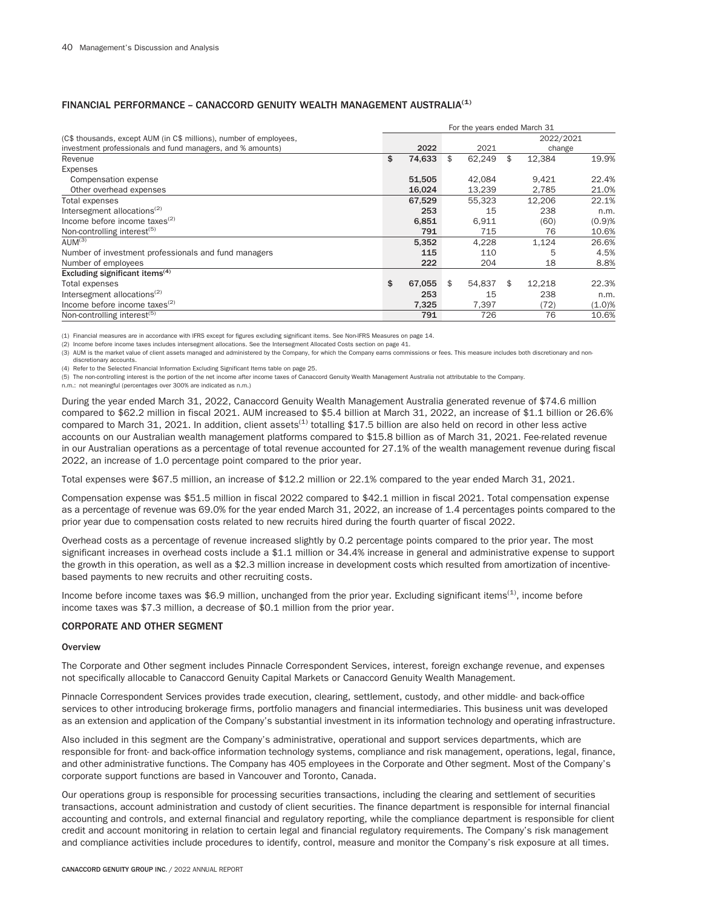#### For the years ended March 31 (C\$ thousands, except AUM (in C\$ millions), number of employees, investment professionals and fund managers, and % amounts) 2022 2021 2021 2022/2021 change Revenue \$ 74,633 \$ 62,249 \$ 12,384 19.9% Expenses Compensation expense 61,505 42,084 9,421 22.4% Other overhead expenses 21.0% and the overhead expenses 21.0% and the overhead expenses 21.0% and the overhead  $\frac{16,024}{2}$  21.0% and the overhead expenses 21.0% Total expenses 67,529 55,323 12,206 22.1% Total expenses 22.1%<br>
Intersegment allocations<sup>(2)</sup> 253 12,206 22.1%<br>
253 15 238 n.m.  $1$ ncome before income taxes<sup>(2)</sup> 6,851 6,911 (60) (0.9)% Non-controlling interest<sup>(5)</sup> 10.6% and 10.6% and 10.6% and 10.6% and 10.6% and 10.6% and 10.6% and 10.6% and 10.791 10.6% and 10.6% and 10.6% and 10.791 10.791 10.791 10.6% and 10.791 10.791 10.791 10.791 10.791 10.791 10 AUM<sup>(3)</sup> 5,352 4,228 1,124 26.6% Number of investment professionals and fund managers and the state of the state of employees 115 110 and 15 4.5% of the Mumber of employees 18.8% and the state of employees 18.8% and the state of the state of the state of Number of employees 222 204 18 Excluding significant items $(4)$ Total expenses **67,055** \$ 67,055 \$ 54,837 \$ 12,218 22.3% Intersegment allocations<sup>(2)</sup>  $\qquad \qquad$  253  $\qquad \qquad$  253  $\qquad \qquad$  238 n.m. Income before income taxes(2) 7,325 7,397 (72) (1.0)% Non-controlling interest<sup>(5)</sup> 2006 791 726 76 10.6%

# FINANCIAL PERFORMANCE – CANACCORD GENUITY WEALTH MANAGEMENT AUSTRALIA(1)

(1) Financial measures are in accordance with IFRS except for figures excluding significant items. See Non-IFRS Measures on page 14.

(2) Income before income taxes includes intersegment allocations. See the Intersegment Allocated Costs section on page 41.

(3) AUM is the market value of client assets managed and administered by the Company, for which the Company earns commissions or fees. This measure includes both discretionary and nondiscretionary accounts.

(4) Refer to the Selected Financial Information Excluding Significant Items table on page 25.

(5) The non-controlling interest is the portion of the net income after income taxes of Canaccord Genuity Wealth Management Australia not attributable to the Company.

n.m.: not meaningful (percentages over 300% are indicated as n.m.)

During the year ended March 31, 2022, Canaccord Genuity Wealth Management Australia generated revenue of \$74.6 million compared to \$62.2 million in fiscal 2021. AUM increased to \$5.4 billion at March 31, 2022, an increase of \$1.1 billion or 26.6% compared to March 31, 2021. In addition, client assets<sup>(1)</sup> totalling \$17.5 billion are also held on record in other less active accounts on our Australian wealth management platforms compared to \$15.8 billion as of March 31, 2021. Fee-related revenue in our Australian operations as a percentage of total revenue accounted for 27.1% of the wealth management revenue during fiscal 2022, an increase of 1.0 percentage point compared to the prior year.

Total expenses were \$67.5 million, an increase of \$12.2 million or 22.1% compared to the year ended March 31, 2021.

Compensation expense was \$51.5 million in fiscal 2022 compared to \$42.1 million in fiscal 2021. Total compensation expense as a percentage of revenue was 69.0% for the year ended March 31, 2022, an increase of 1.4 percentages points compared to the prior year due to compensation costs related to new recruits hired during the fourth quarter of fiscal 2022.

Overhead costs as a percentage of revenue increased slightly by 0.2 percentage points compared to the prior year. The most significant increases in overhead costs include a \$1.1 million or 34.4% increase in general and administrative expense to support the growth in this operation, as well as a \$2.3 million increase in development costs which resulted from amortization of incentivebased payments to new recruits and other recruiting costs.

Income before income taxes was \$6.9 million, unchanged from the prior year. Excluding significant items<sup>(1)</sup>, income before income taxes was \$7.3 million, a decrease of \$0.1 million from the prior year.

## CORPORATE AND OTHER SEGMENT

#### **Overview**

The Corporate and Other segment includes Pinnacle Correspondent Services, interest, foreign exchange revenue, and expenses not specifically allocable to Canaccord Genuity Capital Markets or Canaccord Genuity Wealth Management.

Pinnacle Correspondent Services provides trade execution, clearing, settlement, custody, and other middle- and back-office services to other introducing brokerage firms, portfolio managers and financial intermediaries. This business unit was developed as an extension and application of the Company's substantial investment in its information technology and operating infrastructure.

Also included in this segment are the Company's administrative, operational and support services departments, which are responsible for front- and back-office information technology systems, compliance and risk management, operations, legal, finance, and other administrative functions. The Company has 405 employees in the Corporate and Other segment. Most of the Company's corporate support functions are based in Vancouver and Toronto, Canada.

Our operations group is responsible for processing securities transactions, including the clearing and settlement of securities transactions, account administration and custody of client securities. The finance department is responsible for internal financial accounting and controls, and external financial and regulatory reporting, while the compliance department is responsible for client credit and account monitoring in relation to certain legal and financial regulatory requirements. The Company's risk management and compliance activities include procedures to identify, control, measure and monitor the Company's risk exposure at all times.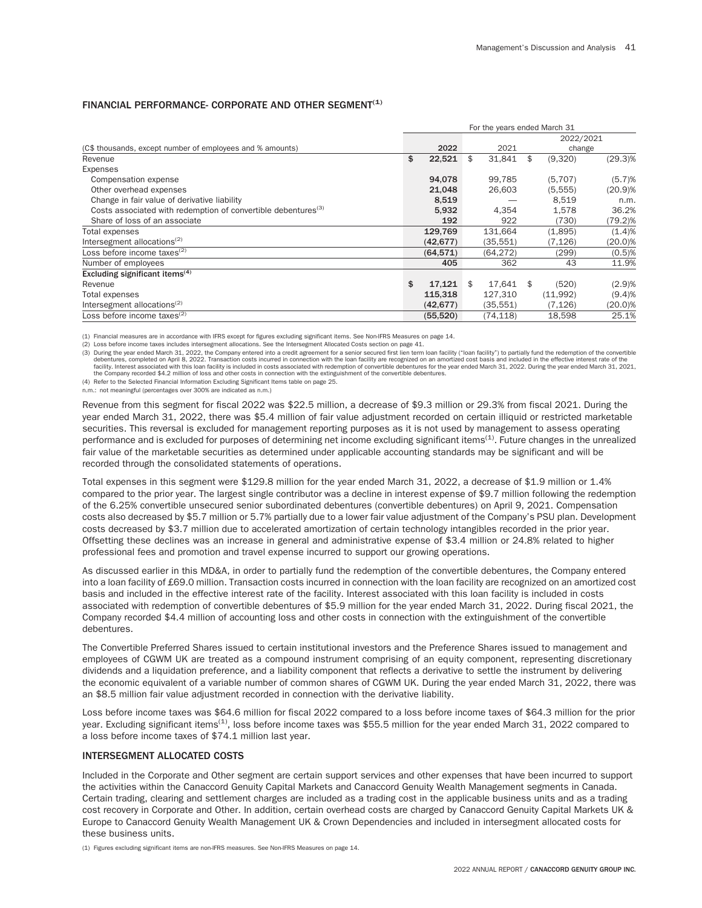## FINANCIAL PERFORMANCE- CORPORATE AND OTHER SEGMENT<sup>(1)</sup>

|                                                                           |              | For the years ended March 31 |     |           |            |
|---------------------------------------------------------------------------|--------------|------------------------------|-----|-----------|------------|
|                                                                           |              |                              |     | 2022/2021 |            |
| (C\$ thousands, except number of employees and % amounts)                 | 2022         | 2021                         |     | change    |            |
| Revenue                                                                   | \$<br>22,521 | \$<br>31,841                 | \$  | (9,320)   | $(29.3)\%$ |
| Expenses                                                                  |              |                              |     |           |            |
| Compensation expense                                                      | 94.078       | 99.785                       |     | (5,707)   | (5.7)%     |
| Other overhead expenses                                                   | 21,048       | 26,603                       |     | (5,555)   | $(20.9)\%$ |
| Change in fair value of derivative liability                              | 8,519        |                              |     | 8,519     | n.m.       |
| Costs associated with redemption of convertible debentures <sup>(3)</sup> | 5,932        | 4,354                        |     | 1,578     | 36.2%      |
| Share of loss of an associate                                             | 192          | 922                          |     | (730)     | $(79.2)\%$ |
| Total expenses                                                            | 129,769      | 131,664                      |     | (1,895)   | (1.4)%     |
| Intersegment allocations <sup><math>(2)</math></sup>                      | (42, 677)    | (35, 551)                    |     | (7, 126)  | $(20.0)\%$ |
| Loss before income taxes $(2)$                                            | (64, 571)    | (64, 272)                    |     | (299)     | $(0.5)$ %  |
| Number of employees                                                       | 405          | 362                          |     | 43        | 11.9%      |
| Excluding significant items $(4)$                                         |              |                              |     |           |            |
| Revenue                                                                   | \$<br>17,121 | \$<br>17.641                 | -\$ | (520)     | (2.9)%     |
| Total expenses                                                            | 115,318      | 127,310                      |     | (11,992)  | (9.4)%     |
| Intersegment allocations <sup>(2)</sup>                                   | (42, 677)    | (35, 551)                    |     | (7, 126)  | $(20.0)\%$ |
| Loss before income taxes $(2)$                                            | (55, 520)    | (74, 118)                    |     | 18,598    | 25.1%      |

(1) Financial measures are in accordance with IFRS except for figures excluding significant items. See Non-IFRS Measures on page 14.

(2) Loss before income taxes includes intersegment allocations. See the Intersegment Allocated Costs section on page 41.

(3) During the year ended March 31, 2022, the Company entered into a credit agreement for a senior secured first lien term loan facility ("loan facility") to partially fund the redemption of the convertible<br>debentures, com facility. Interest associated with this loan facility is included in costs associated with redemption of convertible debentures for the year ended March 31, 2022. During the year ended March 31, 2021, the Company recorded \$4.2 million of loss and other costs in connection with the extinguishment of the convertible debentures.

(4) Refer to the Selected Financial Information Excluding Significant Items table on page 25. n.m.: not meaningful (percentages over 300% are indicated as n.m.)

Revenue from this segment for fiscal 2022 was \$22.5 million, a decrease of \$9.3 million or 29.3% from fiscal 2021. During the year ended March 31, 2022, there was \$5.4 million of fair value adjustment recorded on certain illiquid or restricted marketable securities. This reversal is excluded for management reporting purposes as it is not used by management to assess operating performance and is excluded for purposes of determining net income excluding significant items<sup>(1)</sup>. Future changes in the unrealized fair value of the marketable securities as determined under applicable accounting standards may be significant and will be recorded through the consolidated statements of operations.

Total expenses in this segment were \$129.8 million for the year ended March 31, 2022, a decrease of \$1.9 million or 1.4% compared to the prior year. The largest single contributor was a decline in interest expense of \$9.7 million following the redemption of the 6.25% convertible unsecured senior subordinated debentures (convertible debentures) on April 9, 2021. Compensation costs also decreased by \$5.7 million or 5.7% partially due to a lower fair value adjustment of the Company's PSU plan. Development costs decreased by \$3.7 million due to accelerated amortization of certain technology intangibles recorded in the prior year. Offsetting these declines was an increase in general and administrative expense of \$3.4 million or 24.8% related to higher professional fees and promotion and travel expense incurred to support our growing operations.

As discussed earlier in this MD&A, in order to partially fund the redemption of the convertible debentures, the Company entered into a loan facility of £69.0 million. Transaction costs incurred in connection with the loan facility are recognized on an amortized cost basis and included in the effective interest rate of the facility. Interest associated with this loan facility is included in costs associated with redemption of convertible debentures of \$5.9 million for the year ended March 31, 2022. During fiscal 2021, the Company recorded \$4.4 million of accounting loss and other costs in connection with the extinguishment of the convertible debentures.

The Convertible Preferred Shares issued to certain institutional investors and the Preference Shares issued to management and employees of CGWM UK are treated as a compound instrument comprising of an equity component, representing discretionary dividends and a liquidation preference, and a liability component that reflects a derivative to settle the instrument by delivering the economic equivalent of a variable number of common shares of CGWM UK. During the year ended March 31, 2022, there was an \$8.5 million fair value adjustment recorded in connection with the derivative liability.

Loss before income taxes was \$64.6 million for fiscal 2022 compared to a loss before income taxes of \$64.3 million for the prior year. Excluding significant items<sup>(1)</sup>, loss before income taxes was \$55.5 million for the year ended March 31, 2022 compared to a loss before income taxes of \$74.1 million last year.

## INTERSEGMENT ALLOCATED COSTS

Included in the Corporate and Other segment are certain support services and other expenses that have been incurred to support the activities within the Canaccord Genuity Capital Markets and Canaccord Genuity Wealth Management segments in Canada. Certain trading, clearing and settlement charges are included as a trading cost in the applicable business units and as a trading cost recovery in Corporate and Other. In addition, certain overhead costs are charged by Canaccord Genuity Capital Markets UK & Europe to Canaccord Genuity Wealth Management UK & Crown Dependencies and included in intersegment allocated costs for these business units.

(1) Figures excluding significant items are non-IFRS measures. See Non-IFRS Measures on page 14.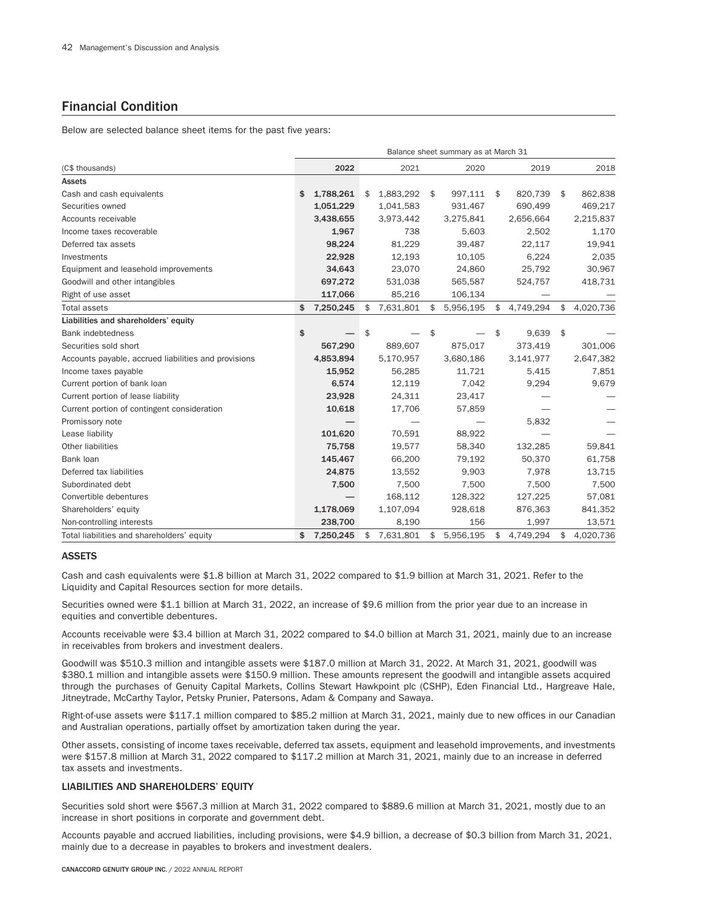# Financial Condition

Below are selected balance sheet items for the past five years:

|                                                      | Balance sheet summary as at March 31 |           |    |           |    |           |    |           |    |           |  |  |
|------------------------------------------------------|--------------------------------------|-----------|----|-----------|----|-----------|----|-----------|----|-----------|--|--|
| (C\$ thousands)                                      |                                      | 2022      |    | 2021      |    | 2020      |    | 2019      |    | 2018      |  |  |
| <b>Assets</b>                                        |                                      |           |    |           |    |           |    |           |    |           |  |  |
| Cash and cash equivalents                            | \$                                   | 1,788,261 | \$ | 1,883,292 | \$ | 997,111   | \$ | 820,739   | \$ | 862,838   |  |  |
| Securities owned                                     |                                      | 1,051,229 |    | 1,041,583 |    | 931,467   |    | 690,499   |    | 469,217   |  |  |
| Accounts receivable                                  |                                      | 3,438,655 |    | 3,973,442 |    | 3,275,841 |    | 2,656,664 |    | 2,215,837 |  |  |
| Income taxes recoverable                             |                                      | 1,967     |    | 738       |    | 5,603     |    | 2,502     |    | 1,170     |  |  |
| Deferred tax assets                                  |                                      | 98,224    |    | 81,229    |    | 39,487    |    | 22,117    |    | 19,941    |  |  |
| Investments                                          |                                      | 22,928    |    | 12,193    |    | 10,105    |    | 6,224     |    | 2,035     |  |  |
| Equipment and leasehold improvements                 |                                      | 34,643    |    | 23,070    |    | 24,860    |    | 25,792    |    | 30,967    |  |  |
| Goodwill and other intangibles                       |                                      | 697,272   |    | 531,038   |    | 565,587   |    | 524,757   |    | 418,731   |  |  |
| Right of use asset                                   |                                      | 117,066   |    | 85,216    |    | 106,134   |    |           |    |           |  |  |
| <b>Total assets</b>                                  | \$                                   | 7,250,245 | \$ | 7,631,801 | \$ | 5,956,195 | \$ | 4,749,294 | \$ | 4,020,736 |  |  |
| Liabilities and shareholders' equity                 |                                      |           |    |           |    |           |    |           |    |           |  |  |
| <b>Bank indebtedness</b>                             | \$                                   |           | \$ |           | \$ |           | \$ | 9,639     | \$ |           |  |  |
| Securities sold short                                |                                      | 567,290   |    | 889,607   |    | 875,017   |    | 373,419   |    | 301,006   |  |  |
| Accounts payable, accrued liabilities and provisions |                                      | 4,853,894 |    | 5,170,957 |    | 3,680,186 |    | 3,141,977 |    | 2,647,382 |  |  |
| Income taxes payable                                 |                                      | 15,952    |    | 56,285    |    | 11,721    |    | 5,415     |    | 7,851     |  |  |
| Current portion of bank loan                         |                                      | 6,574     |    | 12,119    |    | 7,042     |    | 9,294     |    | 9,679     |  |  |
| Current portion of lease liability                   |                                      | 23,928    |    | 24,311    |    | 23,417    |    |           |    |           |  |  |
| Current portion of contingent consideration          |                                      | 10,618    |    | 17,706    |    | 57,859    |    |           |    |           |  |  |
| Promissory note                                      |                                      |           |    |           |    |           |    | 5,832     |    |           |  |  |
| Lease liability                                      |                                      | 101,620   |    | 70,591    |    | 88,922    |    |           |    |           |  |  |
| Other liabilities                                    |                                      | 75,758    |    | 19,577    |    | 58,340    |    | 132,285   |    | 59,841    |  |  |
| Bank loan                                            |                                      | 145,467   |    | 66,200    |    | 79,192    |    | 50,370    |    | 61,758    |  |  |
| Deferred tax liabilities                             |                                      | 24,875    |    | 13,552    |    | 9,903     |    | 7,978     |    | 13,715    |  |  |
| Subordinated debt                                    |                                      | 7,500     |    | 7,500     |    | 7,500     |    | 7,500     |    | 7,500     |  |  |
| Convertible debentures                               |                                      |           |    | 168,112   |    | 128,322   |    | 127,225   |    | 57,081    |  |  |
| Shareholders' equity                                 |                                      | 1,178,069 |    | 1,107,094 |    | 928,618   |    | 876,363   |    | 841,352   |  |  |
| Non-controlling interests                            |                                      | 238,700   |    | 8,190     |    | 156       |    | 1,997     |    | 13,571    |  |  |
| Total liabilities and shareholders' equity           | \$                                   | 7,250,245 | \$ | 7,631,801 | \$ | 5,956,195 | \$ | 4,749,294 | \$ | 4,020,736 |  |  |

# ASSETS

Cash and cash equivalents were \$1.8 billion at March 31, 2022 compared to \$1.9 billion at March 31, 2021. Refer to the Liquidity and Capital Resources section for more details.

Securities owned were \$1.1 billion at March 31, 2022, an increase of \$9.6 million from the prior year due to an increase in equities and convertible debentures.

Accounts receivable were \$3.4 billion at March 31, 2022 compared to \$4.0 billion at March 31, 2021, mainly due to an increase in receivables from brokers and investment dealers.

Goodwill was \$510.3 million and intangible assets were \$187.0 million at March 31, 2022. At March 31, 2021, goodwill was \$380.1 million and intangible assets were \$150.9 million. These amounts represent the goodwill and intangible assets acquired through the purchases of Genuity Capital Markets, Collins Stewart Hawkpoint plc (CSHP), Eden Financial Ltd., Hargreave Hale, Jitneytrade, McCarthy Taylor, Petsky Prunier, Patersons, Adam & Company and Sawaya.

Right-of-use assets were \$117.1 million compared to \$85.2 million at March 31, 2021, mainly due to new offices in our Canadian and Australian operations, partially offset by amortization taken during the year.

Other assets, consisting of income taxes receivable, deferred tax assets, equipment and leasehold improvements, and investments were \$157.8 million at March 31, 2022 compared to \$117.2 million at March 31, 2021, mainly due to an increase in deferred tax assets and investments.

# LIABILITIES AND SHAREHOLDERS' EQUITY

Securities sold short were \$567.3 million at March 31, 2022 compared to \$889.6 million at March 31, 2021, mostly due to an increase in short positions in corporate and government debt.

Accounts payable and accrued liabilities, including provisions, were \$4.9 billion, a decrease of \$0.3 billion from March 31, 2021, mainly due to a decrease in payables to brokers and investment dealers.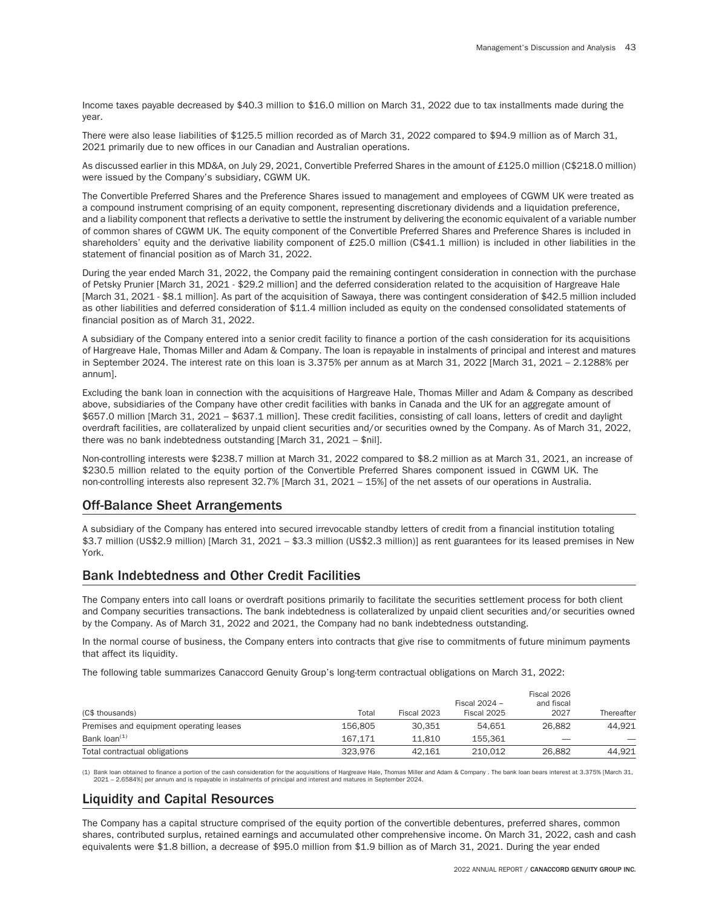Income taxes payable decreased by \$40.3 million to \$16.0 million on March 31, 2022 due to tax installments made during the year.

There were also lease liabilities of \$125.5 million recorded as of March 31, 2022 compared to \$94.9 million as of March 31, 2021 primarily due to new offices in our Canadian and Australian operations.

As discussed earlier in this MD&A, on July 29, 2021, Convertible Preferred Shares in the amount of £125.0 million (C\$218.0 million) were issued by the Company's subsidiary, CGWM UK.

The Convertible Preferred Shares and the Preference Shares issued to management and employees of CGWM UK were treated as a compound instrument comprising of an equity component, representing discretionary dividends and a liquidation preference, and a liability component that reflects a derivative to settle the instrument by delivering the economic equivalent of a variable number of common shares of CGWM UK. The equity component of the Convertible Preferred Shares and Preference Shares is included in shareholders' equity and the derivative liability component of £25.0 million (C\$41.1 million) is included in other liabilities in the statement of financial position as of March 31, 2022.

During the year ended March 31, 2022, the Company paid the remaining contingent consideration in connection with the purchase of Petsky Prunier [March 31, 2021 - \$29.2 million] and the deferred consideration related to the acquisition of Hargreave Hale [March 31, 2021 - \$8.1 million]. As part of the acquisition of Sawaya, there was contingent consideration of \$42.5 million included as other liabilities and deferred consideration of \$11.4 million included as equity on the condensed consolidated statements of financial position as of March 31, 2022.

A subsidiary of the Company entered into a senior credit facility to finance a portion of the cash consideration for its acquisitions of Hargreave Hale, Thomas Miller and Adam & Company. The loan is repayable in instalments of principal and interest and matures in September 2024. The interest rate on this loan is 3.375% per annum as at March 31, 2022 [March 31, 2021 – 2.1288% per annum].

Excluding the bank loan in connection with the acquisitions of Hargreave Hale, Thomas Miller and Adam & Company as described above, subsidiaries of the Company have other credit facilities with banks in Canada and the UK for an aggregate amount of \$657.0 million [March 31, 2021 – \$637.1 million]. These credit facilities, consisting of call loans, letters of credit and daylight overdraft facilities, are collateralized by unpaid client securities and/or securities owned by the Company. As of March 31, 2022, there was no bank indebtedness outstanding [March 31, 2021 – \$nil].

Non-controlling interests were \$238.7 million at March 31, 2022 compared to \$8.2 million as at March 31, 2021, an increase of \$230.5 million related to the equity portion of the Convertible Preferred Shares component issued in CGWM UK. The non-controlling interests also represent 32.7% [March 31, 2021 – 15%] of the net assets of our operations in Australia.

# Off-Balance Sheet Arrangements

A subsidiary of the Company has entered into secured irrevocable standby letters of credit from a financial institution totaling \$3.7 million (US\$2.9 million) [March 31, 2021 – \$3.3 million (US\$2.3 million)] as rent guarantees for its leased premises in New York.

# Bank Indebtedness and Other Credit Facilities

The Company enters into call loans or overdraft positions primarily to facilitate the securities settlement process for both client and Company securities transactions. The bank indebtedness is collateralized by unpaid client securities and/or securities owned by the Company. As of March 31, 2022 and 2021, the Company had no bank indebtedness outstanding.

In the normal course of business, the Company enters into contracts that give rise to commitments of future minimum payments that affect its liquidity.

The following table summarizes Canaccord Genuity Group's long-term contractual obligations on March 31, 2022:

| (C\$ thousands)                         | Total   | Fiscal 2023 | Fiscal 2024 -<br>Fiscal 2025 | Fiscal 2026<br>and fiscal<br>2027 | Thereafter |
|-----------------------------------------|---------|-------------|------------------------------|-----------------------------------|------------|
| Premises and equipment operating leases | 156.805 | 30.351      | 54.651                       | 26.882                            | 44.921     |
| Bank loan <sup>(1)</sup>                | 167.171 | 11.810      | 155.361                      | $\overline{\phantom{a}}$          |            |
| Total contractual obligations           | 323.976 | 42.161      | 210.012                      | 26.882                            | 44.921     |

(1) Bank loan obtained to finance a portion of the cash consideration for the acquisitions of Hargreave Hale, Thomas Miller and Adam & Company . The bank loan bears interest at 3.375% [March 31,<br>2021 – 2.6584%] per annum a

# Liquidity and Capital Resources

The Company has a capital structure comprised of the equity portion of the convertible debentures, preferred shares, common shares, contributed surplus, retained earnings and accumulated other comprehensive income. On March 31, 2022, cash and cash equivalents were \$1.8 billion, a decrease of \$95.0 million from \$1.9 billion as of March 31, 2021. During the year ended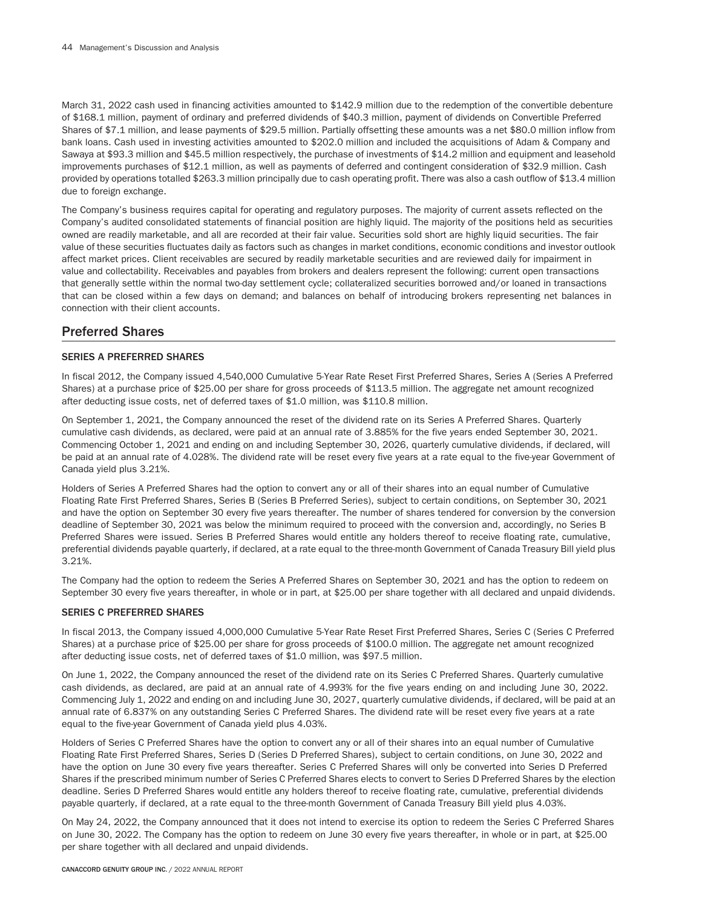March 31, 2022 cash used in financing activities amounted to \$142.9 million due to the redemption of the convertible debenture of \$168.1 million, payment of ordinary and preferred dividends of \$40.3 million, payment of dividends on Convertible Preferred Shares of \$7.1 million, and lease payments of \$29.5 million. Partially offsetting these amounts was a net \$80.0 million inflow from bank loans. Cash used in investing activities amounted to \$202.0 million and included the acquisitions of Adam & Company and Sawaya at \$93.3 million and \$45.5 million respectively, the purchase of investments of \$14.2 million and equipment and leasehold improvements purchases of \$12.1 million, as well as payments of deferred and contingent consideration of \$32.9 million. Cash provided by operations totalled \$263.3 million principally due to cash operating profit. There was also a cash outflow of \$13.4 million due to foreign exchange.

The Company's business requires capital for operating and regulatory purposes. The majority of current assets reflected on the Company's audited consolidated statements of financial position are highly liquid. The majority of the positions held as securities owned are readily marketable, and all are recorded at their fair value. Securities sold short are highly liquid securities. The fair value of these securities fluctuates daily as factors such as changes in market conditions, economic conditions and investor outlook affect market prices. Client receivables are secured by readily marketable securities and are reviewed daily for impairment in value and collectability. Receivables and payables from brokers and dealers represent the following: current open transactions that generally settle within the normal two-day settlement cycle; collateralized securities borrowed and/or loaned in transactions that can be closed within a few days on demand; and balances on behalf of introducing brokers representing net balances in connection with their client accounts.

# Preferred Shares

# SERIES A PREFERRED SHARES

In fiscal 2012, the Company issued 4,540,000 Cumulative 5-Year Rate Reset First Preferred Shares, Series A (Series A Preferred Shares) at a purchase price of \$25.00 per share for gross proceeds of \$113.5 million. The aggregate net amount recognized after deducting issue costs, net of deferred taxes of \$1.0 million, was \$110.8 million.

On September 1, 2021, the Company announced the reset of the dividend rate on its Series A Preferred Shares. Quarterly cumulative cash dividends, as declared, were paid at an annual rate of 3.885% for the five years ended September 30, 2021. Commencing October 1, 2021 and ending on and including September 30, 2026, quarterly cumulative dividends, if declared, will be paid at an annual rate of 4.028%. The dividend rate will be reset every five years at a rate equal to the five-year Government of Canada yield plus 3.21%.

Holders of Series A Preferred Shares had the option to convert any or all of their shares into an equal number of Cumulative Floating Rate First Preferred Shares, Series B (Series B Preferred Series), subject to certain conditions, on September 30, 2021 and have the option on September 30 every five years thereafter. The number of shares tendered for conversion by the conversion deadline of September 30, 2021 was below the minimum required to proceed with the conversion and, accordingly, no Series B Preferred Shares were issued. Series B Preferred Shares would entitle any holders thereof to receive floating rate, cumulative, preferential dividends payable quarterly, if declared, at a rate equal to the three-month Government of Canada Treasury Bill yield plus 3.21%.

The Company had the option to redeem the Series A Preferred Shares on September 30, 2021 and has the option to redeem on September 30 every five years thereafter, in whole or in part, at \$25.00 per share together with all declared and unpaid dividends.

# SERIES C PREFERRED SHARES

In fiscal 2013, the Company issued 4,000,000 Cumulative 5-Year Rate Reset First Preferred Shares, Series C (Series C Preferred Shares) at a purchase price of \$25.00 per share for gross proceeds of \$100.0 million. The aggregate net amount recognized after deducting issue costs, net of deferred taxes of \$1.0 million, was \$97.5 million.

On June 1, 2022, the Company announced the reset of the dividend rate on its Series C Preferred Shares. Quarterly cumulative cash dividends, as declared, are paid at an annual rate of 4.993% for the five years ending on and including June 30, 2022. Commencing July 1, 2022 and ending on and including June 30, 2027, quarterly cumulative dividends, if declared, will be paid at an annual rate of 6.837% on any outstanding Series C Preferred Shares. The dividend rate will be reset every five years at a rate equal to the five-year Government of Canada yield plus 4.03%.

Holders of Series C Preferred Shares have the option to convert any or all of their shares into an equal number of Cumulative Floating Rate First Preferred Shares, Series D (Series D Preferred Shares), subject to certain conditions, on June 30, 2022 and have the option on June 30 every five years thereafter. Series C Preferred Shares will only be converted into Series D Preferred Shares if the prescribed minimum number of Series C Preferred Shares elects to convert to Series D Preferred Shares by the election deadline. Series D Preferred Shares would entitle any holders thereof to receive floating rate, cumulative, preferential dividends payable quarterly, if declared, at a rate equal to the three-month Government of Canada Treasury Bill yield plus 4.03%.

On May 24, 2022, the Company announced that it does not intend to exercise its option to redeem the Series C Preferred Shares on June 30, 2022. The Company has the option to redeem on June 30 every five years thereafter, in whole or in part, at \$25.00 per share together with all declared and unpaid dividends.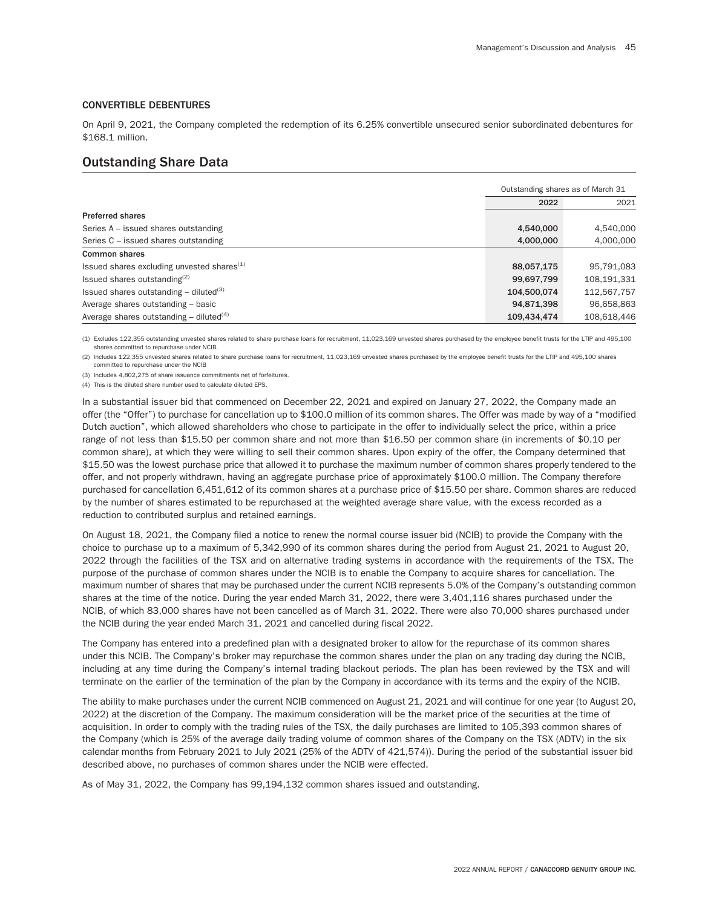## CONVERTIBLE DEBENTURES

On April 9, 2021, the Company completed the redemption of its 6.25% convertible unsecured senior subordinated debentures for \$168.1 million.

# Outstanding Share Data

|                                                       | Outstanding shares as of March 31 |             |
|-------------------------------------------------------|-----------------------------------|-------------|
|                                                       | 2022                              | 2021        |
| <b>Preferred shares</b>                               |                                   |             |
| Series A – issued shares outstanding                  | 4.540.000                         | 4.540.000   |
| Series C - issued shares outstanding                  | 4.000.000                         | 4.000.000   |
| Common shares                                         |                                   |             |
| Issued shares excluding unvested shares $(1)$         | 88.057.175                        | 95.791.083  |
| Issued shares outstanding $(2)$                       | 99,697,799                        | 108,191,331 |
| Issued shares outstanding $-$ diluted <sup>(3)</sup>  | 104.500.074                       | 112,567,757 |
| Average shares outstanding - basic                    | 94.871.398                        | 96.658.863  |
| Average shares outstanding $-$ diluted <sup>(4)</sup> | 109,434,474                       | 108,618,446 |

(1) Excludes 122,355 outstanding unvested shares related to share purchase loans for recruitment, 11,023,169 unvested shares purchased by the employee benefit trusts for the LTIP and 495,100 shares committed to repurchase under NCIB.

(2) Includes 122,355 unvested shares related to share purchase loans for recruitment, 11,023,169 unvested shares purchased by the employee benefit trusts for the LTIP and 495,100 shares committed to repurchase under the NCIB

(3) Includes 4,802,275 of share issuance commitments net of forfeitures.

(4) This is the diluted share number used to calculate diluted EPS.

In a substantial issuer bid that commenced on December 22, 2021 and expired on January 27, 2022, the Company made an offer (the "Offer") to purchase for cancellation up to \$100.0 million of its common shares. The Offer was made by way of a "modified Dutch auction", which allowed shareholders who chose to participate in the offer to individually select the price, within a price range of not less than \$15.50 per common share and not more than \$16.50 per common share (in increments of \$0.10 per common share), at which they were willing to sell their common shares. Upon expiry of the offer, the Company determined that \$15.50 was the lowest purchase price that allowed it to purchase the maximum number of common shares properly tendered to the offer, and not properly withdrawn, having an aggregate purchase price of approximately \$100.0 million. The Company therefore purchased for cancellation 6,451,612 of its common shares at a purchase price of \$15.50 per share. Common shares are reduced by the number of shares estimated to be repurchased at the weighted average share value, with the excess recorded as a reduction to contributed surplus and retained earnings.

On August 18, 2021, the Company filed a notice to renew the normal course issuer bid (NCIB) to provide the Company with the choice to purchase up to a maximum of 5,342,990 of its common shares during the period from August 21, 2021 to August 20, 2022 through the facilities of the TSX and on alternative trading systems in accordance with the requirements of the TSX. The purpose of the purchase of common shares under the NCIB is to enable the Company to acquire shares for cancellation. The maximum number of shares that may be purchased under the current NCIB represents 5.0% of the Company's outstanding common shares at the time of the notice. During the year ended March 31, 2022, there were 3,401,116 shares purchased under the NCIB, of which 83,000 shares have not been cancelled as of March 31, 2022. There were also 70,000 shares purchased under the NCIB during the year ended March 31, 2021 and cancelled during fiscal 2022.

The Company has entered into a predefined plan with a designated broker to allow for the repurchase of its common shares under this NCIB. The Company's broker may repurchase the common shares under the plan on any trading day during the NCIB, including at any time during the Company's internal trading blackout periods. The plan has been reviewed by the TSX and will terminate on the earlier of the termination of the plan by the Company in accordance with its terms and the expiry of the NCIB.

The ability to make purchases under the current NCIB commenced on August 21, 2021 and will continue for one year (to August 20, 2022) at the discretion of the Company. The maximum consideration will be the market price of the securities at the time of acquisition. In order to comply with the trading rules of the TSX, the daily purchases are limited to 105,393 common shares of the Company (which is 25% of the average daily trading volume of common shares of the Company on the TSX (ADTV) in the six calendar months from February 2021 to July 2021 (25% of the ADTV of 421,574)). During the period of the substantial issuer bid described above, no purchases of common shares under the NCIB were effected.

As of May 31, 2022, the Company has 99,194,132 common shares issued and outstanding.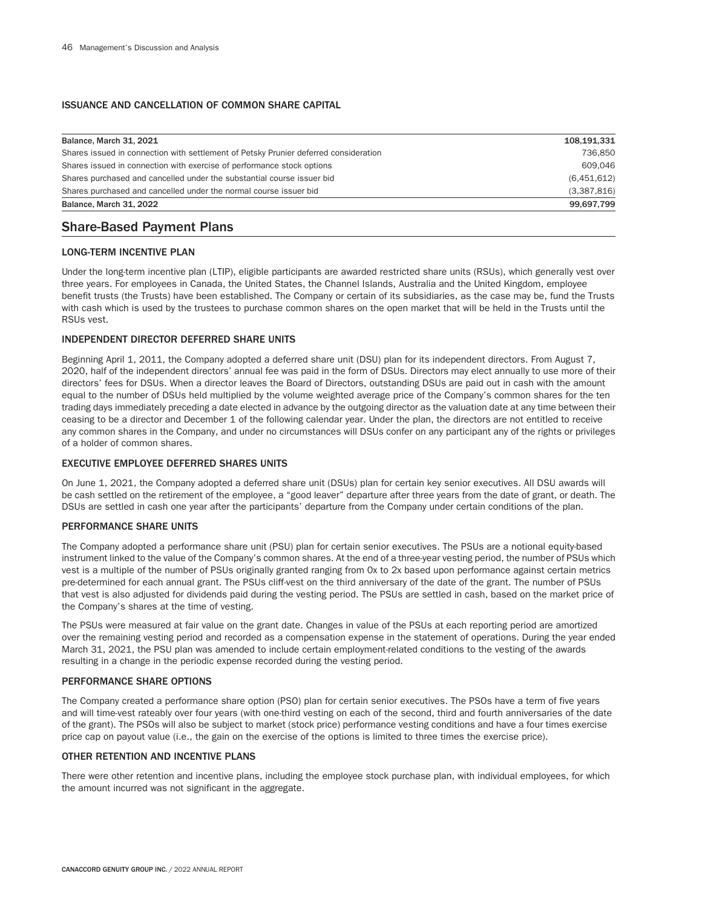# ISSUANCE AND CANCELLATION OF COMMON SHARE CAPITAL

| Balance, March 31, 2021                                                              | 108,191,331 |
|--------------------------------------------------------------------------------------|-------------|
| Shares issued in connection with settlement of Petsky Prunier deferred consideration | 736.850     |
| Shares issued in connection with exercise of performance stock options               | 609.046     |
| Shares purchased and cancelled under the substantial course issuer bid               | (6,451,612) |
| Shares purchased and cancelled under the normal course issuer bid                    | (3,387,816) |
| Balance, March 31, 2022                                                              | 99.697.799  |

# Share-Based Payment Plans

# LONG-TERM INCENTIVE PLAN

Under the long-term incentive plan (LTIP), eligible participants are awarded restricted share units (RSUs), which generally vest over three years. For employees in Canada, the United States, the Channel Islands, Australia and the United Kingdom, employee benefit trusts (the Trusts) have been established. The Company or certain of its subsidiaries, as the case may be, fund the Trusts with cash which is used by the trustees to purchase common shares on the open market that will be held in the Trusts until the RSUs vest.

# INDEPENDENT DIRECTOR DEFERRED SHARE UNITS

Beginning April 1, 2011, the Company adopted a deferred share unit (DSU) plan for its independent directors. From August 7, 2020, half of the independent directors' annual fee was paid in the form of DSUs. Directors may elect annually to use more of their directors' fees for DSUs. When a director leaves the Board of Directors, outstanding DSUs are paid out in cash with the amount equal to the number of DSUs held multiplied by the volume weighted average price of the Company's common shares for the ten trading days immediately preceding a date elected in advance by the outgoing director as the valuation date at any time between their ceasing to be a director and December 1 of the following calendar year. Under the plan, the directors are not entitled to receive any common shares in the Company, and under no circumstances will DSUs confer on any participant any of the rights or privileges of a holder of common shares.

## EXECUTIVE EMPLOYEE DEFERRED SHARES UNITS

On June 1, 2021, the Company adopted a deferred share unit (DSUs) plan for certain key senior executives. All DSU awards will be cash settled on the retirement of the employee, a "good leaver" departure after three years from the date of grant, or death. The DSUs are settled in cash one year after the participants' departure from the Company under certain conditions of the plan.

# PERFORMANCE SHARE UNITS

The Company adopted a performance share unit (PSU) plan for certain senior executives. The PSUs are a notional equity-based instrument linked to the value of the Company's common shares. At the end of a three-year vesting period, the number of PSUs which vest is a multiple of the number of PSUs originally granted ranging from 0x to 2x based upon performance against certain metrics pre-determined for each annual grant. The PSUs cliff-vest on the third anniversary of the date of the grant. The number of PSUs that vest is also adjusted for dividends paid during the vesting period. The PSUs are settled in cash, based on the market price of the Company's shares at the time of vesting.

The PSUs were measured at fair value on the grant date. Changes in value of the PSUs at each reporting period are amortized over the remaining vesting period and recorded as a compensation expense in the statement of operations. During the year ended March 31, 2021, the PSU plan was amended to include certain employment-related conditions to the vesting of the awards resulting in a change in the periodic expense recorded during the vesting period.

## PERFORMANCE SHARE OPTIONS

The Company created a performance share option (PSO) plan for certain senior executives. The PSOs have a term of five years and will time-vest rateably over four years (with one-third vesting on each of the second, third and fourth anniversaries of the date of the grant). The PSOs will also be subject to market (stock price) performance vesting conditions and have a four times exercise price cap on payout value (i.e., the gain on the exercise of the options is limited to three times the exercise price).

## OTHER RETENTION AND INCENTIVE PLANS

There were other retention and incentive plans, including the employee stock purchase plan, with individual employees, for which the amount incurred was not significant in the aggregate.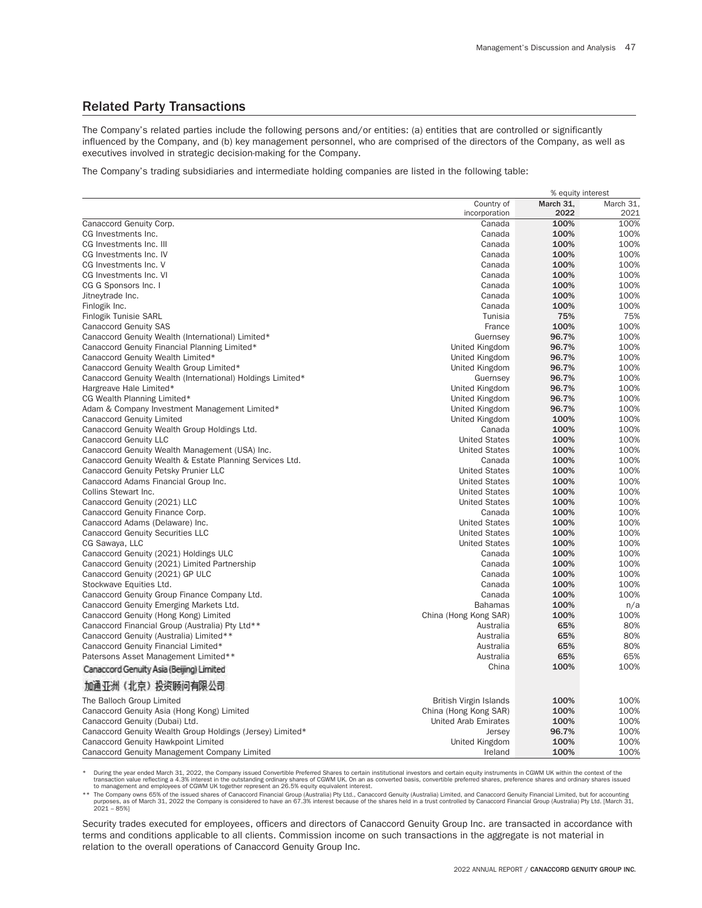# Related Party Transactions

The Company's related parties include the following persons and/or entities: (a) entities that are controlled or significantly influenced by the Company, and (b) key management personnel, who are comprised of the directors of the Company, as well as executives involved in strategic decision-making for the Company.

The Company's trading subsidiaries and intermediate holding companies are listed in the following table:

|                                                                              | % equity interest                  |                   |              |  |
|------------------------------------------------------------------------------|------------------------------------|-------------------|--------------|--|
|                                                                              | Country of                         | March 31,<br>2022 | March 31.    |  |
|                                                                              | incorporation                      | 100%              | 2021<br>100% |  |
| Canaccord Genuity Corp.                                                      | Canada<br>Canada                   | 100%              | 100%         |  |
| CG Investments Inc.                                                          |                                    |                   |              |  |
| CG Investments Inc. III                                                      | Canada<br>Canada                   | 100%<br>100%      | 100%<br>100% |  |
| CG Investments Inc. IV                                                       |                                    |                   |              |  |
| CG Investments Inc. V<br>CG Investments Inc. VI                              | Canada<br>Canada                   | 100%<br>100%      | 100%<br>100% |  |
|                                                                              | Canada                             | 100%              | 100%         |  |
| CG G Sponsors Inc. I                                                         |                                    | 100%              | 100%         |  |
| Jitneytrade Inc.                                                             | Canada<br>Canada                   | 100%              | 100%         |  |
| Finlogik Inc.                                                                | Tunisia                            | 75%               | 75%          |  |
| Finlogik Tunisie SARL                                                        |                                    |                   |              |  |
| <b>Canaccord Genuity SAS</b>                                                 | France                             | 100%              | 100%         |  |
| Canaccord Genuity Wealth (International) Limited*                            | Guernsey                           | 96.7%             | 100%         |  |
| Canaccord Genuity Financial Planning Limited*                                | United Kingdom                     | 96.7%             | 100%         |  |
| Canaccord Genuity Wealth Limited*                                            | United Kingdom                     | 96.7%             | 100%         |  |
| Canaccord Genuity Wealth Group Limited*                                      | United Kingdom                     | 96.7%             | 100%         |  |
| Canaccord Genuity Wealth (International) Holdings Limited*                   | Guernsey                           | 96.7%             | 100%         |  |
| Hargreave Hale Limited*                                                      | United Kingdom                     | 96.7%             | 100%         |  |
| CG Wealth Planning Limited*                                                  | United Kingdom                     | 96.7%             | 100%         |  |
| Adam & Company Investment Management Limited*                                | United Kingdom                     | 96.7%             | 100%         |  |
| <b>Canaccord Genuity Limited</b>                                             | United Kingdom                     | 100%              | 100%         |  |
| Canaccord Genuity Wealth Group Holdings Ltd.                                 | Canada                             | 100%              | 100%         |  |
| <b>Canaccord Genuity LLC</b>                                                 | <b>United States</b>               | 100%              | 100%         |  |
| Canaccord Genuity Wealth Management (USA) Inc.                               | <b>United States</b>               | 100%              | 100%         |  |
| Canaccord Genuity Wealth & Estate Planning Services Ltd.                     | Canada                             | 100%              | 100%         |  |
| Canaccord Genuity Petsky Prunier LLC                                         | <b>United States</b>               | 100%              | 100%         |  |
| Canaccord Adams Financial Group Inc.                                         | <b>United States</b>               | 100%              | 100%         |  |
| Collins Stewart Inc.                                                         | <b>United States</b>               | 100%              | 100%         |  |
| Canaccord Genuity (2021) LLC                                                 | <b>United States</b>               | 100%              | 100%         |  |
| Canaccord Genuity Finance Corp.                                              | Canada                             | 100%              | 100%         |  |
| Canaccord Adams (Delaware) Inc.                                              | <b>United States</b>               | 100%              | 100%         |  |
| <b>Canaccord Genuity Securities LLC</b>                                      | <b>United States</b>               | 100%              | 100%         |  |
| CG Sawaya, LLC                                                               | <b>United States</b>               | 100%              | 100%         |  |
| Canaccord Genuity (2021) Holdings ULC                                        | Canada                             | 100%              | 100%         |  |
| Canaccord Genuity (2021) Limited Partnership                                 | Canada                             | 100%              | 100%         |  |
| Canaccord Genuity (2021) GP ULC                                              | Canada                             | 100%              | 100%         |  |
| Stockwave Equities Ltd.                                                      | Canada                             | 100%              | 100%         |  |
| Canaccord Genuity Group Finance Company Ltd.                                 | Canada                             | 100%              | 100%         |  |
| Canaccord Genuity Emerging Markets Ltd.                                      | <b>Bahamas</b>                     | 100%              | n/a          |  |
| Canaccord Genuity (Hong Kong) Limited                                        | China (Hong Kong SAR)<br>Australia | 100%<br>65%       | 100%<br>80%  |  |
| Canaccord Financial Group (Australia) Pty Ltd**                              | Australia                          | 65%               | 80%          |  |
| Canaccord Genuity (Australia) Limited**                                      | Australia                          | 65%               | 80%          |  |
| Canaccord Genuity Financial Limited*<br>Patersons Asset Management Limited** | Australia                          | 65%               | 65%          |  |
| Canaccord Genuity Asia (Beijing) Limited                                     | China                              | 100%              | 100%         |  |
|                                                                              |                                    |                   |              |  |
| 加通亚洲(北京)投资顾问有限公司                                                             |                                    |                   |              |  |
| The Balloch Group Limited                                                    | <b>British Virgin Islands</b>      | 100%              | 100%         |  |
| Canaccord Genuity Asia (Hong Kong) Limited                                   | China (Hong Kong SAR)              | 100%              | 100%         |  |
| Canaccord Genuity (Dubai) Ltd.                                               | <b>United Arab Emirates</b>        | 100%              | 100%         |  |
| Canaccord Genuity Wealth Group Holdings (Jersey) Limited*                    | Jersey                             | 96.7%             | 100%         |  |
| Canaccord Genuity Hawkpoint Limited                                          | United Kingdom                     | 100%              | 100%         |  |
| Canaccord Genuity Management Company Limited                                 | Ireland                            | 100%              | 100%         |  |

During the year ended March 31, 2022, the Company issued Convertible Preferred Shares to certain institutional investors and certain equity instruments in CGWM UK within the context of the transaction value reflecting a 4.

\*\* The Company owns 65% of the issued shares of Canaccord Financial Group (Australia) Pty Ltd., Canaccord Genuity (Australia) Limited, and Canaccord Genuity Financial Limited, but for accounting<br>purposes, as of March 31, 2

Security trades executed for employees, officers and directors of Canaccord Genuity Group Inc. are transacted in accordance with terms and conditions applicable to all clients. Commission income on such transactions in the aggregate is not material in relation to the overall operations of Canaccord Genuity Group Inc.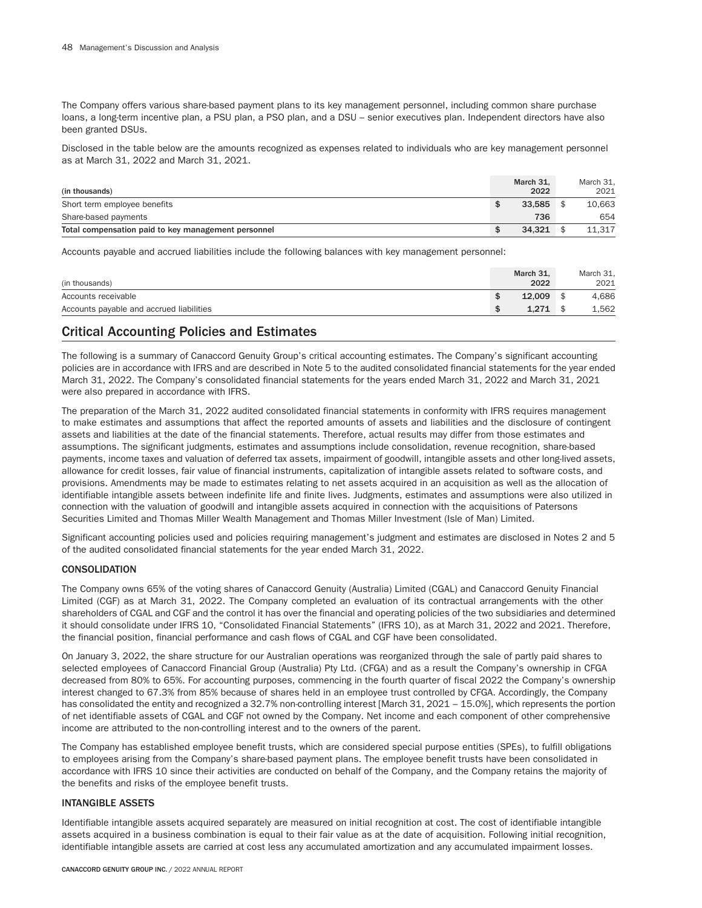The Company offers various share-based payment plans to its key management personnel, including common share purchase loans, a long-term incentive plan, a PSU plan, a PSO plan, and a DSU – senior executives plan. Independent directors have also been granted DSUs.

Disclosed in the table below are the amounts recognized as expenses related to individuals who are key management personnel as at March 31, 2022 and March 31, 2021.

| (in thousands)                                      | March 31.<br>2022 | March 31.<br>2021 |
|-----------------------------------------------------|-------------------|-------------------|
| Short term employee benefits                        | 33.585            | 10,663            |
| Share-based payments                                | 736               | 654               |
| Total compensation paid to key management personnel | 34.321            | 11.317            |

Accounts payable and accrued liabilities include the following balances with key management personnel:

| (in thousands)                           |          | March 31.<br>2022 | March 31.<br>2021 |
|------------------------------------------|----------|-------------------|-------------------|
| Accounts receivable                      | ¢<br>-JD | 12.009            | 4,686             |
| Accounts payable and accrued liabilities | \$       | 1.271             | 1,562             |

# Critical Accounting Policies and Estimates

The following is a summary of Canaccord Genuity Group's critical accounting estimates. The Company's significant accounting policies are in accordance with IFRS and are described in Note 5 to the audited consolidated financial statements for the year ended March 31, 2022. The Company's consolidated financial statements for the years ended March 31, 2022 and March 31, 2021 were also prepared in accordance with IFRS.

The preparation of the March 31, 2022 audited consolidated financial statements in conformity with IFRS requires management to make estimates and assumptions that affect the reported amounts of assets and liabilities and the disclosure of contingent assets and liabilities at the date of the financial statements. Therefore, actual results may differ from those estimates and assumptions. The significant judgments, estimates and assumptions include consolidation, revenue recognition, share-based payments, income taxes and valuation of deferred tax assets, impairment of goodwill, intangible assets and other long-lived assets, allowance for credit losses, fair value of financial instruments, capitalization of intangible assets related to software costs, and provisions. Amendments may be made to estimates relating to net assets acquired in an acquisition as well as the allocation of identifiable intangible assets between indefinite life and finite lives. Judgments, estimates and assumptions were also utilized in connection with the valuation of goodwill and intangible assets acquired in connection with the acquisitions of Patersons Securities Limited and Thomas Miller Wealth Management and Thomas Miller Investment (Isle of Man) Limited.

Significant accounting policies used and policies requiring management's judgment and estimates are disclosed in Notes 2 and 5 of the audited consolidated financial statements for the year ended March 31, 2022.

## CONSOLIDATION

The Company owns 65% of the voting shares of Canaccord Genuity (Australia) Limited (CGAL) and Canaccord Genuity Financial Limited (CGF) as at March 31, 2022. The Company completed an evaluation of its contractual arrangements with the other shareholders of CGAL and CGF and the control it has over the financial and operating policies of the two subsidiaries and determined it should consolidate under IFRS 10, "Consolidated Financial Statements" (IFRS 10), as at March 31, 2022 and 2021. Therefore, the financial position, financial performance and cash flows of CGAL and CGF have been consolidated.

On January 3, 2022, the share structure for our Australian operations was reorganized through the sale of partly paid shares to selected employees of Canaccord Financial Group (Australia) Pty Ltd. (CFGA) and as a result the Company's ownership in CFGA decreased from 80% to 65%. For accounting purposes, commencing in the fourth quarter of fiscal 2022 the Company's ownership interest changed to 67.3% from 85% because of shares held in an employee trust controlled by CFGA. Accordingly, the Company has consolidated the entity and recognized a 32.7% non-controlling interest [March 31, 2021 – 15.0%], which represents the portion of net identifiable assets of CGAL and CGF not owned by the Company. Net income and each component of other comprehensive income are attributed to the non-controlling interest and to the owners of the parent.

The Company has established employee benefit trusts, which are considered special purpose entities (SPEs), to fulfill obligations to employees arising from the Company's share-based payment plans. The employee benefit trusts have been consolidated in accordance with IFRS 10 since their activities are conducted on behalf of the Company, and the Company retains the majority of the benefits and risks of the employee benefit trusts.

## INTANGIBLE ASSETS

Identifiable intangible assets acquired separately are measured on initial recognition at cost. The cost of identifiable intangible assets acquired in a business combination is equal to their fair value as at the date of acquisition. Following initial recognition, identifiable intangible assets are carried at cost less any accumulated amortization and any accumulated impairment losses.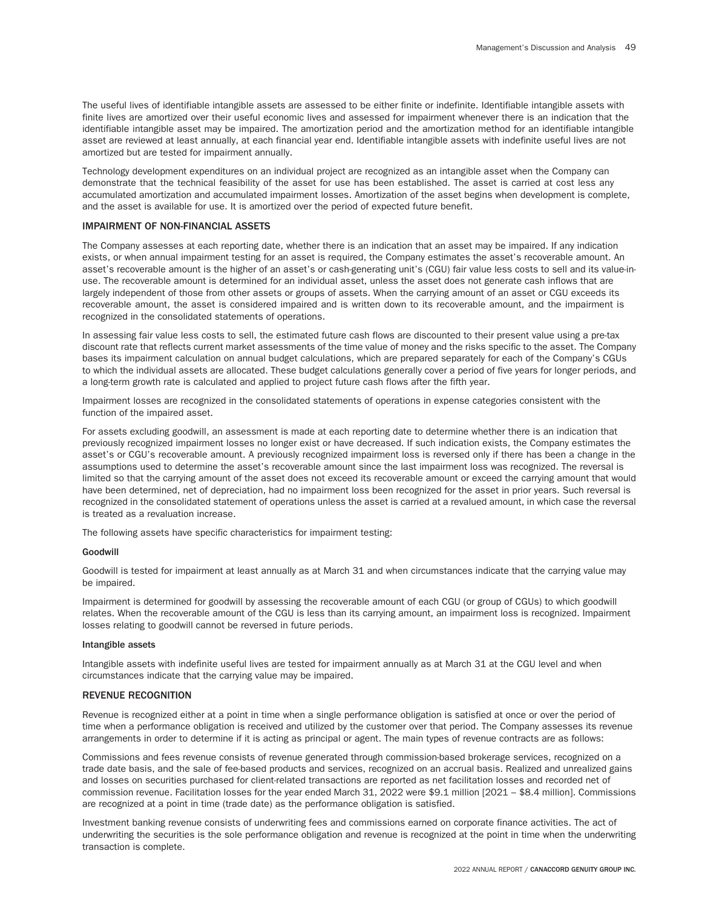The useful lives of identifiable intangible assets are assessed to be either finite or indefinite. Identifiable intangible assets with finite lives are amortized over their useful economic lives and assessed for impairment whenever there is an indication that the identifiable intangible asset may be impaired. The amortization period and the amortization method for an identifiable intangible asset are reviewed at least annually, at each financial year end. Identifiable intangible assets with indefinite useful lives are not amortized but are tested for impairment annually.

Technology development expenditures on an individual project are recognized as an intangible asset when the Company can demonstrate that the technical feasibility of the asset for use has been established. The asset is carried at cost less any accumulated amortization and accumulated impairment losses. Amortization of the asset begins when development is complete, and the asset is available for use. It is amortized over the period of expected future benefit.

## IMPAIRMENT OF NON-FINANCIAL ASSETS

The Company assesses at each reporting date, whether there is an indication that an asset may be impaired. If any indication exists, or when annual impairment testing for an asset is required, the Company estimates the asset's recoverable amount. An asset's recoverable amount is the higher of an asset's or cash-generating unit's (CGU) fair value less costs to sell and its value-inuse. The recoverable amount is determined for an individual asset, unless the asset does not generate cash inflows that are largely independent of those from other assets or groups of assets. When the carrying amount of an asset or CGU exceeds its recoverable amount, the asset is considered impaired and is written down to its recoverable amount, and the impairment is recognized in the consolidated statements of operations.

In assessing fair value less costs to sell, the estimated future cash flows are discounted to their present value using a pre-tax discount rate that reflects current market assessments of the time value of money and the risks specific to the asset. The Company bases its impairment calculation on annual budget calculations, which are prepared separately for each of the Company's CGUs to which the individual assets are allocated. These budget calculations generally cover a period of five years for longer periods, and a long-term growth rate is calculated and applied to project future cash flows after the fifth year.

Impairment losses are recognized in the consolidated statements of operations in expense categories consistent with the function of the impaired asset.

For assets excluding goodwill, an assessment is made at each reporting date to determine whether there is an indication that previously recognized impairment losses no longer exist or have decreased. If such indication exists, the Company estimates the asset's or CGU's recoverable amount. A previously recognized impairment loss is reversed only if there has been a change in the assumptions used to determine the asset's recoverable amount since the last impairment loss was recognized. The reversal is limited so that the carrying amount of the asset does not exceed its recoverable amount or exceed the carrying amount that would have been determined, net of depreciation, had no impairment loss been recognized for the asset in prior years. Such reversal is recognized in the consolidated statement of operations unless the asset is carried at a revalued amount, in which case the reversal is treated as a revaluation increase.

The following assets have specific characteristics for impairment testing:

#### Goodwill

Goodwill is tested for impairment at least annually as at March 31 and when circumstances indicate that the carrying value may be impaired.

Impairment is determined for goodwill by assessing the recoverable amount of each CGU (or group of CGUs) to which goodwill relates. When the recoverable amount of the CGU is less than its carrying amount, an impairment loss is recognized. Impairment losses relating to goodwill cannot be reversed in future periods.

#### Intangible assets

Intangible assets with indefinite useful lives are tested for impairment annually as at March 31 at the CGU level and when circumstances indicate that the carrying value may be impaired.

#### REVENUE RECOGNITION

Revenue is recognized either at a point in time when a single performance obligation is satisfied at once or over the period of time when a performance obligation is received and utilized by the customer over that period. The Company assesses its revenue arrangements in order to determine if it is acting as principal or agent. The main types of revenue contracts are as follows:

Commissions and fees revenue consists of revenue generated through commission-based brokerage services, recognized on a trade date basis, and the sale of fee-based products and services, recognized on an accrual basis. Realized and unrealized gains and losses on securities purchased for client-related transactions are reported as net facilitation losses and recorded net of commission revenue. Facilitation losses for the year ended March 31, 2022 were \$9.1 million [2021 – \$8.4 million]. Commissions are recognized at a point in time (trade date) as the performance obligation is satisfied.

Investment banking revenue consists of underwriting fees and commissions earned on corporate finance activities. The act of underwriting the securities is the sole performance obligation and revenue is recognized at the point in time when the underwriting transaction is complete.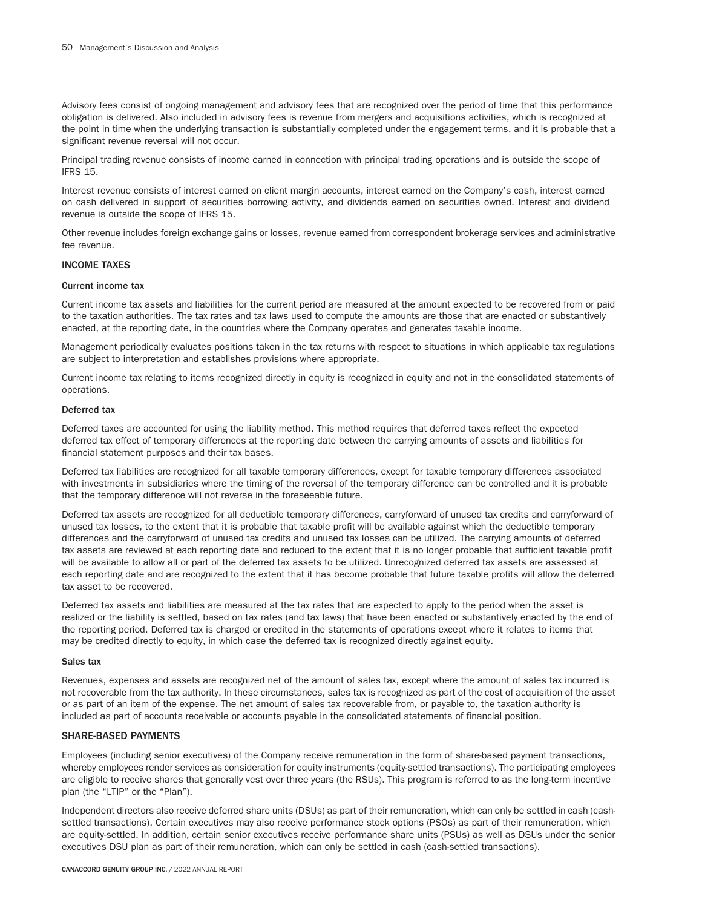Advisory fees consist of ongoing management and advisory fees that are recognized over the period of time that this performance obligation is delivered. Also included in advisory fees is revenue from mergers and acquisitions activities, which is recognized at the point in time when the underlying transaction is substantially completed under the engagement terms, and it is probable that a significant revenue reversal will not occur.

Principal trading revenue consists of income earned in connection with principal trading operations and is outside the scope of IFRS 15.

Interest revenue consists of interest earned on client margin accounts, interest earned on the Company's cash, interest earned on cash delivered in support of securities borrowing activity, and dividends earned on securities owned. Interest and dividend revenue is outside the scope of IFRS 15.

Other revenue includes foreign exchange gains or losses, revenue earned from correspondent brokerage services and administrative fee revenue.

## INCOME TAXES

#### Current income tax

Current income tax assets and liabilities for the current period are measured at the amount expected to be recovered from or paid to the taxation authorities. The tax rates and tax laws used to compute the amounts are those that are enacted or substantively enacted, at the reporting date, in the countries where the Company operates and generates taxable income.

Management periodically evaluates positions taken in the tax returns with respect to situations in which applicable tax regulations are subject to interpretation and establishes provisions where appropriate.

Current income tax relating to items recognized directly in equity is recognized in equity and not in the consolidated statements of operations.

#### Deferred tax

Deferred taxes are accounted for using the liability method. This method requires that deferred taxes reflect the expected deferred tax effect of temporary differences at the reporting date between the carrying amounts of assets and liabilities for financial statement purposes and their tax bases.

Deferred tax liabilities are recognized for all taxable temporary differences, except for taxable temporary differences associated with investments in subsidiaries where the timing of the reversal of the temporary difference can be controlled and it is probable that the temporary difference will not reverse in the foreseeable future.

Deferred tax assets are recognized for all deductible temporary differences, carryforward of unused tax credits and carryforward of unused tax losses, to the extent that it is probable that taxable profit will be available against which the deductible temporary differences and the carryforward of unused tax credits and unused tax losses can be utilized. The carrying amounts of deferred tax assets are reviewed at each reporting date and reduced to the extent that it is no longer probable that sufficient taxable profit will be available to allow all or part of the deferred tax assets to be utilized. Unrecognized deferred tax assets are assessed at each reporting date and are recognized to the extent that it has become probable that future taxable profits will allow the deferred tax asset to be recovered.

Deferred tax assets and liabilities are measured at the tax rates that are expected to apply to the period when the asset is realized or the liability is settled, based on tax rates (and tax laws) that have been enacted or substantively enacted by the end of the reporting period. Deferred tax is charged or credited in the statements of operations except where it relates to items that may be credited directly to equity, in which case the deferred tax is recognized directly against equity.

#### Sales tax

Revenues, expenses and assets are recognized net of the amount of sales tax, except where the amount of sales tax incurred is not recoverable from the tax authority. In these circumstances, sales tax is recognized as part of the cost of acquisition of the asset or as part of an item of the expense. The net amount of sales tax recoverable from, or payable to, the taxation authority is included as part of accounts receivable or accounts payable in the consolidated statements of financial position.

## SHARE-BASED PAYMENTS

Employees (including senior executives) of the Company receive remuneration in the form of share-based payment transactions, whereby employees render services as consideration for equity instruments (equity-settled transactions). The participating employees are eligible to receive shares that generally vest over three years (the RSUs). This program is referred to as the long-term incentive plan (the "LTIP" or the "Plan").

Independent directors also receive deferred share units (DSUs) as part of their remuneration, which can only be settled in cash (cashsettled transactions). Certain executives may also receive performance stock options (PSOs) as part of their remuneration, which are equity-settled. In addition, certain senior executives receive performance share units (PSUs) as well as DSUs under the senior executives DSU plan as part of their remuneration, which can only be settled in cash (cash-settled transactions).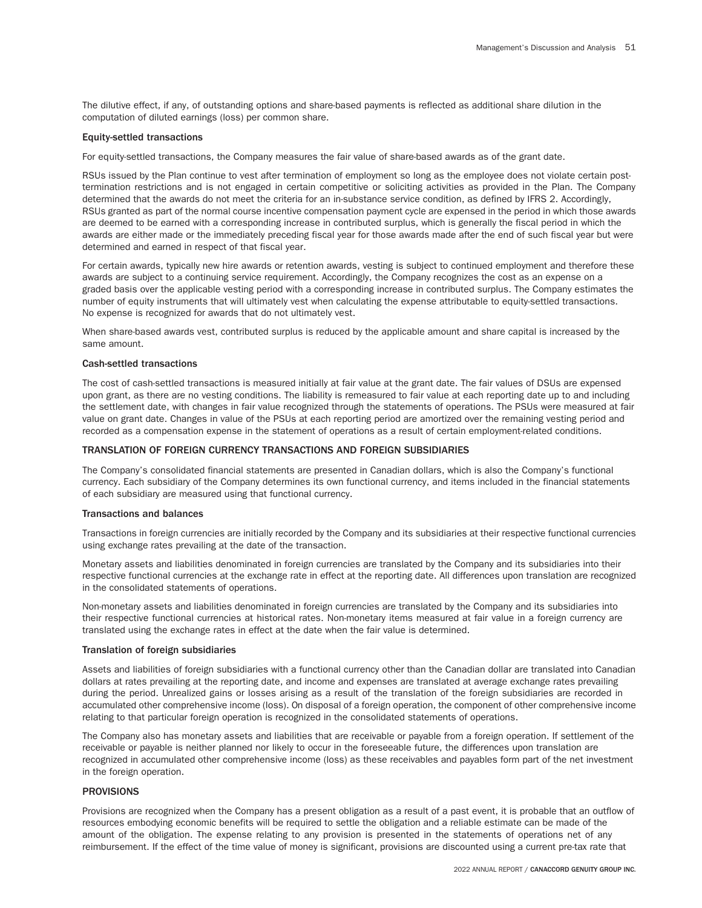The dilutive effect, if any, of outstanding options and share-based payments is reflected as additional share dilution in the computation of diluted earnings (loss) per common share.

#### Equity-settled transactions

For equity-settled transactions, the Company measures the fair value of share-based awards as of the grant date.

RSUs issued by the Plan continue to vest after termination of employment so long as the employee does not violate certain posttermination restrictions and is not engaged in certain competitive or soliciting activities as provided in the Plan. The Company determined that the awards do not meet the criteria for an in-substance service condition, as defined by IFRS 2. Accordingly, RSUs granted as part of the normal course incentive compensation payment cycle are expensed in the period in which those awards are deemed to be earned with a corresponding increase in contributed surplus, which is generally the fiscal period in which the awards are either made or the immediately preceding fiscal year for those awards made after the end of such fiscal year but were determined and earned in respect of that fiscal year.

For certain awards, typically new hire awards or retention awards, vesting is subject to continued employment and therefore these awards are subject to a continuing service requirement. Accordingly, the Company recognizes the cost as an expense on a graded basis over the applicable vesting period with a corresponding increase in contributed surplus. The Company estimates the number of equity instruments that will ultimately vest when calculating the expense attributable to equity-settled transactions. No expense is recognized for awards that do not ultimately vest.

When share-based awards vest, contributed surplus is reduced by the applicable amount and share capital is increased by the same amount.

## Cash-settled transactions

The cost of cash-settled transactions is measured initially at fair value at the grant date. The fair values of DSUs are expensed upon grant, as there are no vesting conditions. The liability is remeasured to fair value at each reporting date up to and including the settlement date, with changes in fair value recognized through the statements of operations. The PSUs were measured at fair value on grant date. Changes in value of the PSUs at each reporting period are amortized over the remaining vesting period and recorded as a compensation expense in the statement of operations as a result of certain employment-related conditions.

### TRANSLATION OF FOREIGN CURRENCY TRANSACTIONS AND FOREIGN SUBSIDIARIES

The Company's consolidated financial statements are presented in Canadian dollars, which is also the Company's functional currency. Each subsidiary of the Company determines its own functional currency, and items included in the financial statements of each subsidiary are measured using that functional currency.

## Transactions and balances

Transactions in foreign currencies are initially recorded by the Company and its subsidiaries at their respective functional currencies using exchange rates prevailing at the date of the transaction.

Monetary assets and liabilities denominated in foreign currencies are translated by the Company and its subsidiaries into their respective functional currencies at the exchange rate in effect at the reporting date. All differences upon translation are recognized in the consolidated statements of operations.

Non-monetary assets and liabilities denominated in foreign currencies are translated by the Company and its subsidiaries into their respective functional currencies at historical rates. Non-monetary items measured at fair value in a foreign currency are translated using the exchange rates in effect at the date when the fair value is determined.

## Translation of foreign subsidiaries

Assets and liabilities of foreign subsidiaries with a functional currency other than the Canadian dollar are translated into Canadian dollars at rates prevailing at the reporting date, and income and expenses are translated at average exchange rates prevailing during the period. Unrealized gains or losses arising as a result of the translation of the foreign subsidiaries are recorded in accumulated other comprehensive income (loss). On disposal of a foreign operation, the component of other comprehensive income relating to that particular foreign operation is recognized in the consolidated statements of operations.

The Company also has monetary assets and liabilities that are receivable or payable from a foreign operation. If settlement of the receivable or payable is neither planned nor likely to occur in the foreseeable future, the differences upon translation are recognized in accumulated other comprehensive income (loss) as these receivables and payables form part of the net investment in the foreign operation.

## PROVISIONS

Provisions are recognized when the Company has a present obligation as a result of a past event, it is probable that an outflow of resources embodying economic benefits will be required to settle the obligation and a reliable estimate can be made of the amount of the obligation. The expense relating to any provision is presented in the statements of operations net of any reimbursement. If the effect of the time value of money is significant, provisions are discounted using a current pre-tax rate that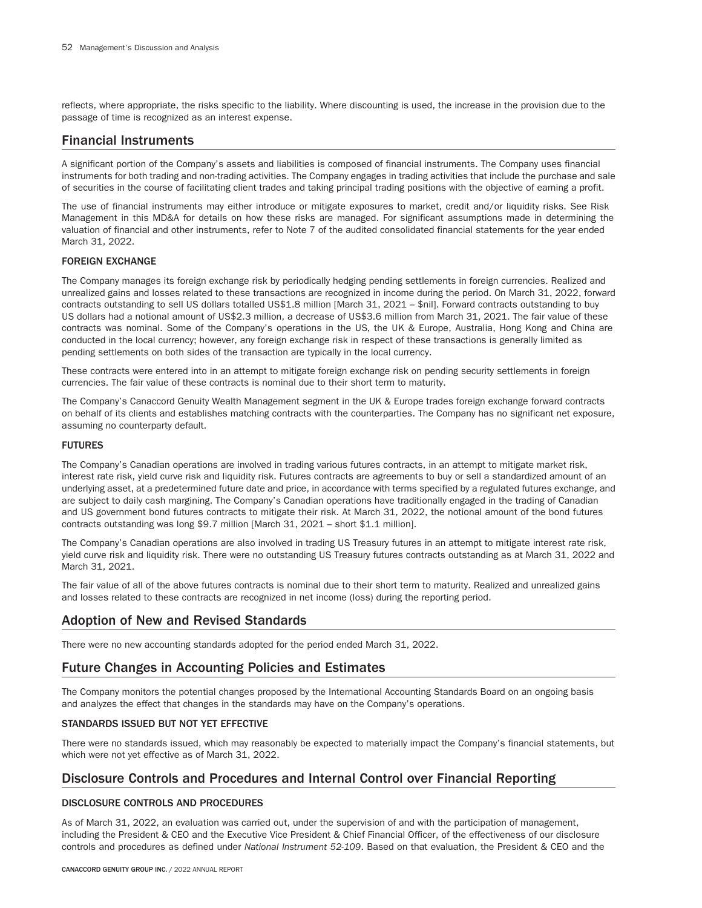reflects, where appropriate, the risks specific to the liability. Where discounting is used, the increase in the provision due to the passage of time is recognized as an interest expense.

# Financial Instruments

A significant portion of the Company's assets and liabilities is composed of financial instruments. The Company uses financial instruments for both trading and non-trading activities. The Company engages in trading activities that include the purchase and sale of securities in the course of facilitating client trades and taking principal trading positions with the objective of earning a profit.

The use of financial instruments may either introduce or mitigate exposures to market, credit and/or liquidity risks. See Risk Management in this MD&A for details on how these risks are managed. For significant assumptions made in determining the valuation of financial and other instruments, refer to Note 7 of the audited consolidated financial statements for the year ended March 31, 2022.

# FOREIGN EXCHANGE

The Company manages its foreign exchange risk by periodically hedging pending settlements in foreign currencies. Realized and unrealized gains and losses related to these transactions are recognized in income during the period. On March 31, 2022, forward contracts outstanding to sell US dollars totalled US\$1.8 million [March 31, 2021 – \$nil]. Forward contracts outstanding to buy US dollars had a notional amount of US\$2.3 million, a decrease of US\$3.6 million from March 31, 2021. The fair value of these contracts was nominal. Some of the Company's operations in the US, the UK & Europe, Australia, Hong Kong and China are conducted in the local currency; however, any foreign exchange risk in respect of these transactions is generally limited as pending settlements on both sides of the transaction are typically in the local currency.

These contracts were entered into in an attempt to mitigate foreign exchange risk on pending security settlements in foreign currencies. The fair value of these contracts is nominal due to their short term to maturity.

The Company's Canaccord Genuity Wealth Management segment in the UK & Europe trades foreign exchange forward contracts on behalf of its clients and establishes matching contracts with the counterparties. The Company has no significant net exposure, assuming no counterparty default.

## FUTURES

The Company's Canadian operations are involved in trading various futures contracts, in an attempt to mitigate market risk, interest rate risk, yield curve risk and liquidity risk. Futures contracts are agreements to buy or sell a standardized amount of an underlying asset, at a predetermined future date and price, in accordance with terms specified by a regulated futures exchange, and are subject to daily cash margining. The Company's Canadian operations have traditionally engaged in the trading of Canadian and US government bond futures contracts to mitigate their risk. At March 31, 2022, the notional amount of the bond futures contracts outstanding was long \$9.7 million [March 31, 2021 – short \$1.1 million].

The Company's Canadian operations are also involved in trading US Treasury futures in an attempt to mitigate interest rate risk, yield curve risk and liquidity risk. There were no outstanding US Treasury futures contracts outstanding as at March 31, 2022 and March 31, 2021.

The fair value of all of the above futures contracts is nominal due to their short term to maturity. Realized and unrealized gains and losses related to these contracts are recognized in net income (loss) during the reporting period.

# Adoption of New and Revised Standards

There were no new accounting standards adopted for the period ended March 31, 2022.

# Future Changes in Accounting Policies and Estimates

The Company monitors the potential changes proposed by the International Accounting Standards Board on an ongoing basis and analyzes the effect that changes in the standards may have on the Company's operations.

# STANDARDS ISSUED BUT NOT YET EFFECTIVE

There were no standards issued, which may reasonably be expected to materially impact the Company's financial statements, but which were not yet effective as of March 31, 2022.

# Disclosure Controls and Procedures and Internal Control over Financial Reporting

# DISCLOSURE CONTROLS AND PROCEDURES

As of March 31, 2022, an evaluation was carried out, under the supervision of and with the participation of management, including the President & CEO and the Executive Vice President & Chief Financial Officer, of the effectiveness of our disclosure controls and procedures as defined under *National Instrument 52-109*. Based on that evaluation, the President & CEO and the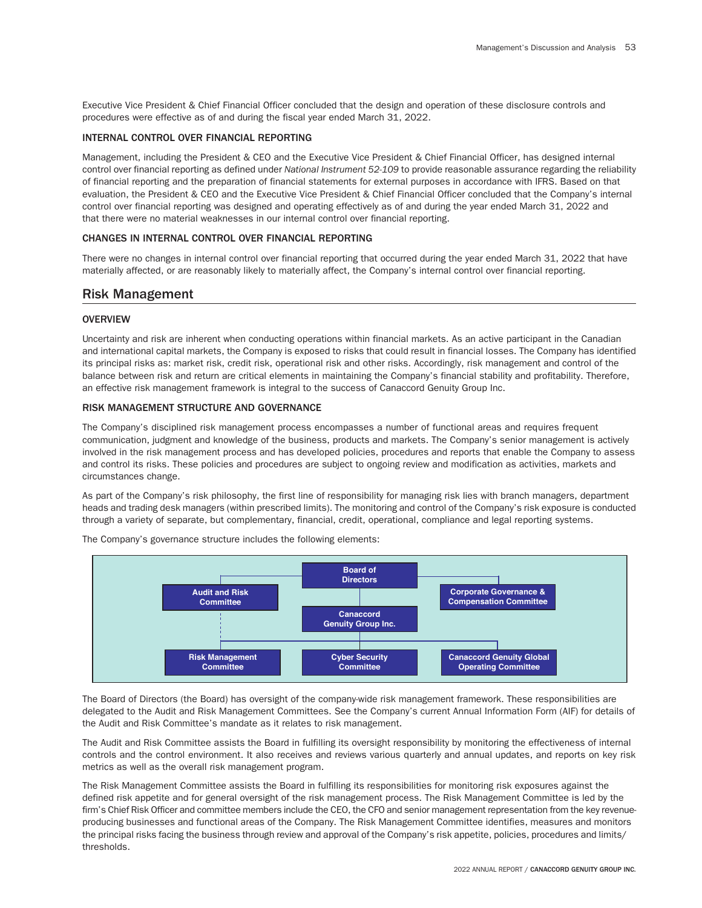Executive Vice President & Chief Financial Officer concluded that the design and operation of these disclosure controls and procedures were effective as of and during the fiscal year ended March 31, 2022.

## INTERNAL CONTROL OVER FINANCIAL REPORTING

Management, including the President & CEO and the Executive Vice President & Chief Financial Officer, has designed internal control over financial reporting as defined under *National Instrument 52-109* to provide reasonable assurance regarding the reliability of financial reporting and the preparation of financial statements for external purposes in accordance with IFRS. Based on that evaluation, the President & CEO and the Executive Vice President & Chief Financial Officer concluded that the Company's internal control over financial reporting was designed and operating effectively as of and during the year ended March 31, 2022 and that there were no material weaknesses in our internal control over financial reporting.

### CHANGES IN INTERNAL CONTROL OVER FINANCIAL REPORTING

There were no changes in internal control over financial reporting that occurred during the year ended March 31, 2022 that have materially affected, or are reasonably likely to materially affect, the Company's internal control over financial reporting.

# Risk Management

## **OVERVIEW**

Uncertainty and risk are inherent when conducting operations within financial markets. As an active participant in the Canadian and international capital markets, the Company is exposed to risks that could result in financial losses. The Company has identified its principal risks as: market risk, credit risk, operational risk and other risks. Accordingly, risk management and control of the balance between risk and return are critical elements in maintaining the Company's financial stability and profitability. Therefore, an effective risk management framework is integral to the success of Canaccord Genuity Group Inc.

#### RISK MANAGEMENT STRUCTURE AND GOVERNANCE

The Company's disciplined risk management process encompasses a number of functional areas and requires frequent communication, judgment and knowledge of the business, products and markets. The Company's senior management is actively involved in the risk management process and has developed policies, procedures and reports that enable the Company to assess and control its risks. These policies and procedures are subject to ongoing review and modification as activities, markets and circumstances change.

As part of the Company's risk philosophy, the first line of responsibility for managing risk lies with branch managers, department heads and trading desk managers (within prescribed limits). The monitoring and control of the Company's risk exposure is conducted through a variety of separate, but complementary, financial, credit, operational, compliance and legal reporting systems.



The Company's governance structure includes the following elements:

The Board of Directors (the Board) has oversight of the company-wide risk management framework. These responsibilities are delegated to the Audit and Risk Management Committees. See the Company's current Annual Information Form (AIF) for details of the Audit and Risk Committee's mandate as it relates to risk management.

The Audit and Risk Committee assists the Board in fulfilling its oversight responsibility by monitoring the effectiveness of internal controls and the control environment. It also receives and reviews various quarterly and annual updates, and reports on key risk metrics as well as the overall risk management program.

The Risk Management Committee assists the Board in fulfilling its responsibilities for monitoring risk exposures against the defined risk appetite and for general oversight of the risk management process. The Risk Management Committee is led by the firm's Chief Risk Officer and committee members include the CEO, the CFO and senior management representation from the key revenueproducing businesses and functional areas of the Company. The Risk Management Committee identifies, measures and monitors the principal risks facing the business through review and approval of the Company's risk appetite, policies, procedures and limits/ thresholds.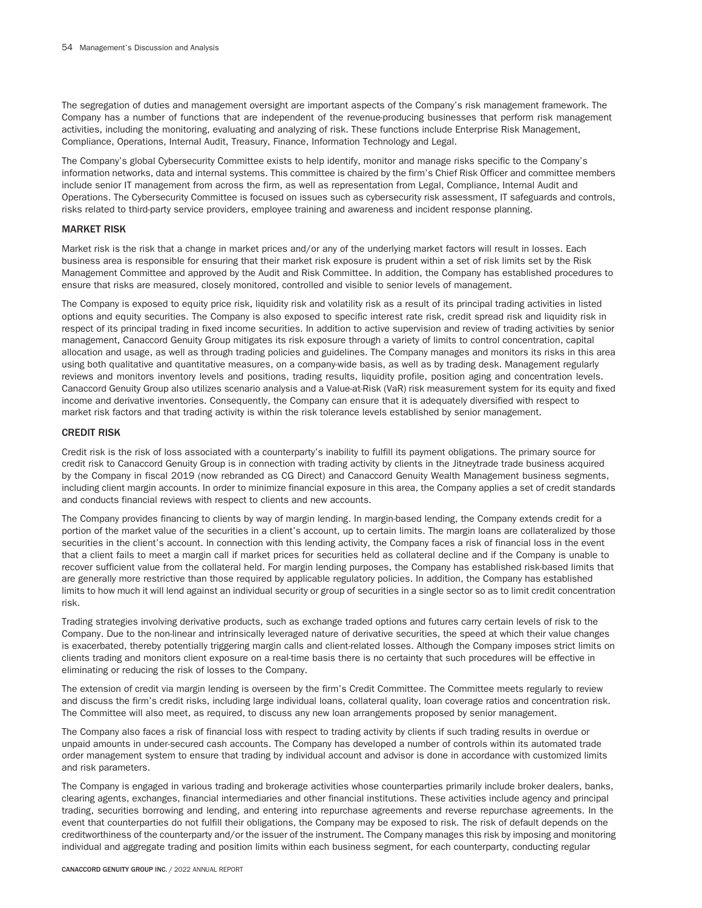The segregation of duties and management oversight are important aspects of the Company's risk management framework. The Company has a number of functions that are independent of the revenue-producing businesses that perform risk management activities, including the monitoring, evaluating and analyzing of risk. These functions include Enterprise Risk Management, Compliance, Operations, Internal Audit, Treasury, Finance, Information Technology and Legal.

The Company's global Cybersecurity Committee exists to help identify, monitor and manage risks specific to the Company's information networks, data and internal systems. This committee is chaired by the firm's Chief Risk Officer and committee members include senior IT management from across the firm, as well as representation from Legal, Compliance, Internal Audit and Operations. The Cybersecurity Committee is focused on issues such as cybersecurity risk assessment, IT safeguards and controls, risks related to third-party service providers, employee training and awareness and incident response planning.

## MARKET RISK

Market risk is the risk that a change in market prices and/or any of the underlying market factors will result in losses. Each business area is responsible for ensuring that their market risk exposure is prudent within a set of risk limits set by the Risk Management Committee and approved by the Audit and Risk Committee. In addition, the Company has established procedures to ensure that risks are measured, closely monitored, controlled and visible to senior levels of management.

The Company is exposed to equity price risk, liquidity risk and volatility risk as a result of its principal trading activities in listed options and equity securities. The Company is also exposed to specific interest rate risk, credit spread risk and liquidity risk in respect of its principal trading in fixed income securities. In addition to active supervision and review of trading activities by senior management, Canaccord Genuity Group mitigates its risk exposure through a variety of limits to control concentration, capital allocation and usage, as well as through trading policies and guidelines. The Company manages and monitors its risks in this area using both qualitative and quantitative measures, on a company-wide basis, as well as by trading desk. Management regularly reviews and monitors inventory levels and positions, trading results, liquidity profile, position aging and concentration levels. Canaccord Genuity Group also utilizes scenario analysis and a Value-at-Risk (VaR) risk measurement system for its equity and fixed income and derivative inventories. Consequently, the Company can ensure that it is adequately diversified with respect to market risk factors and that trading activity is within the risk tolerance levels established by senior management.

#### CREDIT RISK

Credit risk is the risk of loss associated with a counterparty's inability to fulfill its payment obligations. The primary source for credit risk to Canaccord Genuity Group is in connection with trading activity by clients in the Jitneytrade trade business acquired by the Company in fiscal 2019 (now rebranded as CG Direct) and Canaccord Genuity Wealth Management business segments, including client margin accounts. In order to minimize financial exposure in this area, the Company applies a set of credit standards and conducts financial reviews with respect to clients and new accounts.

The Company provides financing to clients by way of margin lending. In margin-based lending, the Company extends credit for a portion of the market value of the securities in a client's account, up to certain limits. The margin loans are collateralized by those securities in the client's account. In connection with this lending activity, the Company faces a risk of financial loss in the event that a client fails to meet a margin call if market prices for securities held as collateral decline and if the Company is unable to recover sufficient value from the collateral held. For margin lending purposes, the Company has established risk-based limits that are generally more restrictive than those required by applicable regulatory policies. In addition, the Company has established limits to how much it will lend against an individual security or group of securities in a single sector so as to limit credit concentration risk.

Trading strategies involving derivative products, such as exchange traded options and futures carry certain levels of risk to the Company. Due to the non-linear and intrinsically leveraged nature of derivative securities, the speed at which their value changes is exacerbated, thereby potentially triggering margin calls and client-related losses. Although the Company imposes strict limits on clients trading and monitors client exposure on a real-time basis there is no certainty that such procedures will be effective in eliminating or reducing the risk of losses to the Company.

The extension of credit via margin lending is overseen by the firm's Credit Committee. The Committee meets regularly to review and discuss the firm's credit risks, including large individual loans, collateral quality, loan coverage ratios and concentration risk. The Committee will also meet, as required, to discuss any new loan arrangements proposed by senior management.

The Company also faces a risk of financial loss with respect to trading activity by clients if such trading results in overdue or unpaid amounts in under-secured cash accounts. The Company has developed a number of controls within its automated trade order management system to ensure that trading by individual account and advisor is done in accordance with customized limits and risk parameters.

The Company is engaged in various trading and brokerage activities whose counterparties primarily include broker dealers, banks, clearing agents, exchanges, financial intermediaries and other financial institutions. These activities include agency and principal trading, securities borrowing and lending, and entering into repurchase agreements and reverse repurchase agreements. In the event that counterparties do not fulfill their obligations, the Company may be exposed to risk. The risk of default depends on the creditworthiness of the counterparty and/or the issuer of the instrument. The Company manages this risk by imposing and monitoring individual and aggregate trading and position limits within each business segment, for each counterparty, conducting regular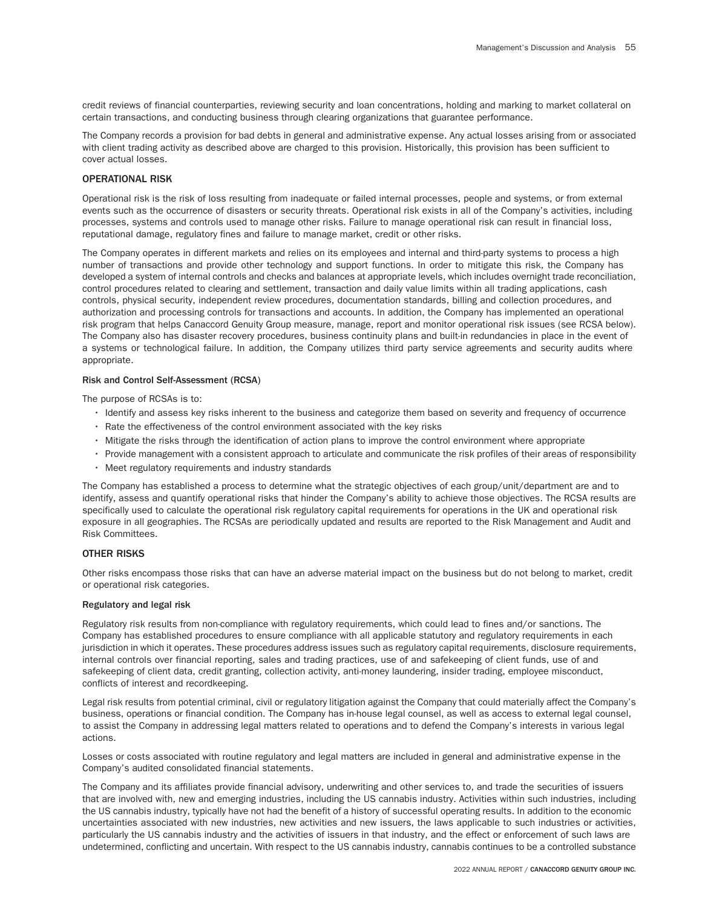credit reviews of financial counterparties, reviewing security and loan concentrations, holding and marking to market collateral on certain transactions, and conducting business through clearing organizations that guarantee performance.

The Company records a provision for bad debts in general and administrative expense. Any actual losses arising from or associated with client trading activity as described above are charged to this provision. Historically, this provision has been sufficient to cover actual losses.

## OPERATIONAL RISK

Operational risk is the risk of loss resulting from inadequate or failed internal processes, people and systems, or from external events such as the occurrence of disasters or security threats. Operational risk exists in all of the Company's activities, including processes, systems and controls used to manage other risks. Failure to manage operational risk can result in financial loss, reputational damage, regulatory fines and failure to manage market, credit or other risks.

The Company operates in different markets and relies on its employees and internal and third-party systems to process a high number of transactions and provide other technology and support functions. In order to mitigate this risk, the Company has developed a system of internal controls and checks and balances at appropriate levels, which includes overnight trade reconciliation, control procedures related to clearing and settlement, transaction and daily value limits within all trading applications, cash controls, physical security, independent review procedures, documentation standards, billing and collection procedures, and authorization and processing controls for transactions and accounts. In addition, the Company has implemented an operational risk program that helps Canaccord Genuity Group measure, manage, report and monitor operational risk issues (see RCSA below). The Company also has disaster recovery procedures, business continuity plans and built-in redundancies in place in the event of a systems or technological failure. In addition, the Company utilizes third party service agreements and security audits where appropriate.

## Risk and Control Self-Assessment (RCSA)

The purpose of RCSAs is to:

- Identify and assess key risks inherent to the business and categorize them based on severity and frequency of occurrence
- Rate the effectiveness of the control environment associated with the key risks
- Mitigate the risks through the identification of action plans to improve the control environment where appropriate
- Provide management with a consistent approach to articulate and communicate the risk profiles of their areas of responsibility
- Meet regulatory requirements and industry standards

The Company has established a process to determine what the strategic objectives of each group/unit/department are and to identify, assess and quantify operational risks that hinder the Company's ability to achieve those objectives. The RCSA results are specifically used to calculate the operational risk regulatory capital requirements for operations in the UK and operational risk exposure in all geographies. The RCSAs are periodically updated and results are reported to the Risk Management and Audit and Risk Committees.

## OTHER RISKS

Other risks encompass those risks that can have an adverse material impact on the business but do not belong to market, credit or operational risk categories.

### Regulatory and legal risk

Regulatory risk results from non-compliance with regulatory requirements, which could lead to fines and/or sanctions. The Company has established procedures to ensure compliance with all applicable statutory and regulatory requirements in each jurisdiction in which it operates. These procedures address issues such as regulatory capital requirements, disclosure requirements, internal controls over financial reporting, sales and trading practices, use of and safekeeping of client funds, use of and safekeeping of client data, credit granting, collection activity, anti-money laundering, insider trading, employee misconduct, conflicts of interest and recordkeeping.

Legal risk results from potential criminal, civil or regulatory litigation against the Company that could materially affect the Company's business, operations or financial condition. The Company has in-house legal counsel, as well as access to external legal counsel, to assist the Company in addressing legal matters related to operations and to defend the Company's interests in various legal actions.

Losses or costs associated with routine regulatory and legal matters are included in general and administrative expense in the Company's audited consolidated financial statements.

The Company and its affiliates provide financial advisory, underwriting and other services to, and trade the securities of issuers that are involved with, new and emerging industries, including the US cannabis industry. Activities within such industries, including the US cannabis industry, typically have not had the benefit of a history of successful operating results. In addition to the economic uncertainties associated with new industries, new activities and new issuers, the laws applicable to such industries or activities, particularly the US cannabis industry and the activities of issuers in that industry, and the effect or enforcement of such laws are undetermined, conflicting and uncertain. With respect to the US cannabis industry, cannabis continues to be a controlled substance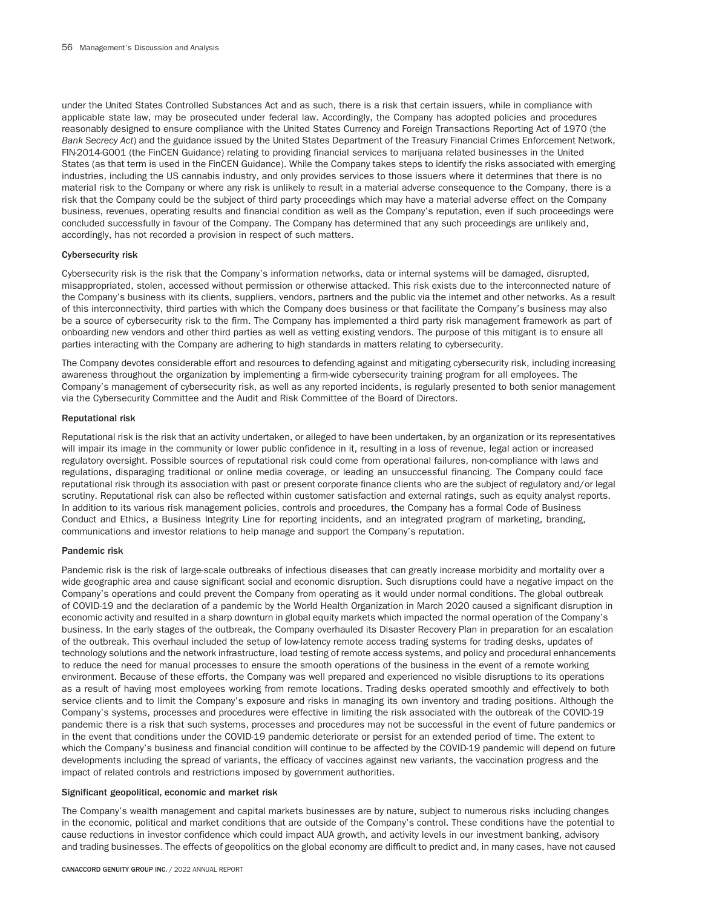under the United States Controlled Substances Act and as such, there is a risk that certain issuers, while in compliance with applicable state law, may be prosecuted under federal law. Accordingly, the Company has adopted policies and procedures reasonably designed to ensure compliance with the United States Currency and Foreign Transactions Reporting Act of 1970 (the *Bank Secrecy Act*) and the guidance issued by the United States Department of the Treasury Financial Crimes Enforcement Network, FIN-2014-G001 (the FinCEN Guidance) relating to providing financial services to marijuana related businesses in the United States (as that term is used in the FinCEN Guidance). While the Company takes steps to identify the risks associated with emerging industries, including the US cannabis industry, and only provides services to those issuers where it determines that there is no material risk to the Company or where any risk is unlikely to result in a material adverse consequence to the Company, there is a risk that the Company could be the subject of third party proceedings which may have a material adverse effect on the Company business, revenues, operating results and financial condition as well as the Company's reputation, even if such proceedings were concluded successfully in favour of the Company. The Company has determined that any such proceedings are unlikely and, accordingly, has not recorded a provision in respect of such matters.

#### Cybersecurity risk

Cybersecurity risk is the risk that the Company's information networks, data or internal systems will be damaged, disrupted, misappropriated, stolen, accessed without permission or otherwise attacked. This risk exists due to the interconnected nature of the Company's business with its clients, suppliers, vendors, partners and the public via the internet and other networks. As a result of this interconnectivity, third parties with which the Company does business or that facilitate the Company's business may also be a source of cybersecurity risk to the firm. The Company has implemented a third party risk management framework as part of onboarding new vendors and other third parties as well as vetting existing vendors. The purpose of this mitigant is to ensure all parties interacting with the Company are adhering to high standards in matters relating to cybersecurity.

The Company devotes considerable effort and resources to defending against and mitigating cybersecurity risk, including increasing awareness throughout the organization by implementing a firm-wide cybersecurity training program for all employees. The Company's management of cybersecurity risk, as well as any reported incidents, is regularly presented to both senior management via the Cybersecurity Committee and the Audit and Risk Committee of the Board of Directors.

#### Reputational risk

Reputational risk is the risk that an activity undertaken, or alleged to have been undertaken, by an organization or its representatives will impair its image in the community or lower public confidence in it, resulting in a loss of revenue, legal action or increased regulatory oversight. Possible sources of reputational risk could come from operational failures, non-compliance with laws and regulations, disparaging traditional or online media coverage, or leading an unsuccessful financing. The Company could face reputational risk through its association with past or present corporate finance clients who are the subject of regulatory and/or legal scrutiny. Reputational risk can also be reflected within customer satisfaction and external ratings, such as equity analyst reports. In addition to its various risk management policies, controls and procedures, the Company has a formal Code of Business Conduct and Ethics, a Business Integrity Line for reporting incidents, and an integrated program of marketing, branding, communications and investor relations to help manage and support the Company's reputation.

## Pandemic risk

Pandemic risk is the risk of large-scale outbreaks of infectious diseases that can greatly increase morbidity and mortality over a wide geographic area and cause significant social and economic disruption. Such disruptions could have a negative impact on the Company's operations and could prevent the Company from operating as it would under normal conditions. The global outbreak of COVID-19 and the declaration of a pandemic by the World Health Organization in March 2020 caused a significant disruption in economic activity and resulted in a sharp downturn in global equity markets which impacted the normal operation of the Company's business. In the early stages of the outbreak, the Company overhauled its Disaster Recovery Plan in preparation for an escalation of the outbreak. This overhaul included the setup of low-latency remote access trading systems for trading desks, updates of technology solutions and the network infrastructure, load testing of remote access systems, and policy and procedural enhancements to reduce the need for manual processes to ensure the smooth operations of the business in the event of a remote working environment. Because of these efforts, the Company was well prepared and experienced no visible disruptions to its operations as a result of having most employees working from remote locations. Trading desks operated smoothly and effectively to both service clients and to limit the Company's exposure and risks in managing its own inventory and trading positions. Although the Company's systems, processes and procedures were effective in limiting the risk associated with the outbreak of the COVID-19 pandemic there is a risk that such systems, processes and procedures may not be successful in the event of future pandemics or in the event that conditions under the COVID-19 pandemic deteriorate or persist for an extended period of time. The extent to which the Company's business and financial condition will continue to be affected by the COVID-19 pandemic will depend on future developments including the spread of variants, the efficacy of vaccines against new variants, the vaccination progress and the impact of related controls and restrictions imposed by government authorities.

## Significant geopolitical, economic and market risk

The Company's wealth management and capital markets businesses are by nature, subject to numerous risks including changes in the economic, political and market conditions that are outside of the Company's control. These conditions have the potential to cause reductions in investor confidence which could impact AUA growth, and activity levels in our investment banking, advisory and trading businesses. The effects of geopolitics on the global economy are difficult to predict and, in many cases, have not caused